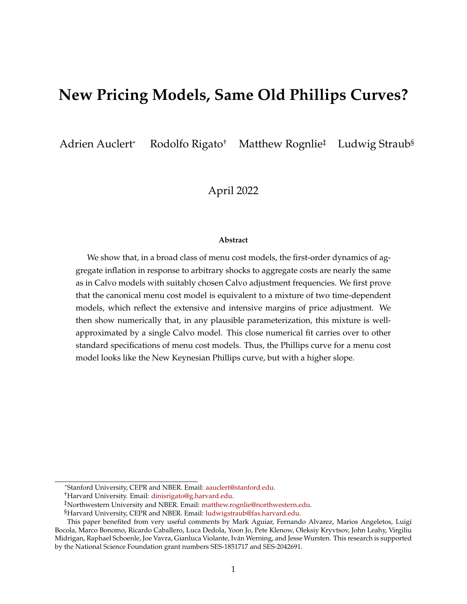# **New Pricing Models, Same Old Phillips Curves?**

Adrien Auclert\* Rodolfo Rigato<sup>†</sup> Matthew Rognlie<sup>‡</sup> Ludwig Straub<sup>§</sup>

April 2022

#### **Abstract**

We show that, in a broad class of menu cost models, the first-order dynamics of aggregate inflation in response to arbitrary shocks to aggregate costs are nearly the same as in Calvo models with suitably chosen Calvo adjustment frequencies. We first prove that the canonical menu cost model is equivalent to a mixture of two time-dependent models, which reflect the extensive and intensive margins of price adjustment. We then show numerically that, in any plausible parameterization, this mixture is wellapproximated by a single Calvo model. This close numerical fit carries over to other standard specifications of menu cost models. Thus, the Phillips curve for a menu cost model looks like the New Keynesian Phillips curve, but with a higher slope.

<sup>\*</sup>Stanford University, CEPR and NBER. Email: [aauclert@stanford.edu.](mailto:aauclert@stanford.edu)

<sup>†</sup>Harvard University. Email: [dinisrigato@g.harvard.edu.](mailto:dinisrigato@g.harvard.edu)

<sup>‡</sup>Northwestern University and NBER. Email: [matthew.rognlie@northwestern.edu.](mailto:matthew.rognlie@northwestern.edu)

<sup>§</sup>Harvard University, CEPR and NBER. Email: [ludwigstraub@fas.harvard.edu.](mailto:ludwigstraub@fas.harvard.edu)

This paper benefited from very useful comments by Mark Aguiar, Fernando Alvarez, Marios Angeletos, Luigi Bocola, Marco Bonomo, Ricardo Caballero, Luca Dedola, Yoon Jo, Pete Klenow, Oleksiy Kryvtsov, John Leahy, Virgiliu Midrigan, Raphael Schoenle, Joe Vavra, Gianluca Violante, Iván Werning, and Jesse Wursten. This research is supported by the National Science Foundation grant numbers SES-1851717 and SES-2042691.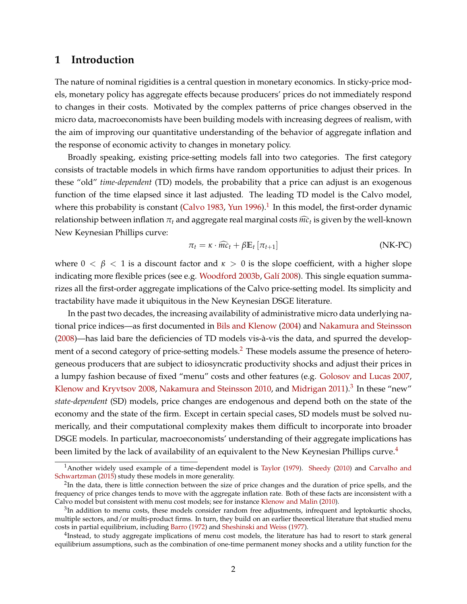# **1 Introduction**

The nature of nominal rigidities is a central question in monetary economics. In sticky-price models, monetary policy has aggregate effects because producers' prices do not immediately respond to changes in their costs. Motivated by the complex patterns of price changes observed in the micro data, macroeconomists have been building models with increasing degrees of realism, with the aim of improving our quantitative understanding of the behavior of aggregate inflation and the response of economic activity to changes in monetary policy.

Broadly speaking, existing price-setting models fall into two categories. The first category consists of tractable models in which firms have random opportunities to adjust their prices. In these "old" *time-dependent* (TD) models*,* the probability that a price can adjust is an exogenous function of the time elapsed since it last adjusted*.* The leading TD model is the Calvo model, where this probability is constant [\(Calvo](#page-43-0) [1983,](#page-43-0) [Yun](#page-46-0) [1996\)](#page-46-0).<sup>[1](#page-1-0)</sup> In this model, the first-order dynamic relationship between inflation π<sub>t</sub> and aggregate real marginal costs  $\widehat{mc}_t$  is given by the well-known<br>
In the control of the control of the control of the control of the control of the control of the control of the New Keynesian Phillips curve:

<span id="page-1-4"></span>
$$
\pi_t = \kappa \cdot \widehat{mc}_t + \beta \mathbb{E}_t \left[ \pi_{t+1} \right] \tag{NK-PC}
$$

where  $0 < \beta < 1$  is a discount factor and  $\kappa > 0$  is the slope coefficient, with a higher slope indicating more flexible prices (see e.g. [Woodford](#page-46-1) [2003b,](#page-46-1) [Galí](#page-44-0) [2008\)](#page-44-0). This single equation summarizes all the first-order aggregate implications of the Calvo price-setting model. Its simplicity and tractability have made it ubiquitous in the New Keynesian DSGE literature.

In the past two decades, the increasing availability of administrative micro data underlying national price indices—as first documented in [Bils and Klenow](#page-43-1) [\(2004\)](#page-43-1) and [Nakamura and Steinsson](#page-45-0) [\(2008\)](#page-45-0)—has laid bare the deficiencies of TD models vis-à-vis the data, and spurred the develop-ment of a second category of price-setting models.<sup>[2](#page-1-1)</sup> These models assume the presence of heterogeneous producers that are subject to idiosyncratic productivity shocks and adjust their prices in a lumpy fashion because of fixed "menu" costs and other features (e.g. [Golosov and Lucas](#page-44-1) [2007,](#page-44-1) [Klenow and Kryvtsov](#page-45-1) [2008,](#page-45-1) [Nakamura and Steinsson](#page-45-2) [2010,](#page-45-2) and [Midrigan](#page-45-3) [2011\)](#page-45-3).<sup>[3](#page-1-2)</sup> In these "new" *state-dependent* (SD) models, price changes are endogenous and depend both on the state of the economy and the state of the firm. Except in certain special cases, SD models must be solved numerically, and their computational complexity makes them difficult to incorporate into broader DSGE models. In particular, macroeconomists' understanding of their aggregate implications has been limited by the lack of availability of an equivalent to the New Keynesian Phillips curve.<sup>[4](#page-1-3)</sup>

<span id="page-1-0"></span><sup>1</sup>Another widely used example of a time-dependent model is [Taylor](#page-46-2) [\(1979\)](#page-46-2). [Sheedy](#page-46-3) [\(2010\)](#page-46-3) and [Carvalho and](#page-43-2) [Schwartzman](#page-43-2) [\(2015\)](#page-43-2) study these models in more generality.

<span id="page-1-1"></span> ${}^{2}$ In the data, there is little connection between the size of price changes and the duration of price spells, and the frequency of price changes tends to move with the aggregate inflation rate. Both of these facts are inconsistent with a Calvo model but consistent with menu cost models; see for instance [Klenow and Malin](#page-45-4) [\(2010\)](#page-45-4).

<span id="page-1-2"></span> ${}^{3}$ In addition to menu costs, these models consider random free adjustments, infrequent and leptokurtic shocks, multiple sectors, and/or multi-product firms. In turn, they build on an earlier theoretical literature that studied menu costs in partial equilibrium, including [Barro](#page-43-3) [\(1972\)](#page-43-3) and [Sheshinski and Weiss](#page-46-4) [\(1977\)](#page-46-4).

<span id="page-1-3"></span><sup>&</sup>lt;sup>4</sup>Instead, to study aggregate implications of menu cost models, the literature has had to resort to stark general equilibrium assumptions, such as the combination of one-time permanent money shocks and a utility function for the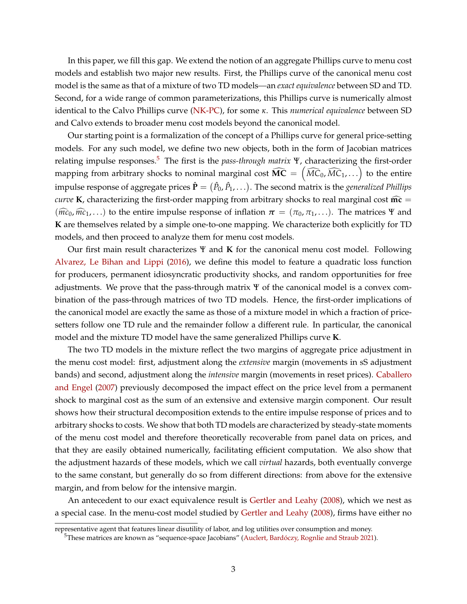In this paper, we fill this gap. We extend the notion of an aggregate Phillips curve to menu cost models and establish two major new results. First, the Phillips curve of the canonical menu cost model is the same as that of a mixture of two TD models*—*an *exact equivalence* between SD and TD. Second, for a wide range of common parameterizations, this Phillips curve is numerically almost identical to the Calvo Phillips curve [\(NK-PC\)](#page-1-4), for some *κ*. This *numerical equivalence* between SD and Calvo extends to broader menu cost models beyond the canonical model.

Our starting point is a formalization of the concept of a Phillips curve for general price-setting models. For any such model, we define two new objects, both in the form of Jacobian matrices relating impulse responses.[5](#page-2-0) The first is the *pass-through matrix* Ψ, characterizing the first-order mapping from arbitrary shocks to nominal marginal cost  $\widehat{\mathrm{MC}} = \left( \widehat{MC}_0, \widehat{MC}_1, \ldots \right)$  to the entire impulse response of aggregate prices  $\mathbf{\hat{P}}=(\hat{P}_0,\hat{P}_1,\ldots).$  The second matrix is the  $g$ *eneralized Phillips curve* **K**, characterizing the first-order mapping from arbitrary shocks to real marginal cost  $\widehat{mc}$  =  $(\widehat{mc}_0, \widehat{mc}_1, \ldots)$  to the entire impulse response of inflation  $\pi = (\pi_0, \pi_1, \ldots)$ . The matrices Ψ and **K** are themselves related by a simple one-to-one mapping. We characterize both explicitly for TD models, and then proceed to analyze them for menu cost models.

Our first main result characterizes Ψ and **K** for the canonical menu cost model. Following [Alvarez, Le Bihan and Lippi](#page-42-0) [\(2016\)](#page-42-0), we define this model to feature a quadratic loss function for producers, permanent idiosyncratic productivity shocks, and random opportunities for free adjustments. We prove that the pass-through matrix Ψ of the canonical model is a convex combination of the pass-through matrices of two TD models. Hence, the first-order implications of the canonical model are exactly the same as those of a mixture model in which a fraction of pricesetters follow one TD rule and the remainder follow a different rule. In particular, the canonical model and the mixture TD model have the same generalized Phillips curve **K**.

The two TD models in the mixture reflect the two margins of aggregate price adjustment in the menu cost model: first, adjustment along the *extensive* margin (movements in sS adjustment bands) and second, adjustment along the *intensive* margin (movements in reset prices). [Caballero](#page-43-4) [and Engel](#page-43-4) [\(2007\)](#page-43-4) previously decomposed the impact effect on the price level from a permanent shock to marginal cost as the sum of an extensive and extensive margin component. Our result shows how their structural decomposition extends to the entire impulse response of prices and to arbitrary shocks to costs. We show that both TD models are characterized by steady-state moments of the menu cost model and therefore theoretically recoverable from panel data on prices, and that they are easily obtained numerically, facilitating efficient computation. We also show that the adjustment hazards of these models, which we call *virtual* hazards, both eventually converge to the same constant, but generally do so from different directions: from above for the extensive margin, and from below for the intensive margin.

An antecedent to our exact equivalence result is [Gertler and Leahy](#page-44-2) [\(2008\)](#page-44-2), which we nest as a special case. In the menu-cost model studied by [Gertler and Leahy](#page-44-2) [\(2008\)](#page-44-2), firms have either no

representative agent that features linear disutility of labor, and log utilities over consumption and money.

<span id="page-2-0"></span><sup>5</sup>These matrices are known as "sequence-space Jacobians" [\(Auclert, Bardóczy, Rognlie and Straub](#page-43-5) [2021\)](#page-43-5).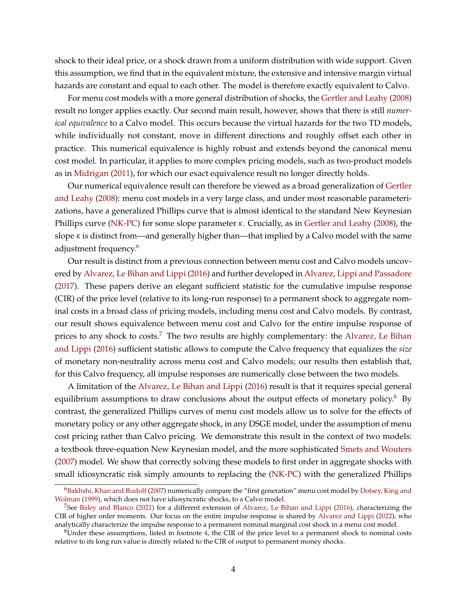shock to their ideal price, or a shock drawn from a uniform distribution with wide support. Given this assumption, we find that in the equivalent mixture, the extensive and intensive margin virtual hazards are constant and equal to each other. The model is therefore exactly equivalent to Calvo.

For menu cost models with a more general distribution of shocks, the [Gertler and Leahy](#page-44-2) [\(2008\)](#page-44-2) result no longer applies exactly. Our second main result, however, shows that there is still *numerical equivalence* to a Calvo model. This occurs because the virtual hazards for the two TD models, while individually not constant, move in different directions and roughly offset each other in practice. This numerical equivalence is highly robust and extends beyond the canonical menu cost model. In particular, it applies to more complex pricing models, such as two-product models as in [Midrigan](#page-45-3) [\(2011\)](#page-45-3), for which our exact equivalence result no longer directly holds.

Our numerical equivalence result can therefore be viewed as a broad generalization of [Gertler](#page-44-2) [and Leahy](#page-44-2) [\(2008\)](#page-44-2): menu cost models in a very large class, and under most reasonable parameterizations, have a generalized Phillips curve that is almost identical to the standard New Keynesian Phillips curve [\(NK-PC\)](#page-1-4) for some slope parameter *κ*. Crucially, as in [Gertler and Leahy](#page-44-2) [\(2008\)](#page-44-2), the slope  $\kappa$  is distinct from—and generally higher than—that implied by a Calvo model with the same adjustment frequency.<sup>[6](#page-3-0)</sup>

Our result is distinct from a previous connection between menu cost and Calvo models uncovered by [Alvarez, Le Bihan and Lippi](#page-42-0) [\(2016\)](#page-42-0) and further developed in [Alvarez, Lippi and Passadore](#page-42-1) [\(2017\)](#page-42-1). These papers derive an elegant sufficient statistic for the cumulative impulse response (CIR) of the price level (relative to its long-run response) to a permanent shock to aggregate nominal costs in a broad class of pricing models, including menu cost and Calvo models. By contrast, our result shows equivalence between menu cost and Calvo for the entire impulse response of prices to any shock to costs.<sup>[7](#page-3-1)</sup> The two results are highly complementary: the [Alvarez, Le Bihan](#page-42-0) [and Lippi](#page-42-0) [\(2016\)](#page-42-0) sufficient statistic allows to compute the Calvo frequency that equalizes the *size* of monetary non-neutrality across menu cost and Calvo models; our results then establish that, for this Calvo frequency, all impulse responses are numerically close between the two models.

A limitation of the [Alvarez, Le Bihan and Lippi](#page-42-0) [\(2016\)](#page-42-0) result is that it requires special general equilibrium assumptions to draw conclusions about the output effects of monetary policy. $8\text{ By}$  $8\text{ By}$ contrast, the generalized Phillips curves of menu cost models allow us to solve for the effects of monetary policy or any other aggregate shock, in any DSGE model, under the assumption of menu cost pricing rather than Calvo pricing. We demonstrate this result in the context of two models: a textbook three-equation New Keynesian model, and the more sophisticated [Smets and Wouters](#page-46-5) [\(2007\)](#page-46-5) model. We show that correctly solving these models to first order in aggregate shocks with small idiosyncratic risk simply amounts to replacing the [\(NK-PC\)](#page-1-4) with the generalized Phillips

<span id="page-3-0"></span><sup>&</sup>lt;sup>6</sup>[Bakhshi, Khan and Rudolf](#page-43-6) [\(2007\)](#page-43-6) numerically compare the "first generation" menu cost model by [Dotsey, King and](#page-44-3) [Wolman](#page-44-3) [\(1999\)](#page-44-3), which does not have idiosyncratic shocks, to a Calvo model.

<span id="page-3-1"></span><sup>&</sup>lt;sup>7</sup>See [Baley and Blanco](#page-43-7) [\(2021\)](#page-43-7) for a different extension of [Alvarez, Le Bihan and Lippi](#page-42-0) [\(2016\)](#page-42-0), characterizing the CIR of higher order moments. Our focus on the entire impulse response is shared by [Alvarez and Lippi](#page-42-2) [\(2022\)](#page-42-2), who analytically characterize the impulse response to a permanent nominal marginal cost shock in a menu cost model.

<span id="page-3-2"></span> $8$ Under these assumptions, listed in footnote [4,](#page-1-3) the CIR of the price level to a permanent shock to nominal costs relative to its long run value is directly related to the CIR of output to permanent money shocks.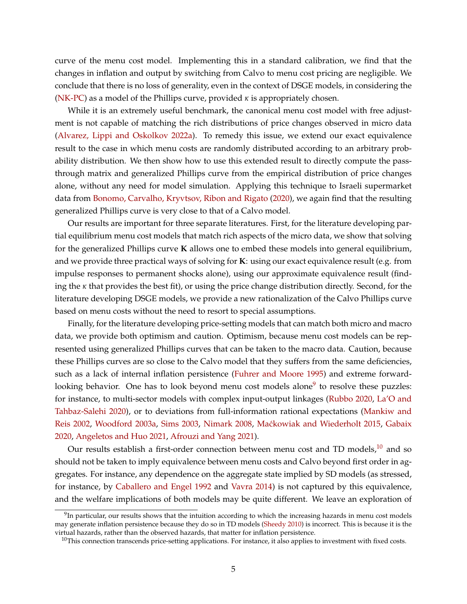curve of the menu cost model. Implementing this in a standard calibration, we find that the changes in inflation and output by switching from Calvo to menu cost pricing are negligible. We conclude that there is no loss of generality, even in the context of DSGE models, in considering the [\(NK-PC\)](#page-1-4) as a model of the Phillips curve, provided *κ* is appropriately chosen.

While it is an extremely useful benchmark, the canonical menu cost model with free adjustment is not capable of matching the rich distributions of price changes observed in micro data [\(Alvarez, Lippi and Oskolkov](#page-42-3) [2022a\)](#page-42-3). To remedy this issue, we extend our exact equivalence result to the case in which menu costs are randomly distributed according to an arbitrary probability distribution. We then show how to use this extended result to directly compute the passthrough matrix and generalized Phillips curve from the empirical distribution of price changes alone, without any need for model simulation. Applying this technique to Israeli supermarket data from [Bonomo, Carvalho, Kryvtsov, Ribon and Rigato](#page-43-8) [\(2020\)](#page-43-8), we again find that the resulting generalized Phillips curve is very close to that of a Calvo model.

Our results are important for three separate literatures. First, for the literature developing partial equilibrium menu cost models that match rich aspects of the micro data, we show that solving for the generalized Phillips curve **K** allows one to embed these models into general equilibrium, and we provide three practical ways of solving for **K**: using our exact equivalence result (e.g. from impulse responses to permanent shocks alone), using our approximate equivalence result (finding the *κ* that provides the best fit), or using the price change distribution directly. Second, for the literature developing DSGE models, we provide a new rationalization of the Calvo Phillips curve based on menu costs without the need to resort to special assumptions.

Finally, for the literature developing price-setting models that can match both micro and macro data, we provide both optimism and caution. Optimism, because menu cost models can be represented using generalized Phillips curves that can be taken to the macro data. Caution, because these Phillips curves are so close to the Calvo model that they suffers from the same deficiencies, such as a lack of internal inflation persistence [\(Fuhrer and Moore](#page-44-4) [1995\)](#page-44-4) and extreme forward-looking behavior. One has to look beyond menu cost models alone<sup>[9](#page-4-0)</sup> to resolve these puzzles: for instance, to multi-sector models with complex input-output linkages [\(Rubbo](#page-46-6) [2020,](#page-46-6) [La'O and](#page-45-5) [Tahbaz-Salehi](#page-45-5) [2020\)](#page-45-5), or to deviations from full-information rational expectations [\(Mankiw and](#page-45-6) [Reis](#page-45-6) [2002,](#page-45-6) [Woodford](#page-46-7) [2003a,](#page-46-7) [Sims](#page-46-8) [2003,](#page-46-8) [Nimark](#page-45-7) [2008,](#page-45-7) [Ma´ckowiak and Wiederholt](#page-45-8) [2015,](#page-45-8) [Gabaix](#page-44-5) [2020,](#page-44-5) [Angeletos and Huo](#page-42-4) [2021,](#page-42-4) [Afrouzi and Yang](#page-42-5) [2021\)](#page-42-5).

Our results establish a first-order connection between menu cost and TD models, $10$  and so should not be taken to imply equivalence between menu costs and Calvo beyond first order in aggregates. For instance, any dependence on the aggregate state implied by SD models (as stressed, for instance, by [Caballero and Engel](#page-43-9) [1992](#page-43-9) and [Vavra](#page-46-9) [2014\)](#page-46-9) is not captured by this equivalence, and the welfare implications of both models may be quite different. We leave an exploration of

<span id="page-4-0"></span> $9$ In particular, our results shows that the intuition according to which the increasing hazards in menu cost models may generate inflation persistence because they do so in TD models [\(Sheedy](#page-46-3) [2010\)](#page-46-3) is incorrect. This is because it is the virtual hazards, rather than the observed hazards, that matter for inflation persistence.

<span id="page-4-1"></span> $10$ This connection transcends price-setting applications. For instance, it also applies to investment with fixed costs.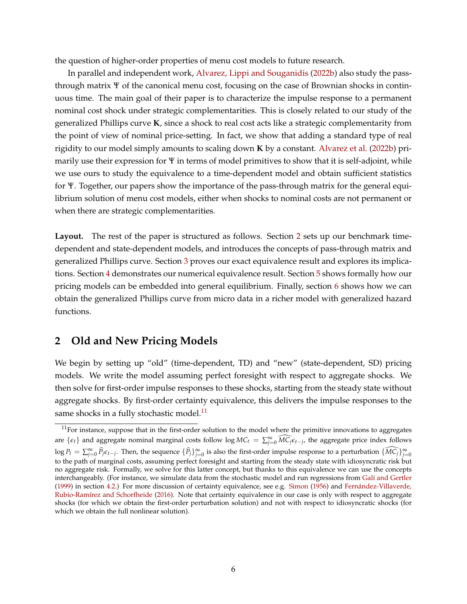the question of higher-order properties of menu cost models to future research.

In parallel and independent work, [Alvarez, Lippi and Souganidis](#page-42-6) [\(2022b\)](#page-42-6) also study the passthrough matrix Ψ of the canonical menu cost, focusing on the case of Brownian shocks in continuous time. The main goal of their paper is to characterize the impulse response to a permanent nominal cost shock under strategic complementarities. This is closely related to our study of the generalized Phillips curve **K**, since a shock to real cost acts like a strategic complementarity from the point of view of nominal price-setting. In fact, we show that adding a standard type of real rigidity to our model simply amounts to scaling down **K** by a constant. [Alvarez et al.](#page-42-6) [\(2022b\)](#page-42-6) primarily use their expression for Ψ in terms of model primitives to show that it is self-adjoint, while we use ours to study the equivalence to a time-dependent model and obtain sufficient statistics for Ψ. Together, our papers show the importance of the pass-through matrix for the general equilibrium solution of menu cost models, either when shocks to nominal costs are not permanent or when there are strategic complementarities.

Layout. The rest of the paper is structured as follows. Section [2](#page-5-0) sets up our benchmark timedependent and state-dependent models, and introduces the concepts of pass-through matrix and generalized Phillips curve. Section [3](#page-13-0) proves our exact equivalence result and explores its implications. Section [4](#page-24-0) demonstrates our numerical equivalence result. Section [5](#page-32-0) shows formally how our pricing models can be embedded into general equilibrium. Finally, section [6](#page-39-0) shows how we can obtain the generalized Phillips curve from micro data in a richer model with generalized hazard functions.

# <span id="page-5-0"></span>**2 Old and New Pricing Models**

We begin by setting up "old" (time-dependent, TD) and "new" (state-dependent, SD) pricing models. We write the model assuming perfect foresight with respect to aggregate shocks. We then solve for first-order impulse responses to these shocks, starting from the steady state without aggregate shocks. By first-order certainty equivalence, this delivers the impulse responses to the same shocks in a fully stochastic model. $^{11}$  $^{11}$  $^{11}$ 

<span id="page-5-1"></span> $11$ For instance, suppose that in the first-order solution to the model where the primitive innovations to aggregates are  $\{\epsilon_t\}$  and aggregate nominal marginal costs follow log  $MC_t = \sum_{j=0}^{\infty} \widehat{MC_j} \epsilon_{t-j}$ , the aggregate price index follows  $\log P_t = \sum_{j=0}^{\infty} \hat{P}_j \epsilon_{t-j}$ . Then, the sequence  $\{\widehat{P}_j\}_{j=0}^{\infty}$  is also the first-order impulse response to a perturbation  $\{\widehat{MC}_j\}_{j=0}^{\infty}$ to the path of marginal costs, assuming perfect foresight and starting from the steady state with idiosyncratic risk but no aggregate risk. Formally, we solve for this latter concept, but thanks to this equivalence we can use the concepts interchangeably. (For instance, we simulate data from the stochastic model and run regressions from [Galí and Gertler](#page-44-6) [\(1999\)](#page-44-6) in section [4.2.](#page-25-0)) For more discussion of certainty equivalence, see e.g. [Simon](#page-46-10) [\(1956\)](#page-46-10) and [Fernández-Villaverde,](#page-44-7) [Rubio-Ramírez and Schorfheide](#page-44-7) [\(2016\)](#page-44-7). Note that certainty equivalence in our case is only with respect to aggregate shocks (for which we obtain the first-order perturbation solution) and not with respect to idiosyncratic shocks (for which we obtain the full nonlinear solution).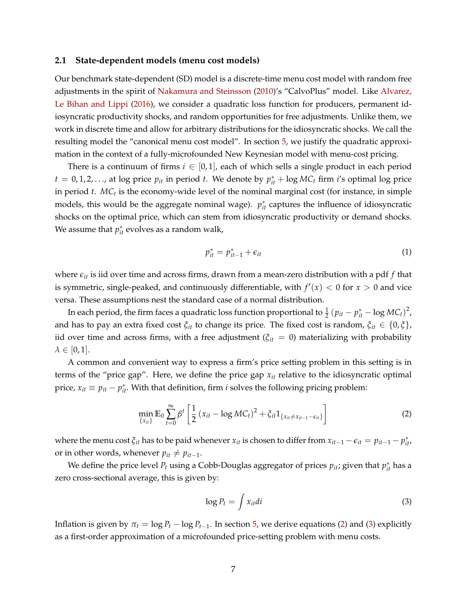#### <span id="page-6-2"></span>**2.1 State-dependent models (menu cost models)**

Our benchmark state-dependent (SD) model is a discrete-time menu cost model with random free adjustments in the spirit of [Nakamura and Steinsson](#page-45-2) [\(2010\)](#page-45-2)'s "CalvoPlus" model. Like [Alvarez,](#page-42-0) [Le Bihan and Lippi](#page-42-0) [\(2016\)](#page-42-0), we consider a quadratic loss function for producers, permanent idiosyncratic productivity shocks, and random opportunities for free adjustments. Unlike them, we work in discrete time and allow for arbitrary distributions for the idiosyncratic shocks. We call the resulting model the "canonical menu cost model". In section [5,](#page-32-0) we justify the quadratic approximation in the context of a fully-microfounded New Keynesian model with menu-cost pricing.

There is a continuum of firms  $i \in [0,1]$ , each of which sells a single product in each period  $t = 0, 1, 2, \ldots$ , at log price  $p_{it}$  in period  $t$ . We denote by  $p_{it}^* + \log MC_t$  firm *i*'s optimal log price in period *t*. MC<sub>t</sub> is the economy-wide level of the nominal marginal cost (for instance, in simple models, this would be the aggregate nominal wage).  $p_{it}^*$  captures the influence of idiosyncratic shocks on the optimal price, which can stem from idiosyncratic productivity or demand shocks. We assume that  $p_{it}^*$  evolves as a random walk,

$$
p_{it}^* = p_{it-1}^* + \epsilon_{it} \tag{1}
$$

where  $\epsilon_{it}$  is iid over time and across firms, drawn from a mean-zero distribution with a pdf  $f$  that is symmetric, single-peaked, and continuously differentiable, with  $f'(x) < 0$  for  $x > 0$  and vice versa. These assumptions nest the standard case of a normal distribution.

In each period, the firm faces a quadratic loss function proportional to  $\frac{1}{2}$   $(p_{it} - p_{it}^* - \log MC_t)^2$ , and has to pay an extra fixed cost  $\xi_{it}$  to change its price. The fixed cost is random,  $\xi_{it} \in \{0,\xi\}$ , iid over time and across firms, with a free adjustment ( $\xi_{it} = 0$ ) materializing with probability  $\lambda \in [0,1].$ 

A common and convenient way to express a firm's price setting problem in this setting is in terms of the "price gap". Here, we define the price gap *xit* relative to the idiosyncratic optimal price,  $x_{it} \equiv p_{it} - p_{it}^*$ . With that definition, firm *i* solves the following pricing problem:

$$
\min_{\{x_{it}\}} \mathbb{E}_0 \sum_{t=0}^{\infty} \beta^t \left[ \frac{1}{2} \left( x_{it} - \log MC_t \right)^2 + \xi_{it} 1_{\{ x_{it} \neq x_{it-1} - \epsilon_{it} \}} \right]
$$
(2)

where the menu cost  $\xi_{it}$  has to be paid whenever  $x_{it}$  is chosen to differ from  $x_{it-1} - \epsilon_{it} = p_{it-1} - p_{it}^*$ , or in other words, whenever  $p_{it} \neq p_{it-1}$ .

We define the price level  $P_t$  using a Cobb-Douglas aggregator of prices  $p_{it}$ ; given that  $p_{it}^*$  has a zero cross-sectional average, this is given by:

<span id="page-6-1"></span><span id="page-6-0"></span>
$$
\log P_t = \int x_{it}di \tag{3}
$$

Inflation is given by  $\pi_t = \log P_t - \log P_{t-1}$ . In section [5,](#page-32-0) we derive equations [\(2\)](#page-6-0) and [\(3\)](#page-6-1) explicitly as a first-order approximation of a microfounded price-setting problem with menu costs.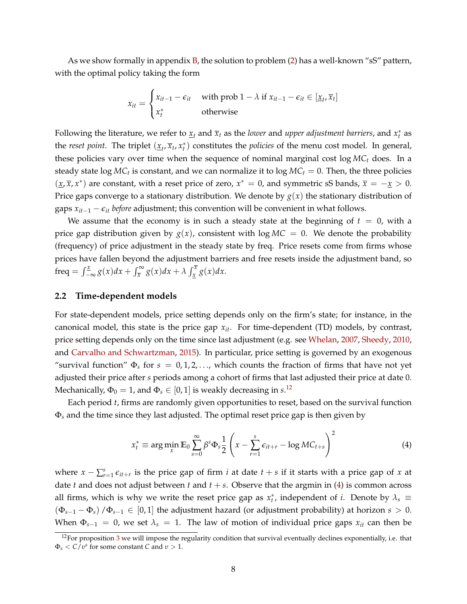As we show formally in appendix [B,](#page-53-0) the solution to problem [\(2\)](#page-6-0) has a well-known "sS" pattern, with the optimal policy taking the form

$$
x_{it} = \begin{cases} x_{it-1} - \epsilon_{it} & \text{with prob } 1 - \lambda \text{ if } x_{it-1} - \epsilon_{it} \in [\underline{x}_t, \overline{x}_t] \\ x_t^* & \text{otherwise} \end{cases}
$$

Following the literature, we refer to  $\underline{x}_t$  and  $\overline{x}_t$  as the *lower* and *upper adjustment barriers*, and  $x_t^*$  as the *reset point*. The triplet  $(\underline{x}_t, \overline{x}_t, x_t^*)$  constitutes the *policies* of the menu cost model. In general, these policies vary over time when the sequence of nominal marginal cost log *MC<sup>t</sup>* does. In a steady state  $\log MC_t$  is constant, and we can normalize it to  $\log MC_t = 0$ . Then, the three policies  $(\underline{x}, \overline{x}, x^*)$  are constant, with a reset price of zero,  $x^* = 0$ , and symmetric sS bands,  $\overline{x} = -\underline{x} > 0$ . Price gaps converge to a stationary distribution. We denote by  $g(x)$  the stationary distribution of gaps  $x_{it-1} - \epsilon_{it}$  *before* adjustment; this convention will be convenient in what follows.

We assume that the economy is in such a steady state at the beginning of  $t = 0$ , with a price gap distribution given by  $g(x)$ , consistent with  $\log MC = 0$ . We denote the probability (frequency) of price adjustment in the steady state by freq. Price resets come from firms whose prices have fallen beyond the adjustment barriers and free resets inside the adjustment band, so freq =  $\int_{-\infty}^{\underline{x}} g(x) dx + \int_{\overline{x}}^{\infty} g(x) dx + \lambda \int_{\underline{x}}^{\overline{x}} g(x) dx.$ 

#### **2.2 Time-dependent models**

For state-dependent models, price setting depends only on the firm's state; for instance, in the canonical model, this state is the price gap *xit*. For time-dependent (TD) models, by contrast, price setting depends only on the time since last adjustment (e.g. see [Whelan,](#page-46-11) [2007,](#page-46-11) [Sheedy,](#page-46-3) [2010,](#page-46-3) and [Carvalho and Schwartzman,](#page-43-2) [2015\)](#page-43-2). In particular, price setting is governed by an exogenous "survival function"  $\Phi_s$  for  $s = 0, 1, 2, \dots$ , which counts the fraction of firms that have not yet adjusted their price after *s* periods among a cohort of firms that last adjusted their price at date 0. Mechanically,  $\Phi_0 = 1$ , and  $\Phi_s \in [0, 1]$  is weakly decreasing in  $s$ .<sup>[12](#page-7-0)</sup>

Each period *t*, firms are randomly given opportunities to reset, based on the survival function Φ*<sup>s</sup>* and the time since they last adjusted. The optimal reset price gap is then given by

<span id="page-7-1"></span>
$$
x_t^* \equiv \arg\min_x \mathbb{E}_0 \sum_{s=0}^{\infty} \beta^s \Phi_s \frac{1}{2} \left( x - \sum_{r=1}^s \epsilon_{it+r} - \log MC_{t+s} \right)^2 \tag{4}
$$

where  $x - \sum_{r=1}^{s} \epsilon_{it+r}$  is the price gap of firm *i* at date  $t + s$  if it starts with a price gap of *x* at date *t* and does not adjust between *t* and  $t + s$ . Observe that the argmin in [\(4\)](#page-7-1) is common across all firms, which is why we write the reset price gap as  $x_t^*$ , independent of *i*. Denote by  $\lambda_s \equiv$  $(\Phi_{s-1} - \Phi_s)$  / $\Phi_{s-1} \in [0,1]$  the adjustment hazard (or adjustment probability) at horizon  $s > 0$ . When  $\Phi_{s-1} = 0$ , we set  $\lambda_s = 1$ . The law of motion of individual price gaps  $x_{it}$  can then be

<span id="page-7-0"></span> $12$ For proposition [3](#page-30-0) we will impose the regularity condition that survival eventually declines exponentially, i.e. that  $\Phi_s < C/v^s$  for some constant *C* and  $v > 1$ .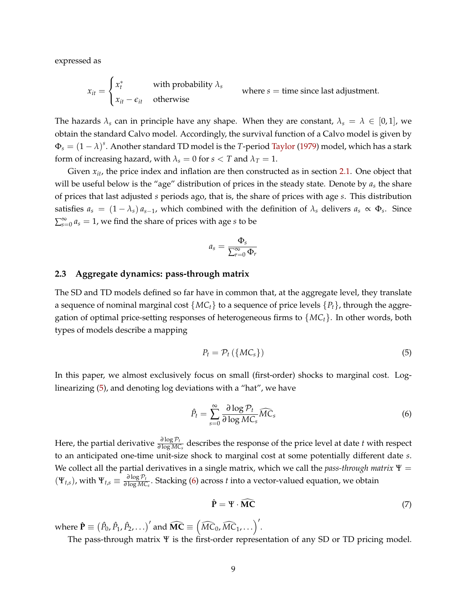expressed as

$$
x_{it} = \begin{cases} x_t^* & \text{with probability } \lambda_s \\ x_{it} - \epsilon_{it} & \text{otherwise} \end{cases}
$$
 where  $s = \text{time since last adjustment.}$ 

The hazards  $\lambda_s$  can in principle have any shape. When they are constant,  $\lambda_s = \lambda \in [0,1]$ , we obtain the standard Calvo model. Accordingly, the survival function of a Calvo model is given by  $\Phi_s = (1 - \lambda)^s$ . Another standard TD model is the *T*-period [Taylor](#page-46-2) [\(1979\)](#page-46-2) model, which has a stark form of increasing hazard, with  $\lambda_s = 0$  for  $s < T$  and  $\lambda_T = 1$ .

Given  $x_{it}$ , the price index and inflation are then constructed as in section [2.1.](#page-6-2) One object that will be useful below is the "age" distribution of prices in the steady state. Denote by *a<sup>s</sup>* the share of prices that last adjusted *s* periods ago, that is, the share of prices with age *s*. This distribution satisfies  $a_s = (1 - \lambda_s) a_{s-1}$ , which combined with the definition of  $\lambda_s$  delivers  $a_s \propto \Phi_s$ . Since  $\sum_{s=0}^{\infty} a_s = 1$ , we find the share of prices with age *s* to be

$$
a_s = \frac{\Phi_s}{\sum_{r=0}^{\infty} \Phi_r}
$$

#### <span id="page-8-3"></span>**2.3 Aggregate dynamics: pass-through matrix**

The SD and TD models defined so far have in common that, at the aggregate level, they translate a sequence of nominal marginal cost  $\{MC_t\}$  to a sequence of price levels  $\{P_t\}$ , through the aggregation of optimal price-setting responses of heterogeneous firms to {*MCt*}. In other words, both types of models describe a mapping

<span id="page-8-0"></span>
$$
P_t = \mathcal{P}_t \left( \{ M C_s \} \right) \tag{5}
$$

In this paper, we almost exclusively focus on small (first-order) shocks to marginal cost. Loglinearizing [\(5\)](#page-8-0), and denoting log deviations with a "hat", we have

<span id="page-8-1"></span>
$$
\hat{P}_t = \sum_{s=0}^{\infty} \frac{\partial \log \mathcal{P}_t}{\partial \log M C_s} \widehat{MC}_s \tag{6}
$$

Here, the partial derivative  $\frac{\partial \log P_t}{\partial \log MC_s}$  describes the response of the price level at date *t* with respect to an anticipated one-time unit-size shock to marginal cost at some potentially different date *s*. We collect all the partial derivatives in a single matrix, which we call the *pass-through matrix* Ψ =  $(\Psi_{t,s})$ , with  $\Psi_{t,s} \equiv \frac{\partial \log P_t}{\partial \log M C_s}$ . Stacking [\(6\)](#page-8-1) across *t* into a vector-valued equation, we obtain

<span id="page-8-2"></span>
$$
\hat{\mathbf{P}} = \Psi \cdot \widehat{\mathbf{MC}} \tag{7}
$$

where  $\hat{\mathbf{P}} \equiv (\hat{P}_0, \hat{P}_1, \hat{P}_2, \ldots)'$  and  $\widehat{\mathbf{MC}} \equiv (\widehat{MC}_0, \widehat{MC}_1, \ldots)'$ .

The pass-through matrix Ψ is the first-order representation of any SD or TD pricing model.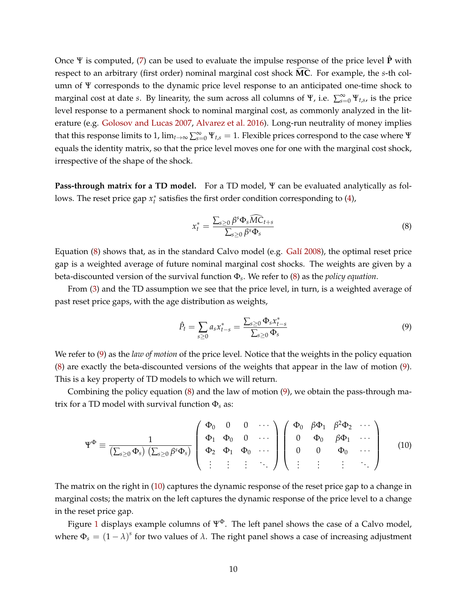Once Ψ is computed, [\(7\)](#page-8-2) can be used to evaluate the impulse response of the price level **P**ˆ with respect to an arbitrary (first order) nominal marginal cost shock **MC**. For example, the *s*-th column of Ψ corresponds to the dynamic price level response to an anticipated one-time shock to marginal cost at date *s*. By linearity, the sum across all columns of  $\Psi$ , i.e.  $\sum_{s=0}^{\infty} \Psi_{t,s}$ , is the price level response to a permanent shock to nominal marginal cost, as commonly analyzed in the literature (e.g. [Golosov and Lucas](#page-44-1) [2007,](#page-44-1) [Alvarez et al.](#page-42-0) [2016\)](#page-42-0). Long-run neutrality of money implies that this response limits to 1,  $\lim_{t\to\infty}\sum_{s=0}^{\infty}\Psi_{t,s}=1$ . Flexible prices correspond to the case where  $\Psi$ equals the identity matrix, so that the price level moves one for one with the marginal cost shock, irrespective of the shape of the shock.

**Pass-through matrix for a TD model.** For a TD model, Ψ can be evaluated analytically as follows. The reset price gap  $x_t^*$  satisfies the first order condition corresponding to [\(4\)](#page-7-1),

<span id="page-9-0"></span>
$$
x_t^* = \frac{\sum_{s \geq 0} \beta^s \Phi_s \widehat{MC}_{t+s}}{\sum_{s \geq 0} \beta^s \Phi_s}
$$
(8)

Equation [\(8\)](#page-9-0) shows that, as in the standard Calvo model (e.g. [Galí](#page-44-0) [2008\)](#page-44-0), the optimal reset price gap is a weighted average of future nominal marginal cost shocks. The weights are given by a beta-discounted version of the survival function Φ*<sup>s</sup>* . We refer to [\(8\)](#page-9-0) as the *policy equation*.

From [\(3\)](#page-6-1) and the TD assumption we see that the price level, in turn, is a weighted average of past reset price gaps, with the age distribution as weights,

<span id="page-9-1"></span>
$$
\hat{P}_t = \sum_{s \ge 0} a_s x_{t-s}^* = \frac{\sum_{s \ge 0} \Phi_s x_{t-s}^*}{\sum_{s \ge 0} \Phi_s} \tag{9}
$$

We refer to [\(9\)](#page-9-1) as the *law of motion* of the price level. Notice that the weights in the policy equation [\(8\)](#page-9-0) are exactly the beta-discounted versions of the weights that appear in the law of motion [\(9\)](#page-9-1). This is a key property of TD models to which we will return.

Combining the policy equation [\(8\)](#page-9-0) and the law of motion [\(9\)](#page-9-1), we obtain the pass-through matrix for a TD model with survival function Φ*<sup>s</sup>* as:

<span id="page-9-2"></span>
$$
\Psi^{\Phi} \equiv \frac{1}{\left(\sum_{s\geq 0} \Phi_s\right) \left(\sum_{s\geq 0} \beta^s \Phi_s\right)} \left( \begin{array}{cccc} \Phi_0 & 0 & 0 & \cdots \\ \Phi_1 & \Phi_0 & 0 & \cdots \\ \Phi_2 & \Phi_1 & \Phi_0 & \cdots \\ \vdots & \vdots & \vdots & \ddots \end{array} \right) \left( \begin{array}{cccc} \Phi_0 & \beta \Phi_1 & \beta^2 \Phi_2 & \cdots \\ 0 & \Phi_0 & \beta \Phi_1 & \cdots \\ 0 & 0 & \Phi_0 & \cdots \\ \vdots & \vdots & \vdots & \ddots \end{array} \right) \tag{10}
$$

The matrix on the right in [\(10\)](#page-9-2) captures the dynamic response of the reset price gap to a change in marginal costs; the matrix on the left captures the dynamic response of the price level to a change in the reset price gap.

Figure [1](#page-10-0) displays example columns of  $\Psi^{\Phi}$ . The left panel shows the case of a Calvo model, where  $\Phi_s = (1 - \lambda)^s$  for two values of  $\lambda$ . The right panel shows a case of increasing adjustment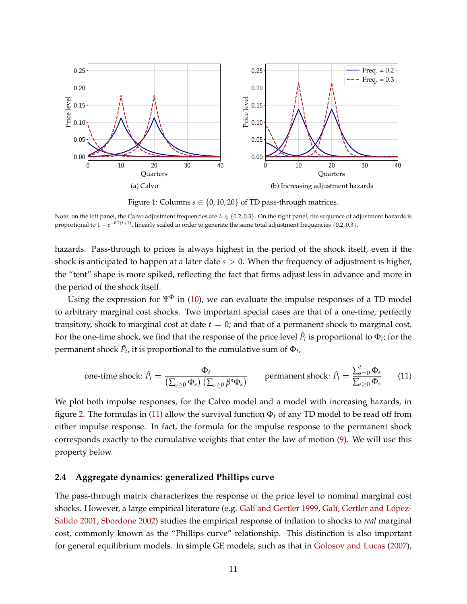<span id="page-10-0"></span>

Figure 1: Columns  $s \in \{0, 10, 20\}$  of TD pass-through matrices.

Note: on the left panel, the Calvo adjustment frequencies are *λ* ∈ {0.2, 0.3}. On the right panel, the sequence of adjustment hazards is proportional to  $1 - e^{-0.2(t+1)}$ , linearly scaled in order to generate the same total adjustment frequencies  $\{0.2, 0.3\}$ .

hazards. Pass-through to prices is always highest in the period of the shock itself, even if the shock is anticipated to happen at a later date *s* > 0. When the frequency of adjustment is higher, the "tent" shape is more spiked, reflecting the fact that firms adjust less in advance and more in the period of the shock itself.

Using the expression for  $\Psi^{\Phi}$  in [\(10\)](#page-9-2), we can evaluate the impulse responses of a TD model to arbitrary marginal cost shocks. Two important special cases are that of a one-time, perfectly transitory, shock to marginal cost at date *t* = 0; and that of a permanent shock to marginal cost. For the one-time shock, we find that the response of the price level  $\hat{P}_t$  is proportional to  $\Phi_t$ ; for the permanent shock  $\hat{P}_t$ , it is proportional to the cumulative sum of  $\Phi_t$ ,

<span id="page-10-1"></span>one-time shock: 
$$
\hat{P}_t = \frac{\Phi_t}{\left(\sum_{s\geq 0} \Phi_s\right) \left(\sum_{s\geq 0} \beta^s \Phi_s\right)}
$$
 permanent shock:  $\hat{P}_t = \frac{\sum_{s=0}^t \Phi_s}{\sum_{s\geq 0} \Phi_s}$  (11)

We plot both impulse responses, for the Calvo model and a model with increasing hazards, in figure [2.](#page-11-0) The formulas in [\(11\)](#page-10-1) allow the survival function  $\Phi_t$  of any TD model to be read off from either impulse response. In fact, the formula for the impulse response to the permanent shock corresponds exactly to the cumulative weights that enter the law of motion [\(9\)](#page-9-1). We will use this property below.

## **2.4 Aggregate dynamics: generalized Phillips curve**

The pass-through matrix characterizes the response of the price level to nominal marginal cost shocks. However, a large empirical literature (e.g. [Galí and Gertler](#page-44-6) [1999,](#page-44-6) [Galí, Gertler and López-](#page-44-8)[Salido](#page-44-8) [2001,](#page-44-8) [Sbordone](#page-46-12) [2002\)](#page-46-12) studies the empirical response of inflation to shocks to *real* marginal cost, commonly known as the "Phillips curve" relationship. This distinction is also important for general equilibrium models. In simple GE models, such as that in [Golosov and Lucas](#page-44-1) [\(2007\)](#page-44-1),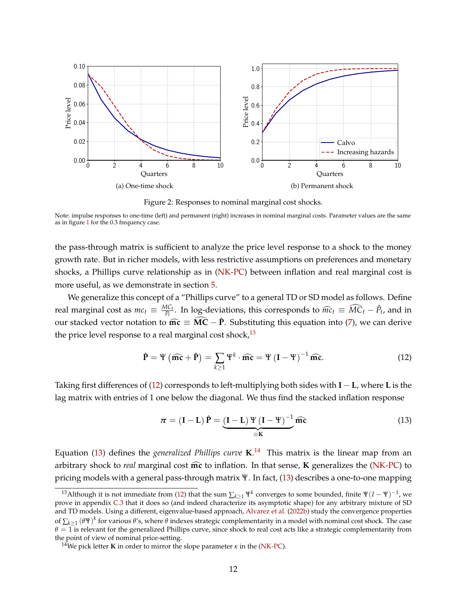<span id="page-11-0"></span>

Figure 2: Responses to nominal marginal cost shocks.

Note: impulse responses to one-time (left) and permanent (right) increases in nominal marginal costs. Parameter values are the same as in figure [1](#page-10-0) for the 0.3 frequency case.

the pass-through matrix is sufficient to analyze the price level response to a shock to the money growth rate. But in richer models, with less restrictive assumptions on preferences and monetary shocks, a Phillips curve relationship as in [\(NK-PC\)](#page-1-4) between inflation and real marginal cost is more useful, as we demonstrate in section [5.](#page-32-0)

We generalize this concept of a "Phillips curve" to a general TD or SD model as follows. Define real marginal cost as  $mc_t \equiv \frac{MC_t}{P_t}$  $\frac{AC_t}{P_t}$ . In log-deviations, this corresponds to  $\widehat{mc}_t \equiv \widehat{MC}_t - \widehat{P}_t$ , and in our stacked vector notation to  $\widehat{mc} \equiv \widehat{MC} - \widehat{P}$ . Substituting this equation into [\(7\)](#page-8-2), we can derive the price level response to a real marginal cost shock,  $^{13}$  $^{13}$  $^{13}$ 

<span id="page-11-2"></span>
$$
\hat{\mathbf{P}} = \Psi\left(\widehat{\mathbf{mc}} + \hat{\mathbf{P}}\right) = \sum_{k \ge 1} \Psi^k \cdot \widehat{\mathbf{mc}} = \Psi\left(\mathbf{I} - \Psi\right)^{-1} \widehat{\mathbf{mc}}.\tag{12}
$$

Taking first differences of [\(12\)](#page-11-2) corresponds to left-multiplying both sides with **I** − **L**, where **L** is the lag matrix with entries of 1 one below the diagonal. We thus find the stacked inflation response

<span id="page-11-3"></span>
$$
\pi = (\mathbf{I} - \mathbf{L})\hat{\mathbf{P}} = \underbrace{(\mathbf{I} - \mathbf{L})\,\Psi(\mathbf{I} - \Psi)^{-1}}_{\equiv \mathbf{K}}\widehat{\mathbf{mc}}
$$
(13)

Equation [\(13\)](#page-11-3) defines the *generalized Phillips curve* **K**. [14](#page-11-4) This matrix is the linear map from an arbitrary shock to *real* marginal cost  $\widehat{mc}$  to inflation. In that sense, **K** generalizes the [\(NK-PC\)](#page-1-4) to pricing models with a general pass-through matrix Ψ. In fact, [\(13\)](#page-11-3) describes a one-to-one mapping

<span id="page-11-1"></span><sup>&</sup>lt;sup>13</sup>Although it is not immediate from [\(12\)](#page-11-2) that the sum  $\sum_{k\geq 1} \Psi^k$  converges to some bounded, finite  $\Psi(I - \Psi)^{-1}$ , we prove in appendix [C.3](#page-61-0) that it does so (and indeed characterize its asymptotic shape) for any arbitrary mixture of SD and TD models. Using a different, eigenvalue-based approach, [Alvarez et al.](#page-42-6) [\(2022b\)](#page-42-6) study the convergence properties of  $\sum_{k\geq 1} (\theta \Psi)^k$  for various  $\theta$ 's, where  $\theta$  indexes strategic complementarity in a model with nominal cost shock. The case  $\theta = 1$  is relevant for the generalized Phillips curve, since shock to real cost acts like a strategic complementarity from the point of view of nominal price-setting.

<span id="page-11-4"></span><sup>&</sup>lt;sup>14</sup>We pick letter **K** in order to mirror the slope parameter  $\kappa$  in the [\(NK-PC\)](#page-1-4).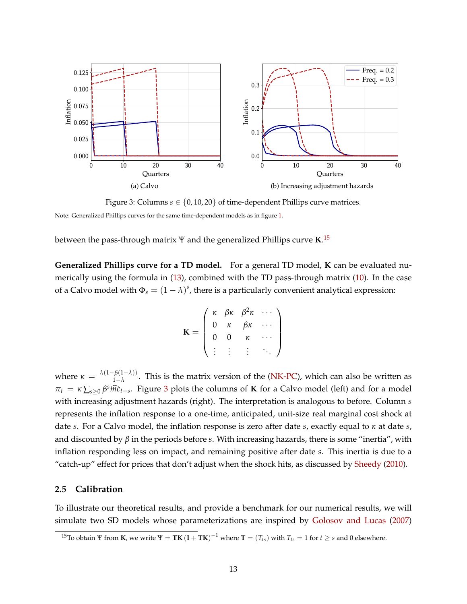<span id="page-12-1"></span>

Figure 3: Columns  $s \in \{0, 10, 20\}$  of time-dependent Phillips curve matrices.

Note: Generalized Phillips curves for the same time-dependent models as in figure [1.](#page-10-0)

between the pass-through matrix Ψ and the generalized Phillips curve **K**. [15](#page-12-0)

**Generalized Phillips curve for a TD model.** For a general TD model, **K** can be evaluated numerically using the formula in [\(13\)](#page-11-3), combined with the TD pass-through matrix [\(10\)](#page-9-2). In the case of a Calvo model with  $\Phi_s = (1 - \lambda)^s$ , there is a particularly convenient analytical expression:

$$
\mathbf{K} = \left( \begin{array}{cccc} \kappa & \beta \kappa & \beta^2 \kappa & \cdots \\ 0 & \kappa & \beta \kappa & \cdots \\ 0 & 0 & \kappa & \cdots \\ \vdots & \vdots & \vdots & \ddots \end{array} \right)
$$

where  $\kappa = \frac{\lambda(1-\beta(1-\lambda))}{1-\lambda}$  $\frac{1-\lambda}{1-\lambda}$ . This is the matrix version of the [\(NK-PC\)](#page-1-4), which can also be written as  $\pi_t = \kappa \sum_{s \geq 0} \beta^s \widehat{mc}_{t+s}$ . Figure [3](#page-12-1) plots the columns of **K** for a Calvo model (left) and for a model with increasing adjustment hazards (right). The interpretation is analogous to before. Column *s* represents the inflation response to a one-time, anticipated, unit-size real marginal cost shock at date *s*. For a Calvo model, the inflation response is zero after date *s*, exactly equal to *κ* at date *s*, and discounted by *β* in the periods before *s*. With increasing hazards, there is some "inertia", with inflation responding less on impact, and remaining positive after date *s*. This inertia is due to a "catch-up" effect for prices that don't adjust when the shock hits, as discussed by [Sheedy](#page-46-3) [\(2010\)](#page-46-3).

## **2.5 Calibration**

To illustrate our theoretical results, and provide a benchmark for our numerical results, we will simulate two SD models whose parameterizations are inspired by [Golosov and Lucas](#page-44-1) [\(2007\)](#page-44-1)

<span id="page-12-0"></span><sup>&</sup>lt;sup>15</sup>To obtain Ψ from **K**, we write  $\Psi = TK (I + TK)^{-1}$  where  $T = (T_{ts})$  with  $T_{ts} = 1$  for  $t \ge s$  and 0 elsewhere.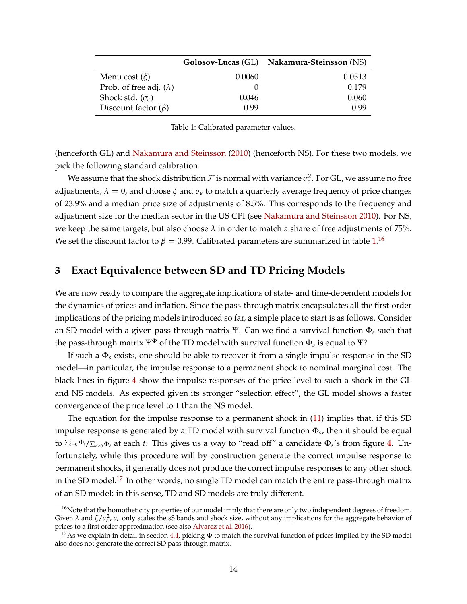<span id="page-13-1"></span>

|                                  |        | Golosov-Lucas (GL) Nakamura-Steinsson (NS) |
|----------------------------------|--------|--------------------------------------------|
| Menu cost $(\xi)$                | 0.0060 | 0.0513                                     |
| Prob. of free adj. $(\lambda)$   |        | 0.179                                      |
| Shock std. $(\sigma_{\epsilon})$ | 0.046  | 0.060                                      |
| Discount factor $(\beta)$        | 0.99   | 0.99                                       |

Table 1: Calibrated parameter values.

(henceforth GL) and [Nakamura and Steinsson](#page-45-2) [\(2010\)](#page-45-2) (henceforth NS). For these two models, we pick the following standard calibration.

We assume that the shock distribution  $\cal F$  is normal with variance  $\sigma_{\epsilon}^2$ . For GL, we assume no free adjustments,  $\lambda = 0$ , and choose  $\xi$  and  $\sigma_{\epsilon}$  to match a quarterly average frequency of price changes of 23.9% and a median price size of adjustments of 8.5%. This corresponds to the frequency and adjustment size for the median sector in the US CPI (see [Nakamura and Steinsson](#page-45-2) [2010\)](#page-45-2). For NS, we keep the same targets, but also choose  $\lambda$  in order to match a share of free adjustments of 75%. We set the discount factor to  $\beta = 0.99$ . Calibrated parameters are summarized in table  $1.^{16}$  $1.^{16}$  $1.^{16}$  $1.^{16}$ 

## <span id="page-13-0"></span>**3 Exact Equivalence between SD and TD Pricing Models**

We are now ready to compare the aggregate implications of state- and time-dependent models for the dynamics of prices and inflation. Since the pass-through matrix encapsulates all the first-order implications of the pricing models introduced so far, a simple place to start is as follows. Consider an SD model with a given pass-through matrix Ψ. Can we find a survival function Φ*<sup>s</sup>* such that the pass-through matrix  $\Psi^\Phi$  of the TD model with survival function  $\Phi_s$  is equal to  $\Psi?$ 

If such a Φ*<sup>s</sup>* exists, one should be able to recover it from a single impulse response in the SD model—in particular, the impulse response to a permanent shock to nominal marginal cost. The black lines in figure [4](#page-14-0) show the impulse responses of the price level to such a shock in the GL and NS models. As expected given its stronger "selection effect", the GL model shows a faster convergence of the price level to 1 than the NS model.

The equation for the impulse response to a permanent shock in [\(11\)](#page-10-1) implies that, if this SD impulse response is generated by a TD model with survival function Φ*<sup>s</sup>* , then it should be equal to ∑ *t <sup>s</sup>*=<sup>0</sup> <sup>Φ</sup>*s*/∑*s*≥<sup>0</sup> <sup>Φ</sup>*<sup>s</sup>* at each *t*. This gives us a way to "read off" a candidate Φ*<sup>s</sup>* 's from figure [4.](#page-14-0) Unfortunately, while this procedure will by construction generate the correct impulse response to permanent shocks, it generally does not produce the correct impulse responses to any other shock in the SD model.<sup>[17](#page-13-3)</sup> In other words, no single TD model can match the entire pass-through matrix of an SD model: in this sense, TD and SD models are truly different.

<span id="page-13-2"></span><sup>&</sup>lt;sup>16</sup>Note that the homotheticity properties of our model imply that there are only two independent degrees of freedom. Given  $\lambda$  and  $\xi/\sigma_{\epsilon}^2$ ,  $\sigma_{\epsilon}$  only scales the sS bands and shock size, without any implications for the aggregate behavior of prices to a first order approximation (see also [Alvarez et al.](#page-42-0) [2016\)](#page-42-0).

<span id="page-13-3"></span><sup>&</sup>lt;sup>17</sup>As we explain in detail in section [4.4,](#page-29-0) picking  $\Phi$  to match the survival function of prices implied by the SD model also does not generate the correct SD pass-through matrix.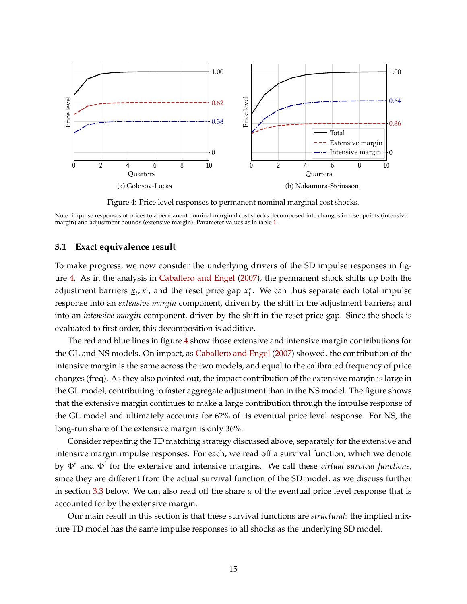<span id="page-14-0"></span>

Figure 4: Price level responses to permanent nominal marginal cost shocks.

Note: impulse responses of prices to a permanent nominal marginal cost shocks decomposed into changes in reset points (intensive margin) and adjustment bounds (extensive margin). Parameter values as in table [1.](#page-13-1)

## **3.1 Exact equivalence result**

To make progress, we now consider the underlying drivers of the SD impulse responses in figure [4.](#page-14-0) As in the analysis in [Caballero and Engel](#page-43-4) [\(2007\)](#page-43-4), the permanent shock shifts up both the adjustment barriers  $\underline{x}_t, \overline{x}_t$ , and the reset price gap  $x_t^*$ . We can thus separate each total impulse response into an *extensive margin* component, driven by the shift in the adjustment barriers; and into an *intensive margin* component, driven by the shift in the reset price gap. Since the shock is evaluated to first order, this decomposition is additive.

The red and blue lines in figure [4](#page-14-0) show those extensive and intensive margin contributions for the GL and NS models. On impact, as [Caballero and Engel](#page-43-4) [\(2007\)](#page-43-4) showed, the contribution of the intensive margin is the same across the two models, and equal to the calibrated frequency of price changes (freq). As they also pointed out, the impact contribution of the extensive margin is large in the GL model, contributing to faster aggregate adjustment than in the NS model. The figure shows that the extensive margin continues to make a large contribution through the impulse response of the GL model and ultimately accounts for 62% of its eventual price level response. For NS, the long-run share of the extensive margin is only 36%.

Consider repeating the TD matching strategy discussed above, separately for the extensive and intensive margin impulse responses. For each, we read off a survival function, which we denote by Φ*<sup>e</sup>* and Φ*<sup>i</sup>* for the extensive and intensive margins. We call these *virtual survival functions,* since they are different from the actual survival function of the SD model, as we discuss further in section [3.3](#page-20-0) below. We can also read off the share *α* of the eventual price level response that is accounted for by the extensive margin.

Our main result in this section is that these survival functions are *structural*: the implied mixture TD model has the same impulse responses to all shocks as the underlying SD model.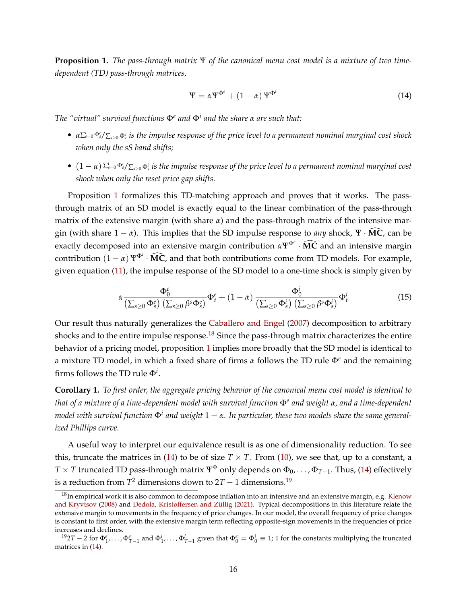<span id="page-15-0"></span>**Proposition 1.** *The pass-through matrix* Ψ *of the canonical menu cost model is a mixture of two timedependent (TD) pass-through matrices,*

<span id="page-15-2"></span>
$$
\Psi = \alpha \Psi^{\Phi^c} + (1 - \alpha) \Psi^{\Phi^i}
$$
 (14)

*The "virtual" survival functions*  $\Phi$ <sup>*e</sup> and*  $\Phi$ <sup>*i and the share α are such that*:</sup></sup>

- *• α*<sup>∑</sup> *t <sup>s</sup>*=<sup>0</sup> Φ*<sup>e</sup> <sup>s</sup>*/∑*s*≥<sup>0</sup> <sup>Φ</sup>*<sup>e</sup> s is the impulse response of the price level to a permanent nominal marginal cost shock when only the sS band shifts;*
- *•* (1 − *α*) <sup>∑</sup> *t <sup>s</sup>*=<sup>0</sup> Φ*<sup>i</sup> <sup>s</sup>*/∑*s*≥<sup>0</sup> <sup>Φ</sup>*<sup>i</sup> s is the impulse response of the price level to a permanent nominal marginal cost shock when only the reset price gap shifts.*

Proposition [1](#page-15-0) formalizes this TD-matching approach and proves that it works. The passthrough matrix of an SD model is exactly equal to the linear combination of the pass-through matrix of the extensive margin (with share *α*) and the pass-through matrix of the intensive margin (with share  $1 - \alpha$ ). This implies that the SD impulse response to *any* shock, Ψ ·  $\widehat{MC}$ , can be exactly decomposed into an extensive margin contribution  $\alpha \Psi^{\Phi^e} \cdot \widehat{MC}$  and an intensive margin contribution  $(1 - \alpha) \Psi^{\Phi^i} \cdot \widehat{MC}$ , and that both contributions come from TD models. For example, given equation [\(11\)](#page-10-1), the impulse response of the SD model to a one-time shock is simply given by

<span id="page-15-4"></span>
$$
\alpha \frac{\Phi_0^e}{\left(\sum_{s\geq 0} \Phi_s^e\right) \left(\sum_{s\geq 0} \beta^s \Phi_s^e\right)} \Phi_t^e + (1 - \alpha) \frac{\Phi_0^i}{\left(\sum_{s\geq 0} \Phi_s^i\right) \left(\sum_{s\geq 0} \beta^s \Phi_s^i\right)} \Phi_t^i
$$
(15)

Our result thus naturally generalizes the [Caballero and Engel](#page-43-4) [\(2007\)](#page-43-4) decomposition to arbitrary shocks and to the entire impulse response.<sup>[18](#page-15-1)</sup> Since the pass-through matrix characterizes the entire behavior of a pricing model, proposition [1](#page-15-0) implies more broadly that the SD model is identical to a mixture TD model, in which a fixed share of firms *α* follows the TD rule Φ*<sup>e</sup>* and the remaining firms follows the TD rule  $\Phi^i.$ 

**Corollary 1.** *To first order, the aggregate pricing behavior of the canonical menu cost model is identical to that of a mixture of a time-dependent model with survival function* Φ*<sup>e</sup> and weight α, and a time-dependent model with survival function* Φ*<sup>i</sup> and weight* 1 − *α. In particular, these two models share the same generalized Phillips curve.*

A useful way to interpret our equivalence result is as one of dimensionality reduction. To see this, truncate the matrices in [\(14\)](#page-15-2) to be of size  $T \times T$ . From [\(10\)](#page-9-2), we see that, up to a constant, a *T* × *T* truncated TD pass-through matrix  $\Psi^{\Phi}$  only depends on  $\Phi_0, \ldots, \Phi_{T-1}$ . Thus, [\(14\)](#page-15-2) effectively is a reduction from  $T^2$  dimensions down to  $2T-1$  dimensions.<sup>[19](#page-15-3)</sup>

<span id="page-15-1"></span> $18$ In empirical work it is also common to decompose inflation into an intensive and an extensive margin, e.g. [Klenow](#page-45-1) [and Kryvtsov](#page-45-1) [\(2008\)](#page-45-1) and [Dedola, Kristøffersen and Züllig](#page-43-10) [\(2021\)](#page-43-10). Typical decompositions in this literature relate the extensive margin to movements in the frequency of price changes. In our model, the overall frequency of price changes is constant to first order, with the extensive margin term reflecting opposite-sign movements in the frequencies of price increases and declines.

<span id="page-15-3"></span> $\Phi_1^{19}2T - 2$  for  $\Phi_1^e, \ldots, \Phi_{T-1}^e$  and  $\Phi_1^i, \ldots, \Phi_{T-1}^i$  given that  $\Phi_0^e = \Phi_0^i \equiv 1$ ; 1 for the constants multiplying the truncated matrices in [\(14\)](#page-15-2).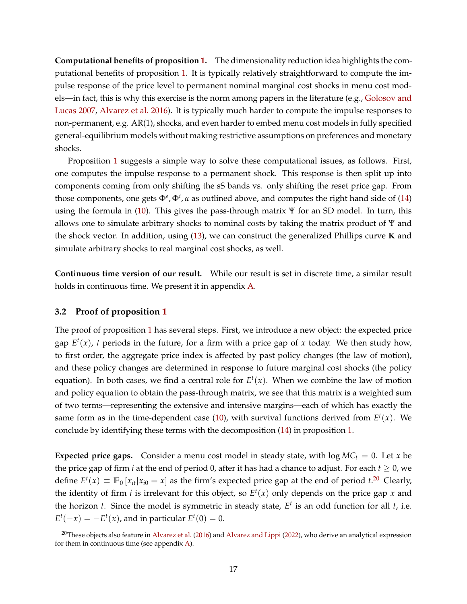**Computational benefits of proposition [1.](#page-15-0)** The dimensionality reduction idea highlights the computational benefits of proposition [1.](#page-15-0) It is typically relatively straightforward to compute the impulse response of the price level to permanent nominal marginal cost shocks in menu cost models—in fact, this is why this exercise is the norm among papers in the literature (e.g., [Golosov and](#page-44-1) [Lucas](#page-44-1) [2007,](#page-44-1) [Alvarez et al.](#page-42-0) [2016\)](#page-42-0). It is typically much harder to compute the impulse responses to non-permanent, e.g. AR(1), shocks, and even harder to embed menu cost models in fully specified general-equilibrium models without making restrictive assumptions on preferences and monetary shocks.

Proposition [1](#page-15-0) suggests a simple way to solve these computational issues, as follows. First, one computes the impulse response to a permanent shock. This response is then split up into components coming from only shifting the sS bands vs. only shifting the reset price gap. From those components, one gets  $\Phi^e$ ,  $\Phi^i$ , *α* as outlined above, and computes the right hand side of [\(14\)](#page-15-2) using the formula in [\(10\)](#page-9-2). This gives the pass-through matrix Ψ for an SD model. In turn, this allows one to simulate arbitrary shocks to nominal costs by taking the matrix product of Ψ and the shock vector. In addition, using [\(13\)](#page-11-3), we can construct the generalized Phillips curve **K** and simulate arbitrary shocks to real marginal cost shocks, as well.

**Continuous time version of our result.** While our result is set in discrete time, a similar result holds in continuous time. We present it in appendix [A.](#page-47-0)

## **3.2 Proof of proposition [1](#page-15-0)**

The proof of proposition [1](#page-15-0) has several steps. First, we introduce a new object: the expected price gap  $E^t(x)$ , *t* periods in the future, for a firm with a price gap of *x* today. We then study how, to first order, the aggregate price index is affected by past policy changes (the law of motion), and these policy changes are determined in response to future marginal cost shocks (the policy equation). In both cases, we find a central role for  $E^t(x)$ . When we combine the law of motion and policy equation to obtain the pass-through matrix, we see that this matrix is a weighted sum of two terms—representing the extensive and intensive margins—each of which has exactly the same form as in the time-dependent case  $(10)$ , with survival functions derived from  $E^t(x)$ . We conclude by identifying these terms with the decomposition [\(14\)](#page-15-2) in proposition [1.](#page-15-0)

**Expected price gaps.** Consider a menu cost model in steady state, with  $log MC<sub>t</sub> = 0$ . Let *x* be the price gap of firm *i* at the end of period 0, after it has had a chance to adjust. For each  $t \ge 0$ , we define  $E^t(x) \equiv \mathbb{E}_0 [x_{it} | x_{i0} = x]$  as the firm's expected price gap at the end of period  $t^{20}$  $t^{20}$  $t^{20}$  Clearly, the identity of firm *i* is irrelevant for this object, so  $E^t(x)$  only depends on the price gap *x* and the horizon  $t$ . Since the model is symmetric in steady state,  $E^t$  is an odd function for all  $t$ , i.e.  $E^t(-x) = -E^t(x)$ , and in particular  $E^t(0) = 0$ .

<span id="page-16-0"></span><sup>&</sup>lt;sup>20</sup>These objects also feature in [Alvarez et al.](#page-42-0) [\(2016\)](#page-42-0) and [Alvarez and Lippi](#page-42-2) [\(2022\)](#page-42-2), who derive an analytical expression for them in continuous time (see appendix [A\)](#page-47-0).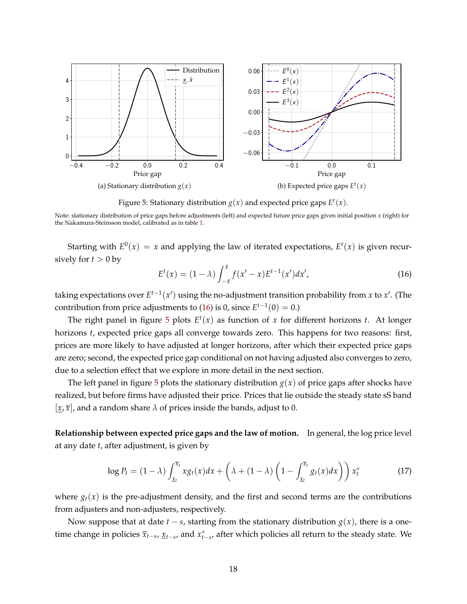<span id="page-17-1"></span>

Figure 5: Stationary distribution  $g(x)$  and expected price gaps  $E^t(x)$ .

Note: stationary distribution of price gaps before adjustments (left) and expected future price gaps given initial position *x* (right) for the Nakamura-Steinsson model, calibrated as in table [1.](#page-13-1)

Starting with  $E^0(x) = x$  and applying the law of iterated expectations,  $E^t(x)$  is given recursively for  $t > 0$  by

<span id="page-17-0"></span>
$$
E^{t}(x) = (1 - \lambda) \int_{-\bar{x}}^{\bar{x}} f(x'-x) E^{t-1}(x') dx', \qquad (16)
$$

taking expectations over  $E^{t-1}(x')$  using the no-adjustment transition probability from *x* to *x'* . (The contribution from price adjustments to [\(16\)](#page-17-0) is 0, since  $E^{t-1}(0) = 0$ .)

The right panel in figure  $5$  plots  $E^t(x)$  as function of  $x$  for different horizons  $t$ . At longer horizons *t*, expected price gaps all converge towards zero. This happens for two reasons: first, prices are more likely to have adjusted at longer horizons, after which their expected price gaps are zero; second, the expected price gap conditional on not having adjusted also converges to zero, due to a selection effect that we explore in more detail in the next section.

The left panel in figure [5](#page-17-1) plots the stationary distribution  $g(x)$  of price gaps after shocks have realized, but before firms have adjusted their price. Prices that lie outside the steady state sS band  $[x, \overline{x}]$ , and a random share  $\lambda$  of prices inside the bands, adjust to 0.

**Relationship between expected price gaps and the law of motion.** In general, the log price level at any date *t*, after adjustment, is given by

$$
\log P_t = (1 - \lambda) \int_{\underline{x}_t}^{\overline{x}_t} x g_t(x) dx + \left( \lambda + (1 - \lambda) \left( 1 - \int_{\underline{x}_t}^{\overline{x}_t} g_t(x) dx \right) \right) x_t^* \tag{17}
$$

where  $g_t(x)$  is the pre-adjustment density, and the first and second terms are the contributions from adjusters and non-adjusters, respectively.

Now suppose that at date *t* − *s*, starting from the stationary distribution *g*(*x*), there is a onetime change in policies  $\overline{x}_{t-s}$ ,  $\underline{x}_{t-s}$ , and  $x_{t-s}^*$ , after which policies all return to the steady state. We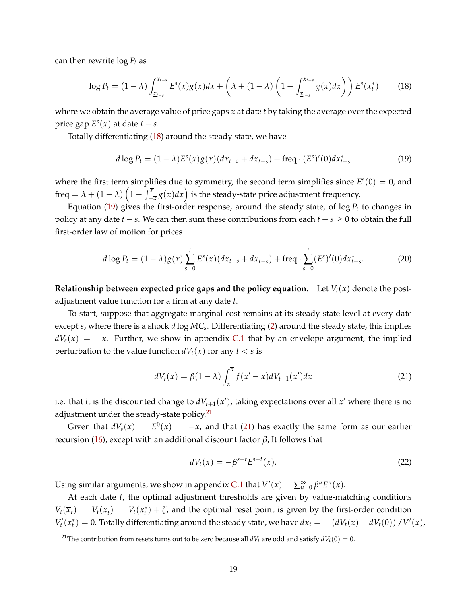can then rewrite log *P<sup>t</sup>* as

<span id="page-18-0"></span>
$$
\log P_t = (1 - \lambda) \int_{\underline{x}_{t-s}}^{\overline{x}_{t-s}} E^s(x) g(x) dx + \left( \lambda + (1 - \lambda) \left( 1 - \int_{\underline{x}_{t-s}}^{\overline{x}_{t-s}} g(x) dx \right) \right) E^s(x_t^*) \tag{18}
$$

where we obtain the average value of price gaps *x* at date *t* by taking the average over the expected price gap  $E^s(x)$  at date  $t - s$ .

Totally differentiating [\(18\)](#page-18-0) around the steady state, we have

<span id="page-18-1"></span>
$$
d \log P_t = (1 - \lambda) E^s(\overline{x}) g(\overline{x}) (d\overline{x}_{t-s} + d\underline{x}_{t-s}) + \text{freq} \cdot (E^s)'(0) dx^*_{t-s}
$$
(19)

where the first term simplifies due to symmetry, the second term simplifies since  $E<sup>s</sup>(0) = 0$ , and freq =  $\lambda + (1 - \lambda) \left(1 - \int_{-\overline{x}}^{\overline{x}} g(x) dx\right)$  is the steady-state price adjustment frequency.

Equation [\(19\)](#page-18-1) gives the first-order response, around the steady state, of  $\log P_t$  to changes in policy at any date  $t - s$ . We can then sum these contributions from each  $t - s > 0$  to obtain the full first-order law of motion for prices

<span id="page-18-4"></span>
$$
d \log P_t = (1 - \lambda) g(\overline{x}) \sum_{s=0}^t E^s(\overline{x}) (d\overline{x}_{t-s} + d\underline{x}_{t-s}) + \text{freq} \cdot \sum_{s=0}^t (E^s)'(0) dx_{t-s}^*.
$$
 (20)

**Relationship between expected price gaps and the policy equation.** Let  $V_t(x)$  denote the postadjustment value function for a firm at any date *t*.

To start, suppose that aggregate marginal cost remains at its steady-state level at every date except *s*, where there is a shock *d* log *MC<sup>s</sup>* . Differentiating [\(2\)](#page-6-0) around the steady state, this implies  $dV_s(x) = -x$ . Further, we show in appendix [C.1](#page-57-0) that by an envelope argument, the implied perturbation to the value function  $dV_t(x)$  for any  $t < s$  is

<span id="page-18-3"></span>
$$
dV_t(x) = \beta(1-\lambda) \int_{\underline{x}}^{\overline{x}} f(x'-x) dV_{t+1}(x') dx \qquad (21)
$$

i.e. that it is the discounted change to  $dV_{t+1}(x')$ , taking expectations over all  $x'$  where there is no adjustment under the steady-state policy.<sup>[21](#page-18-2)</sup>

Given that  $dV_s(x) = E^0(x) = -x$ , and that [\(21\)](#page-18-3) has exactly the same form as our earlier recursion [\(16\)](#page-17-0), except with an additional discount factor *β*, It follows that

$$
dV_t(x) = -\beta^{s-t} E^{s-t}(x).
$$
 (22)

Using similar arguments, we show in appendix [C.1](#page-57-0) that  $V'(x) = \sum_{u=0}^{\infty} \beta^u E^u(x)$ .

At each date *t*, the optimal adjustment thresholds are given by value-matching conditions  $V_t(\overline{x}_t) = V_t(\underline{x}_t) = V_t(x_t^*) + \zeta$ , and the optimal reset point is given by the first-order condition  $V_t'(x_t^*) = 0$ . Totally differentiating around the steady state, we have  $d\overline{x}_t = -(dV_t(\overline{x}) - dV_t(0))/V'(\overline{x})$ ,

<span id="page-18-2"></span><sup>&</sup>lt;sup>21</sup>The contribution from resets turns out to be zero because all  $dV_t$  are odd and satisfy  $dV_t(0) = 0$ .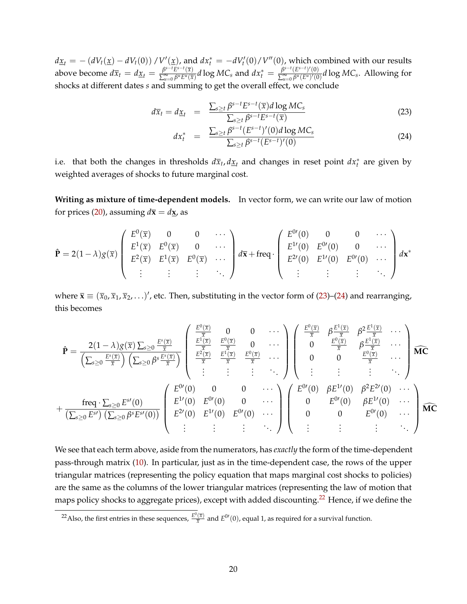$dz_t = - (dV_t(\underline{x}) - dV_t(0)) / V'(\underline{x})$ , and  $dx_t^* = -dV_t'(0) / V''(0)$ , which combined with our results above become  $d\overline{x}_t = d\underline{x}_t = \frac{\beta^{s-t}E^{s-t}(\overline{x})}{\sum_{k=0}^{\infty} \beta^k E^k(\overline{x})}$  $\frac{\beta^{s-t}E^{s-t}(\overline{x})}{\sum_{u=0}^\infty\beta^uE^u(\overline{x})}d\log MC_s$  and  $dx_t^*=\frac{\beta^{s-t}(E^{s-t})'(0)}{\sum_{u=0}^\infty\beta^u(E^u)'(0)}$  $\frac{P}{\sum_{u=0}^{\infty} \beta^u(E^u)'(0)} d \log M C_s$ . Allowing for shocks at different dates *s* and summing to get the overall effect, we conclude

<span id="page-19-0"></span>
$$
d\overline{x}_t = d\underline{x}_t = \frac{\sum_{s \ge t} \beta^{s-t} E^{s-t}(\overline{x}) d \log MC_s}{\sum_{s \ge t} \beta^{s-t} E^{s-t}(\overline{x})}
$$
(23)

$$
dx_t^* = \frac{\sum_{s \ge t} \beta^{s-t} (E^{s-t})'(0) d \log MC_s}{\sum_{s \ge t} \beta^{s-t} (E^{s-t})'(0)}
$$
(24)

i.e. that both the changes in thresholds  $d\overline{x}_t, d\underline{x}_t$  and changes in reset point  $dx_t^*$  are given by weighted averages of shocks to future marginal cost.

**Writing as mixture of time-dependent models.** In vector form, we can write our law of motion for prices [\(20\)](#page-18-4), assuming  $d\bar{x} = dx$ , as

$$
\hat{\mathbf{P}} = 2(1 - \lambda)g(\overline{x}) \begin{pmatrix} E^{0}(\overline{x}) & 0 & 0 & \cdots \\ E^{1}(\overline{x}) & E^{0}(\overline{x}) & 0 & \cdots \\ E^{2}(\overline{x}) & E^{1}(\overline{x}) & E^{0}(\overline{x}) & \cdots \\ \vdots & \vdots & \vdots & \ddots \end{pmatrix} d\overline{x} + \text{freq} \cdot \begin{pmatrix} E^{0}(0) & 0 & 0 & \cdots \\ E^{1}(0) & E^{0}(0) & 0 & \cdots \\ E^{2}(0) & E^{1}(0) & E^{0}(0) & \cdots \\ \vdots & \vdots & \vdots & \ddots \end{pmatrix} d\mathbf{x}^{*}
$$

where  $\bar{\mathbf{x}} \equiv (\bar{x}_0, \bar{x}_1, \bar{x}_2, \ldots)'$ , etc. Then, substituting in the vector form of [\(23\)](#page-19-0)–[\(24\)](#page-19-0) and rearranging, this becomes

$$
\hat{\mathbf{P}} = \frac{2(1-\lambda)g(\overline{x})\sum_{s\geq 0}\frac{E^s(\overline{x})}{\overline{x}}}{\left(\sum_{s\geq 0}\frac{E^s(\overline{x})}{\overline{x}}\right)\left(\sum_{s\geq 0}\beta^s\frac{E^s(\overline{x})}{\overline{x}}\right)}\begin{pmatrix}\n\frac{E^0(\overline{x})}{\overline{x}} & 0 & 0 & \cdots \\
\frac{E^1(\overline{x})}{\overline{x}} & \frac{E^0(\overline{x})}{\overline{x}} & 0 & \cdots \\
\frac{E^2(\overline{x})}{\overline{x}} & \frac{E^0(\overline{x})}{\overline{x}} & \cdots \\
\frac{E^2(\overline{x})}{\overline{x}} & \frac{E^0(\overline{x})}{\overline{x}} & \cdots\n\end{pmatrix}\begin{pmatrix}\n\frac{E^0(\overline{x})}{\overline{x}} & \beta\frac{E^1(\overline{x})}{\overline{x}} & \cdots \\
0 & 0 & \frac{E^0(\overline{x})}{\overline{x}} & \cdots \\
\vdots & \vdots & \vdots & \ddots\n\end{pmatrix}\n\widehat{\mathbf{M}\mathbf{C}}
$$
\n
$$
+\frac{\text{freq}\cdot\sum_{s\geq 0}E^s(0)}{\left(\sum_{s\geq 0}E^s\right)\left(\sum_{s\geq 0}\beta^sE^s(0)\right)}\begin{pmatrix}\nE^{0}(0) & 0 & 0 & \cdots \\
E^{1}(0) & E^{0}(0) & 0 & \cdots \\
E^{2}(0) & E^{1}(0) & 0 & \cdots \\
\vdots & \vdots & \vdots & \ddots\n\end{pmatrix}\begin{pmatrix}\nE^{0}(0) & \beta E^{1}(0) & \beta^2 E^{2}(0) & \cdots \\
0 & E^{0}(0) & \beta E^{1}(0) & \cdots \\
0 & 0 & E^{0}(0) & \cdots \\
\vdots & \vdots & \vdots & \ddots\n\end{pmatrix}\widehat{\mathbf{M}\mathbf{C}}
$$

We see that each term above, aside from the numerators, has *exactly* the form of the time-dependent pass-through matrix [\(10\)](#page-9-2). In particular, just as in the time-dependent case, the rows of the upper triangular matrices (representing the policy equation that maps marginal cost shocks to policies) are the same as the columns of the lower triangular matrices (representing the law of motion that maps policy shocks to aggregate prices), except with added discounting.<sup>[22](#page-19-1)</sup> Hence, if we define the

<span id="page-19-1"></span><sup>&</sup>lt;sup>22</sup>Also, the first entries in these sequences,  $\frac{E^0(\bar{x})}{\bar{x}}$  and  $E^{0'}(0)$ , equal 1, as required for a survival function.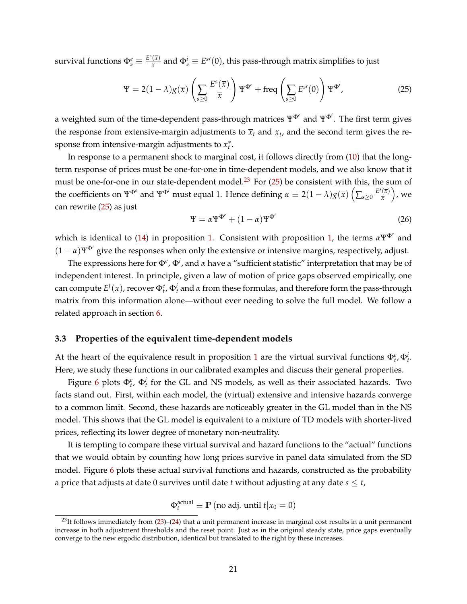survival functions  $\Phi_s^e \equiv \frac{E^s(\overline{x})}{\overline{x}}$  $\frac{f(x)}{x}$  and  $\Phi_s^i \equiv E^{s \prime}(0)$ , this pass-through matrix simplifies to just

<span id="page-20-2"></span>
$$
\Psi = 2(1 - \lambda)g(\overline{x}) \left( \sum_{s \ge 0} \frac{E^s(\overline{x})}{\overline{x}} \right) \Psi^{\Phi^e} + \text{freq} \left( \sum_{s \ge 0} E^{s}(0) \right) \Psi^{\Phi^i}, \tag{25}
$$

a weighted sum of the time-dependent pass-through matrices ΨΦ*<sup>e</sup>* and ΨΦ*<sup>i</sup>* . The first term gives the response from extensive-margin adjustments to  $\bar{x}_t$  and  $\underline{x}_t$ , and the second term gives the response from intensive-margin adjustments to  $x_t^*$ .

In response to a permanent shock to marginal cost, it follows directly from [\(10\)](#page-9-2) that the longterm response of prices must be one-for-one in time-dependent models, and we also know that it must be one-for-one in our state-dependent model.<sup>[23](#page-20-1)</sup> For  $(25)$  be consistent with this, the sum of the coefficients on  $\Psi^{\Phi^i}$  and  $\Psi^{\Phi^i}$  must equal 1. Hence defining  $\alpha \equiv 2(1-\lambda)g(\overline{x})\left(\sum_{s\geq 0}\frac{E^s(\overline{x})}{\overline{x}}\right)$  $\frac{(\overline{x})}{\overline{x}}\Big)$ , we can rewrite [\(25\)](#page-20-2) as just

$$
\Psi = \alpha \Psi^{\Phi^e} + (1 - \alpha) \Psi^{\Phi^i}
$$
 (26)

which is identical to [\(14\)](#page-15-2) in proposition [1.](#page-15-0) Consistent with proposition [1,](#page-15-0) the terms  $α\Psi^{Φ^e}$  and  $(1 - \alpha)\Psi^{\Phi^i}$  give the responses when only the extensive or intensive margins, respectively, adjust.

The expressions here for Φ*<sup>e</sup>* , Φ*<sup>i</sup>* , and *α* have a "sufficient statistic" interpretation that may be of independent interest. In principle, given a law of motion of price gaps observed empirically, one can compute  $E^t(x)$ , recover  $Φ_t^e$ ,  $Φ_t^i$  and *α* from these formulas, and therefore form the pass-through matrix from this information alone—without ever needing to solve the full model. We follow a related approach in section [6.](#page-39-0)

#### <span id="page-20-0"></span>**3.3 Properties of the equivalent time-dependent models**

At the heart of the equivalence result in proposition [1](#page-15-0) are the virtual survival functions  $\Phi_t^e$ ,  $\Phi_t^i$ . Here, we study these functions in our calibrated examples and discuss their general properties.

Figure [6](#page-21-0) plots  $\Phi_t^e$ ,  $\Phi_t^i$  for the GL and NS models, as well as their associated hazards. Two facts stand out. First, within each model, the (virtual) extensive and intensive hazards converge to a common limit. Second, these hazards are noticeably greater in the GL model than in the NS model. This shows that the GL model is equivalent to a mixture of TD models with shorter-lived prices, reflecting its lower degree of monetary non-neutrality.

It is tempting to compare these virtual survival and hazard functions to the "actual" functions that we would obtain by counting how long prices survive in panel data simulated from the SD model. Figure [6](#page-21-0) plots these actual survival functions and hazards, constructed as the probability a price that adjusts at date 0 survives until date *t* without adjusting at any date  $s \le t$ ,

 $\Phi_t^{\text{actual}} \equiv \mathbb{P} \left( \text{no adj. until } t | x_0 = 0 \right)$ 

<span id="page-20-1"></span> $^{23}$ It follows immediately from  $(23)$ – $(24)$  that a unit permanent increase in marginal cost results in a unit permanent increase in both adjustment thresholds and the reset point. Just as in the original steady state, price gaps eventually converge to the new ergodic distribution, identical but translated to the right by these increases.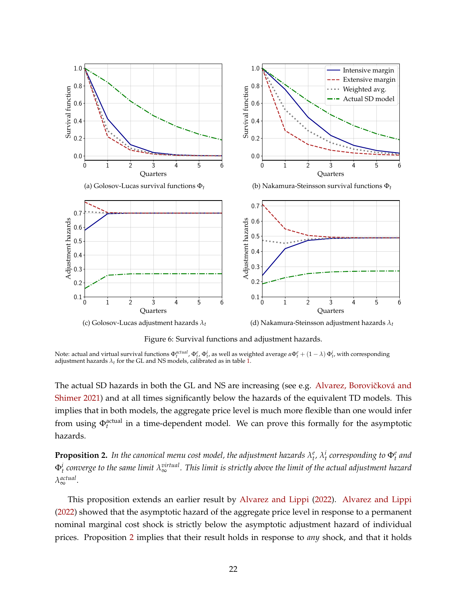<span id="page-21-0"></span>

Figure 6: Survival functions and adjustment hazards.

Note: actual and virtual survival functions  $\Phi_t^{actual}$ ,  $\Phi_t^e$ ,  $\Phi_t^i$ , as well as weighted average  $\alpha \Phi_t^e + (1 - \lambda) \Phi_t^i$ , with corresponding adjustment hazards  $\lambda_t$  for the GL and NS models, calibrated as in table [1.](#page-13-1)

The actual SD hazards in both the GL and NS are increasing (see e.g. Alvarez, Borovičková and [Shimer](#page-42-7) [2021\)](#page-42-7) and at all times significantly below the hazards of the equivalent TD models. This implies that in both models, the aggregate price level is much more flexible than one would infer from using  $\Phi_t^{\text{actual}}$  in a time-dependent model. We can prove this formally for the asymptotic hazards.

<span id="page-21-1"></span>**Proposition 2.** In the canonical menu cost model, the adjustment hazards  $\lambda^e_t$ ,  $\lambda^i_t$  corresponding to  $\Phi^e_t$  and  $\Phi^i_t$  converge to the same limit  $\lambda^{virtual}_{\infty}$  . This limit is strictly above the limit of the actual adjustment hazard *λ actual* <sup>∞</sup> *.*

This proposition extends an earlier result by [Alvarez and Lippi](#page-42-2) [\(2022\)](#page-42-2). [Alvarez and Lippi](#page-42-2) [\(2022\)](#page-42-2) showed that the asymptotic hazard of the aggregate price level in response to a permanent nominal marginal cost shock is strictly below the asymptotic adjustment hazard of individual prices. Proposition [2](#page-21-1) implies that their result holds in response to *any* shock, and that it holds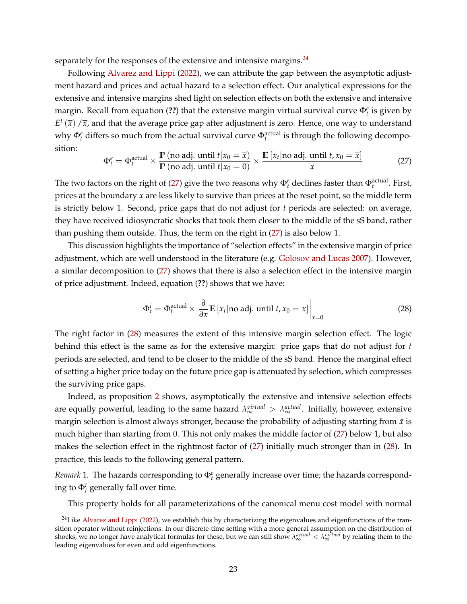separately for the responses of the extensive and intensive margins.<sup>[24](#page-22-0)</sup>

Following [Alvarez and Lippi](#page-42-2) [\(2022\)](#page-42-2), we can attribute the gap between the asymptotic adjustment hazard and prices and actual hazard to a selection effect. Our analytical expressions for the extensive and intensive margins shed light on selection effects on both the extensive and intensive margin. Recall from equation (**??**) that the extensive margin virtual survival curve Φ*<sup>e</sup> t* is given by  $E^t(\overline{x})$  / $\overline{x}$ , and that the average price gap after adjustment is zero. Hence, one way to understand why  $\Phi_t^e$  differs so much from the actual survival curve  $\Phi_t^{\text{actual}}$  is through the following decomposition:

<span id="page-22-1"></span>
$$
\Phi_t^e = \Phi_t^{\text{actual}} \times \frac{\mathbb{P} \left( \text{no adj. until } t | x_0 = \overline{x} \right)}{\mathbb{P} \left( \text{no adj. until } t | x_0 = 0 \right)} \times \frac{\mathbb{E} \left[ x_t | \text{no adj. until } t, x_0 = \overline{x} \right]}{\overline{x}}
$$
(27)

The two factors on the right of [\(27\)](#page-22-1) give the two reasons why  $\Phi_t^e$  declines faster than  $\Phi_t^{\text{actual}}$ . First, prices at the boundary  $\bar{x}$  are less likely to survive than prices at the reset point, so the middle term is strictly below 1. Second, price gaps that do not adjust for *t* periods are selected: on average, they have received idiosyncratic shocks that took them closer to the middle of the sS band, rather than pushing them outside. Thus, the term on the right in [\(27\)](#page-22-1) is also below 1.

This discussion highlights the importance of "selection effects" in the extensive margin of price adjustment, which are well understood in the literature (e.g. [Golosov and Lucas](#page-44-1) [2007\)](#page-44-1). However, a similar decomposition to [\(27\)](#page-22-1) shows that there is also a selection effect in the intensive margin of price adjustment. Indeed, equation (**??**) shows that we have:

<span id="page-22-2"></span>
$$
\Phi_t^i = \Phi_t^{\text{actual}} \times \left. \frac{\partial}{\partial x} \mathbb{E} \left[ x_t | \text{no adj. until } t, x_0 = x \right] \right|_{x=0} \tag{28}
$$

The right factor in [\(28\)](#page-22-2) measures the extent of this intensive margin selection effect. The logic behind this effect is the same as for the extensive margin: price gaps that do not adjust for *t* periods are selected, and tend to be closer to the middle of the sS band. Hence the marginal effect of setting a higher price today on the future price gap is attenuated by selection, which compresses the surviving price gaps.

Indeed, as proposition [2](#page-21-1) shows, asymptotically the extensive and intensive selection effects are equally powerful, leading to the same hazard  $\lambda^{virtual}_{\infty} > \lambda^{actual}_{\infty}$ . Initially, however, extensive margin selection is almost always stronger, because the probability of adjusting starting from  $\bar{x}$  is much higher than starting from 0. This not only makes the middle factor of [\(27\)](#page-22-1) below 1, but also makes the selection effect in the rightmost factor of [\(27\)](#page-22-1) initially much stronger than in [\(28\)](#page-22-2). In practice, this leads to the following general pattern.

<span id="page-22-3"></span>*Remark* 1. The hazards corresponding to  $\Phi_t^e$  generally increase over time; the hazards corresponding to  $\Phi_t^i$  generally fall over time.

This property holds for all parameterizations of the canonical menu cost model with normal

<span id="page-22-0"></span><sup>&</sup>lt;sup>24</sup>Like [Alvarez and Lippi](#page-42-2) [\(2022\)](#page-42-2), we establish this by characterizing the eigenvalues and eigenfunctions of the transition operator without reinjections. In our discrete-time setting with a more general assumption on the distribution of shocks, we no longer have analytical formulas for these, but we can still show *λ*<sub>∞</sub><sup>αctual</sup> < *λ*<sub>∞</sub><sup>αirtual</sup> by relating them to the leading eigenvalues for even and odd eigenfunctions.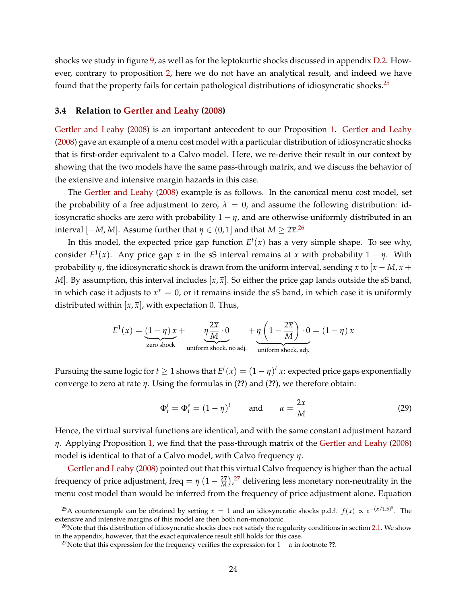shocks we study in figure [9,](#page-29-1) as well as for the leptokurtic shocks discussed in appendix [D.2.](#page-69-0) However, contrary to proposition [2,](#page-21-1) here we do not have an analytical result, and indeed we have found that the property fails for certain pathological distributions of idiosyncratic shocks.[25](#page-23-0)

#### **3.4 Relation to [Gertler and Leahy](#page-44-2) [\(2008\)](#page-44-2)**

[Gertler and Leahy](#page-44-2) [\(2008\)](#page-44-2) is an important antecedent to our Proposition [1.](#page-15-0) [Gertler and Leahy](#page-44-2) [\(2008\)](#page-44-2) gave an example of a menu cost model with a particular distribution of idiosyncratic shocks that is first-order equivalent to a Calvo model. Here, we re-derive their result in our context by showing that the two models have the same pass-through matrix, and we discuss the behavior of the extensive and intensive margin hazards in this case.

The [Gertler and Leahy](#page-44-2) [\(2008\)](#page-44-2) example is as follows. In the canonical menu cost model, set the probability of a free adjustment to zero,  $\lambda = 0$ , and assume the following distribution: idiosyncratic shocks are zero with probability  $1 - \eta$ , and are otherwise uniformly distributed in an interval  $[-M, M]$ . Assume further that  $\eta \in (0, 1]$  and that  $M \geq 2\overline{x}^{26}$  $M \geq 2\overline{x}^{26}$  $M \geq 2\overline{x}^{26}$ 

In this model, the expected price gap function  $E^t(x)$  has a very simple shape. To see why, consider  $E^1(x)$ . Any price gap *x* in the sS interval remains at *x* with probability  $1 - \eta$ . With probability *η*, the idiosyncratic shock is drawn from the uniform interval, sending *x* to [*x* − *M*, *x* + *M*]. By assumption, this interval includes  $[x, \overline{x}]$ . So either the price gap lands outside the sS band, in which case it adjusts to  $x^* = 0$ , or it remains inside the sS band, in which case it is uniformly distributed within  $[x, \overline{x}]$ , with expectation 0. Thus,

$$
E^{1}(x) = \underbrace{(1-\eta)x}_{\text{zero shock}} + \underbrace{\eta \frac{2\overline{x}}{M} \cdot 0}_{\text{uniform shock, no adj.}} + \underbrace{\eta \left(1 - \frac{2\overline{x}}{M}\right) \cdot 0}_{\text{uniform shock, adj.}} = (1 - \eta)x
$$

Pursuing the same logic for  $t \geq 1$  shows that  $E^t(x) = (1 - \eta)^t x$ : expected price gaps exponentially converge to zero at rate *η*. Using the formulas in (**??**) and (**??**), we therefore obtain:

<span id="page-23-3"></span>
$$
\Phi_t^i = \Phi_t^e = (1 - \eta)^t \qquad \text{and} \qquad \alpha = \frac{2\overline{x}}{M} \tag{29}
$$

Hence, the virtual survival functions are identical, and with the same constant adjustment hazard *η*. Applying Proposition [1,](#page-15-0) we find that the pass-through matrix of the [Gertler and Leahy](#page-44-2) [\(2008\)](#page-44-2) model is identical to that of a Calvo model, with Calvo frequency *η*.

[Gertler and Leahy](#page-44-2) [\(2008\)](#page-44-2) pointed out that this virtual Calvo frequency is higher than the actual frequency of price adjustment, freq =  $\eta$   $(1-\frac{2\overline{x}}{M})^{27}$  $(1-\frac{2\overline{x}}{M})^{27}$  $(1-\frac{2\overline{x}}{M})^{27}$  delivering less monetary non-neutrality in the menu cost model than would be inferred from the frequency of price adjustment alone. Equation

<span id="page-23-0"></span><sup>&</sup>lt;sup>25</sup>A counterexample can be obtained by setting  $\bar{x} = 1$  and an idiosyncratic shocks p.d.f.  $f(x) \propto e^{-(x/1.5)^8}$ . The extensive and intensive margins of this model are then both non-monotonic.

<span id="page-23-1"></span> $^{26}$ Note that this distribution of idiosyncratic shocks does not satisfy the regularity conditions in section [2.1.](#page-6-2) We show in the appendix, however, that the exact equivalence result still holds for this case.

<span id="page-23-2"></span><sup>&</sup>lt;sup>27</sup>Note that this expression for the frequency verifies the expression for  $1 - \alpha$  in footnote **??**.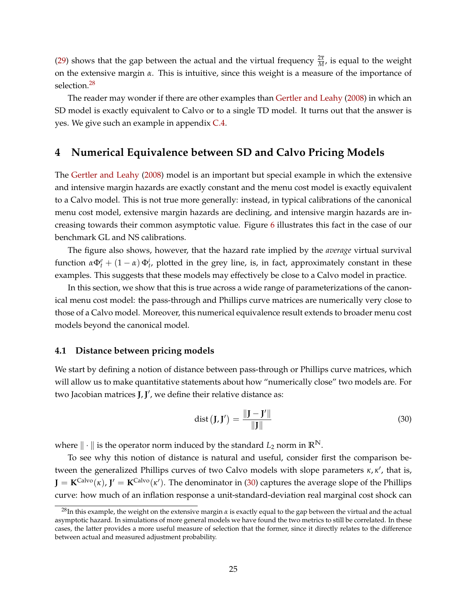[\(29\)](#page-23-3) shows that the gap between the actual and the virtual frequency  $\frac{2\bar{x}}{M}$ , is equal to the weight on the extensive margin *α*. This is intuitive, since this weight is a measure of the importance of selection.[28](#page-24-1)

The reader may wonder if there are other examples than [Gertler and Leahy](#page-44-2) [\(2008\)](#page-44-2) in which an SD model is exactly equivalent to Calvo or to a single TD model. It turns out that the answer is yes. We give such an example in appendix [C.4.](#page-66-0)

# <span id="page-24-0"></span>**4 Numerical Equivalence between SD and Calvo Pricing Models**

The [Gertler and Leahy](#page-44-2) [\(2008\)](#page-44-2) model is an important but special example in which the extensive and intensive margin hazards are exactly constant and the menu cost model is exactly equivalent to a Calvo model. This is not true more generally: instead, in typical calibrations of the canonical menu cost model, extensive margin hazards are declining, and intensive margin hazards are increasing towards their common asymptotic value. Figure [6](#page-21-0) illustrates this fact in the case of our benchmark GL and NS calibrations.

The figure also shows, however, that the hazard rate implied by the *average* virtual survival function  $\alpha \Phi_t^e + (1 - \alpha) \Phi_t^i$ , plotted in the grey line, is, in fact, approximately constant in these examples. This suggests that these models may effectively be close to a Calvo model in practice.

In this section, we show that this is true across a wide range of parameterizations of the canonical menu cost model: the pass-through and Phillips curve matrices are numerically very close to those of a Calvo model. Moreover, this numerical equivalence result extends to broader menu cost models beyond the canonical model.

#### **4.1 Distance between pricing models**

We start by defining a notion of distance between pass-through or Phillips curve matrices, which will allow us to make quantitative statements about how "numerically close" two models are. For two Jacobian matrices **J**,**J** 0 , we define their relative distance as:

<span id="page-24-2"></span>
$$
dist (J, J') = \frac{||J - J'||}{||J||}
$$
 (30)

where  $\|\cdot\|$  is the operator norm induced by the standard  $L_2$  norm in  $\mathbb{R}^N$ .

To see why this notion of distance is natural and useful, consider first the comparison between the generalized Phillips curves of two Calvo models with slope parameters *κ*, *κ'*, that is,  $J = K^{Calvo}(\kappa)$ ,  $J' = K^{Calvo}(\kappa')$ . The denominator in [\(30\)](#page-24-2) captures the average slope of the Phillips curve: how much of an inflation response a unit-standard-deviation real marginal cost shock can

<span id="page-24-1"></span><sup>28</sup>In this example, the weight on the extensive margin *α* is exactly equal to the gap between the virtual and the actual asymptotic hazard. In simulations of more general models we have found the two metrics to still be correlated. In these cases, the latter provides a more useful measure of selection that the former, since it directly relates to the difference between actual and measured adjustment probability.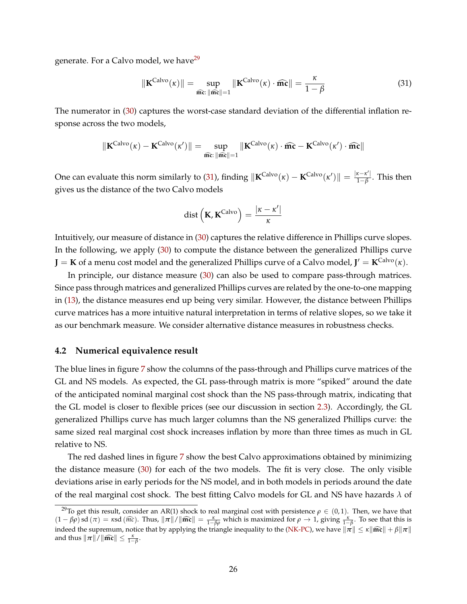generate. For a Calvo model, we have<sup>[29](#page-25-1)</sup>

<span id="page-25-2"></span>
$$
\|\mathbf{K}^{\text{Calvo}}(\kappa)\| = \sup_{\widehat{\mathbf{m}}\widehat{\mathbf{c}}:\|\widehat{\mathbf{m}}\widehat{\mathbf{c}}\| = 1} \|\mathbf{K}^{\text{Calvo}}(\kappa) \cdot \widehat{\mathbf{m}}\widehat{\mathbf{c}}\| = \frac{\kappa}{1 - \beta}
$$
(31)

The numerator in [\(30\)](#page-24-2) captures the worst-case standard deviation of the differential inflation response across the two models,

$$
\|\mathbf{K}^{\text{Calvo}}(\kappa)-\mathbf{K}^{\text{Calvo}}(\kappa')\|=\sup_{\widehat{\textbf{m}c}: \|\widehat{\textbf{m}c}\|=1}\|\mathbf{K}^{\text{Calvo}}(\kappa)\cdot\widehat{\textbf{m}c}-\mathbf{K}^{\text{Calvo}}(\kappa')\cdot\widehat{\textbf{m}c}\|
$$

One can evaluate this norm similarly to [\(31\)](#page-25-2), finding  $\|\mathbf{K}^{Calvo}(\kappa) - \mathbf{K}^{Calvo}(\kappa')\| = \frac{|\kappa - \kappa'|}{1-\beta}$ . This then gives us the distance of the two Calvo models

$$
dist\left(\mathbf{K}, \mathbf{K}^{\text{Calvo}}\right) = \frac{|\kappa - \kappa'|}{\kappa}
$$

Intuitively, our measure of distance in [\(30\)](#page-24-2) captures the relative difference in Phillips curve slopes. In the following, we apply [\(30\)](#page-24-2) to compute the distance between the generalized Phillips curve  $J = K$  of a menu cost model and the generalized Phillips curve of a Calvo model,  $J' = K^{\text{Calvo}}(\kappa)$ .

In principle, our distance measure [\(30\)](#page-24-2) can also be used to compare pass-through matrices. Since pass through matrices and generalized Phillips curves are related by the one-to-one mapping in [\(13\)](#page-11-3), the distance measures end up being very similar. However, the distance between Phillips curve matrices has a more intuitive natural interpretation in terms of relative slopes, so we take it as our benchmark measure. We consider alternative distance measures in robustness checks.

#### <span id="page-25-0"></span>**4.2 Numerical equivalence result**

The blue lines in figure [7](#page-26-0) show the columns of the pass-through and Phillips curve matrices of the GL and NS models. As expected, the GL pass-through matrix is more "spiked" around the date of the anticipated nominal marginal cost shock than the NS pass-through matrix, indicating that the GL model is closer to flexible prices (see our discussion in section [2.3\)](#page-8-3). Accordingly, the GL generalized Phillips curve has much larger columns than the NS generalized Phillips curve: the same sized real marginal cost shock increases inflation by more than three times as much in GL relative to NS.

The red dashed lines in figure [7](#page-26-0) show the best Calvo approximations obtained by minimizing the distance measure [\(30\)](#page-24-2) for each of the two models. The fit is very close. The only visible deviations arise in early periods for the NS model, and in both models in periods around the date of the real marginal cost shock. The best fitting Calvo models for GL and NS have hazards *λ* of

<span id="page-25-1"></span><sup>&</sup>lt;sup>29</sup>To get this result, consider an AR(1) shock to real marginal cost with persistence  $\rho \in (0,1)$ . Then, we have that  $(1 - \beta \rho)$  sd  $(\pi) = \kappa$ sd  $(\widehat{mc})$ . Thus,  $\|\pi\|/\|\widehat{mc}\| = \frac{\kappa}{1-\beta \rho}$  which is maximized for  $\rho \to 1$ , giving  $\frac{\kappa}{1-\beta}$ . To see that this is indeed the supremum, notice that by applying the triangle inequality to the [\(NK-PC\)](#page-1-4), we have  $\|\pi\| \leq \kappa \|\widehat{\mathbf{m}}\widehat{\mathbf{c}}\| + \beta \|\pi\|$ and thus  $\|\pi\|/\|\widehat{\mathbf{mc}}\| \le \frac{\kappa}{1-\beta}$ .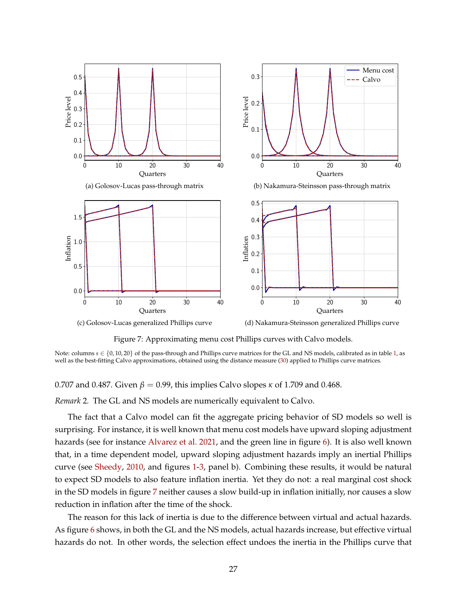<span id="page-26-0"></span>

Figure 7: Approximating menu cost Phillips curves with Calvo models.

Note: columns *s* ∈ {0, 10, 20} of the pass-through and Phillips curve matrices for the GL and NS models, calibrated as in table [1,](#page-13-1) as well as the best-fitting Calvo approximations, obtained using the distance measure [\(30\)](#page-24-2) applied to Phillips curve matrices.

#### 0.707 and 0.487. Given  $\beta = 0.99$ , this implies Calvo slopes  $\kappa$  of 1.709 and 0.468.

*Remark* 2*.* The GL and NS models are numerically equivalent to Calvo.

The fact that a Calvo model can fit the aggregate pricing behavior of SD models so well is surprising. For instance, it is well known that menu cost models have upward sloping adjustment hazards (see for instance [Alvarez et al.](#page-42-7) [2021,](#page-42-7) and the green line in figure [6\)](#page-21-0). It is also well known that, in a time dependent model, upward sloping adjustment hazards imply an inertial Phillips curve (see [Sheedy,](#page-46-3) [2010,](#page-46-3) and figures [1-](#page-10-0)[3,](#page-12-1) panel b). Combining these results, it would be natural to expect SD models to also feature inflation inertia. Yet they do not: a real marginal cost shock in the SD models in figure [7](#page-26-0) neither causes a slow build-up in inflation initially, nor causes a slow reduction in inflation after the time of the shock.

The reason for this lack of inertia is due to the difference between virtual and actual hazards. As figure [6](#page-21-0) shows, in both the GL and the NS models, actual hazards increase, but effective virtual hazards do not. In other words, the selection effect undoes the inertia in the Phillips curve that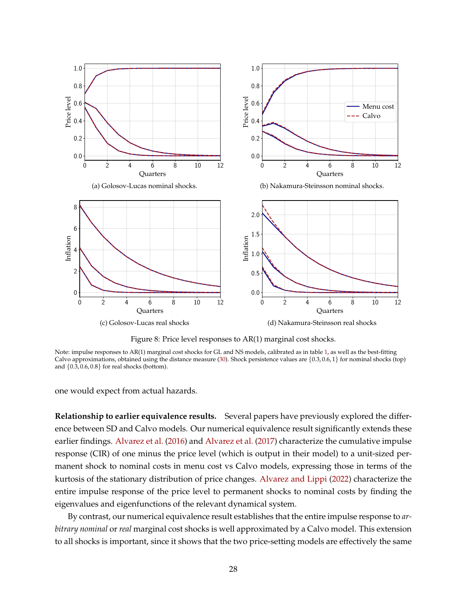<span id="page-27-0"></span>

Figure 8: Price level responses to AR(1) marginal cost shocks.

Note: impulse responses to AR(1) marginal cost shocks for GL and NS models, calibrated as in table [1,](#page-13-1) as well as the best-fitting Calvo approximations, obtained using the distance measure [\(30\)](#page-24-2). Shock persistence values are {0.3, 0.6, 1} for nominal shocks (top) and {0.3, 0.6, 0.8} for real shocks (bottom).

one would expect from actual hazards.

**Relationship to earlier equivalence results.** Several papers have previously explored the difference between SD and Calvo models. Our numerical equivalence result significantly extends these earlier findings. [Alvarez et al.](#page-42-0) [\(2016\)](#page-42-0) and [Alvarez et al.](#page-42-1) [\(2017\)](#page-42-1) characterize the cumulative impulse response (CIR) of one minus the price level (which is output in their model) to a unit-sized permanent shock to nominal costs in menu cost vs Calvo models, expressing those in terms of the kurtosis of the stationary distribution of price changes. [Alvarez and Lippi](#page-42-2) [\(2022\)](#page-42-2) characterize the entire impulse response of the price level to permanent shocks to nominal costs by finding the eigenvalues and eigenfunctions of the relevant dynamical system.

By contrast, our numerical equivalence result establishes that the entire impulse response to *arbitrary nominal* or *real* marginal cost shocks is well approximated by a Calvo model. This extension to all shocks is important, since it shows that the two price-setting models are effectively the same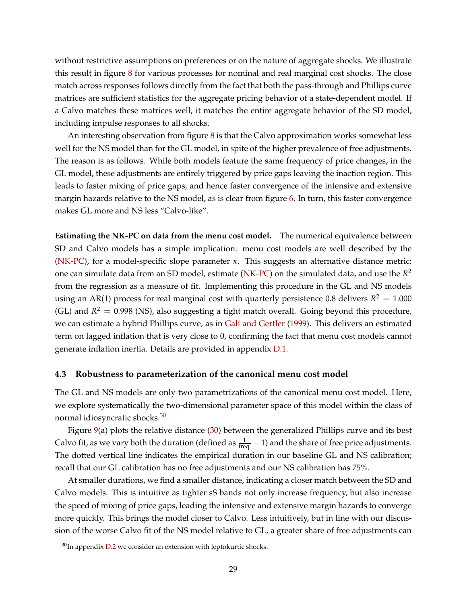without restrictive assumptions on preferences or on the nature of aggregate shocks. We illustrate this result in figure [8](#page-27-0) for various processes for nominal and real marginal cost shocks. The close match across responses follows directly from the fact that both the pass-through and Phillips curve matrices are sufficient statistics for the aggregate pricing behavior of a state-dependent model. If a Calvo matches these matrices well, it matches the entire aggregate behavior of the SD model, including impulse responses to all shocks.

An interesting observation from figure [8](#page-27-0) is that the Calvo approximation works somewhat less well for the NS model than for the GL model, in spite of the higher prevalence of free adjustments. The reason is as follows. While both models feature the same frequency of price changes, in the GL model, these adjustments are entirely triggered by price gaps leaving the inaction region. This leads to faster mixing of price gaps, and hence faster convergence of the intensive and extensive margin hazards relative to the NS model, as is clear from figure [6.](#page-21-0) In turn, this faster convergence makes GL more and NS less "Calvo-like".

**Estimating the NK-PC on data from the menu cost model.** The numerical equivalence between SD and Calvo models has a simple implication: menu cost models are well described by the [\(NK-PC\)](#page-1-4), for a model-specific slope parameter *κ*. This suggests an alternative distance metric: one can simulate data from an SD model, estimate [\(NK-PC\)](#page-1-4) on the simulated data, and use the *R* 2 from the regression as a measure of fit. Implementing this procedure in the GL and NS models using an AR(1) process for real marginal cost with quarterly persistence 0.8 delivers  $R^2 = 1.000$ (GL) and  $R^2 = 0.998$  (NS), also suggesting a tight match overall. Going beyond this procedure, we can estimate a hybrid Phillips curve, as in [Galí and Gertler](#page-44-6) [\(1999\)](#page-44-6). This delivers an estimated term on lagged inflation that is very close to 0, confirming the fact that menu cost models cannot generate inflation inertia. Details are provided in appendix [D.1.](#page-68-0)

#### **4.3 Robustness to parameterization of the canonical menu cost model**

The GL and NS models are only two parametrizations of the canonical menu cost model. Here, we explore systematically the two-dimensional parameter space of this model within the class of normal idiosyncratic shocks.[30](#page-28-0)

Figure [9\(](#page-29-1)a) plots the relative distance [\(30\)](#page-24-2) between the generalized Phillips curve and its best Calvo fit, as we vary both the duration (defined as  $\frac{1}{freq} - 1$ ) and the share of free price adjustments. The dotted vertical line indicates the empirical duration in our baseline GL and NS calibration; recall that our GL calibration has no free adjustments and our NS calibration has 75%.

At smaller durations, we find a smaller distance, indicating a closer match between the SD and Calvo models. This is intuitive as tighter sS bands not only increase frequency, but also increase the speed of mixing of price gaps, leading the intensive and extensive margin hazards to converge more quickly. This brings the model closer to Calvo. Less intuitively, but in line with our discussion of the worse Calvo fit of the NS model relative to GL, a greater share of free adjustments can

<span id="page-28-0"></span> $30$ In appendix [D.2](#page-69-0) we consider an extension with leptokurtic shocks.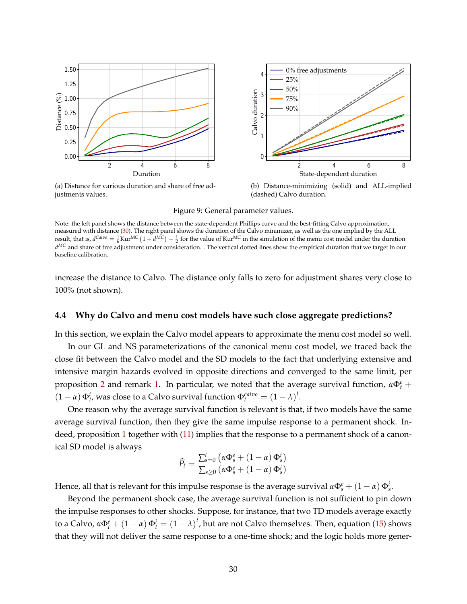<span id="page-29-1"></span>

(a) Distance for various duration and share of free adjustments values.

(b) Distance-minimizing (solid) and ALL-implied (dashed) Calvo duration.

Figure 9: General parameter values.

Note: the left panel shows the distance between the state-dependent Phillips curve and the best-fitting Calvo approximation, measured with distance [\(30\)](#page-24-2). The right panel shows the duration of the Calvo minimizer, as well as the one implied by the ALL result, that is,  $d^{Calvo} = \frac{1}{6} \text{Kur}^{\text{MC}} (1 + d^{\text{MC}}) - \frac{1}{2}$  for the value of  $\text{Kur}^{\text{MC}}$  in the simulation of the menu cost model under the duration *d MC* and share of free adjustment under consideration. . The vertical dotted lines show the empirical duration that we target in our baseline calibration.

increase the distance to Calvo. The distance only falls to zero for adjustment shares very close to 100% (not shown).

#### <span id="page-29-0"></span>**4.4 Why do Calvo and menu cost models have such close aggregate predictions?**

In this section, we explain the Calvo model appears to approximate the menu cost model so well.

In our GL and NS parameterizations of the canonical menu cost model, we traced back the close fit between the Calvo model and the SD models to the fact that underlying extensive and intensive margin hazards evolved in opposite directions and converged to the same limit, per proposition [2](#page-21-1) and remark [1.](#page-22-3) In particular, we noted that the average survival function,  $\alpha \Phi_t^e$  +  $(1 - \alpha) \Phi_t^i$ , was close to a Calvo survival function  $\Phi_t^{calvo} = (1 - \lambda)^t$ .

One reason why the average survival function is relevant is that, if two models have the same average survival function, then they give the same impulse response to a permanent shock. Indeed, proposition [1](#page-15-0) together with [\(11\)](#page-10-1) implies that the response to a permanent shock of a canonical SD model is always

$$
\widehat{P}_t = \frac{\sum_{s=0}^t \left( \alpha \Phi_s^e + (1 - \alpha) \Phi_s^i \right)}{\sum_{s \ge 0} \left( \alpha \Phi_s^e + (1 - \alpha) \Phi_s^i \right)}
$$

Hence, all that is relevant for this impulse response is the average survival  $\alpha \Phi_s^e + (1 - \alpha) \Phi_s^i$ .

Beyond the permanent shock case, the average survival function is not sufficient to pin down the impulse responses to other shocks. Suppose, for instance, that two TD models average exactly to a Calvo,  $\alpha \Phi_t^e + (1 - \alpha) \Phi_t^i = (1 - \lambda)^t$ , but are not Calvo themselves. Then, equation [\(15\)](#page-15-4) shows that they will not deliver the same response to a one-time shock; and the logic holds more gener-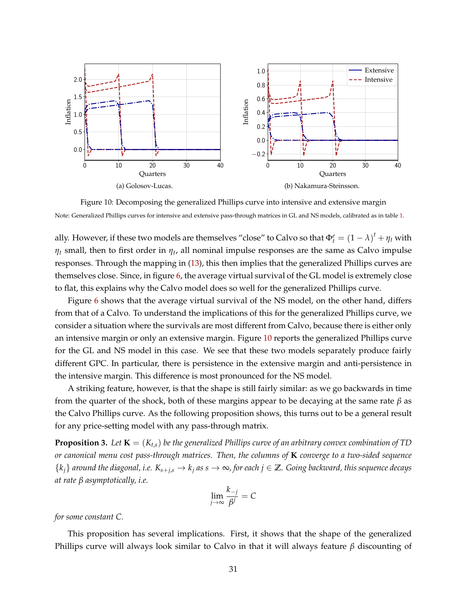<span id="page-30-1"></span>

Figure 10: Decomposing the generalized Phillips curve into intensive and extensive margin Note: Generalized Phillips curves for intensive and extensive pass-through matrices in GL and NS models, calibrated as in table [1.](#page-13-1)

ally. However, if these two models are themselves "close" to Calvo so that  $\Phi_t^e = (1 - \lambda)^t + \eta_t$  with *η<sup>t</sup>* small, then to first order in *η<sup>t</sup>* , all nominal impulse responses are the same as Calvo impulse responses. Through the mapping in [\(13\)](#page-11-3), this then implies that the generalized Phillips curves are themselves close. Since, in figure [6,](#page-21-0) the average virtual survival of the GL model is extremely close to flat, this explains why the Calvo model does so well for the generalized Phillips curve.

Figure [6](#page-21-0) shows that the average virtual survival of the NS model, on the other hand, differs from that of a Calvo. To understand the implications of this for the generalized Phillips curve, we consider a situation where the survivals are most different from Calvo, because there is either only an intensive margin or only an extensive margin. Figure [10](#page-30-1) reports the generalized Phillips curve for the GL and NS model in this case. We see that these two models separately produce fairly different GPC. In particular, there is persistence in the extensive margin and anti-persistence in the intensive margin. This difference is most pronounced for the NS model.

A striking feature, however, is that the shape is still fairly similar: as we go backwards in time from the quarter of the shock, both of these margins appear to be decaying at the same rate *β* as the Calvo Phillips curve. As the following proposition shows, this turns out to be a general result for any price-setting model with any pass-through matrix.

<span id="page-30-0"></span>**Proposition 3.** Let  $K = (K_{t,s})$  be the generalized Phillips curve of an arbitrary convex combination of TD *or canonical menu cost pass-through matrices. Then, the columns of* **K** *converge to a two-sided sequence*  $\{k_j\}$  around the diagonal, i.e.  $K_{s+j,s} \to k_j$  as  $s \to \infty$ , for each  $j \in \mathbb{Z}$ . Going backward, this sequence decays *at rate β asymptotically, i.e.*

$$
\lim_{j \to \infty} \frac{k_{-j}}{\beta^j} = C
$$

*for some constant C.*

This proposition has several implications. First, it shows that the shape of the generalized Phillips curve will always look similar to Calvo in that it will always feature *β* discounting of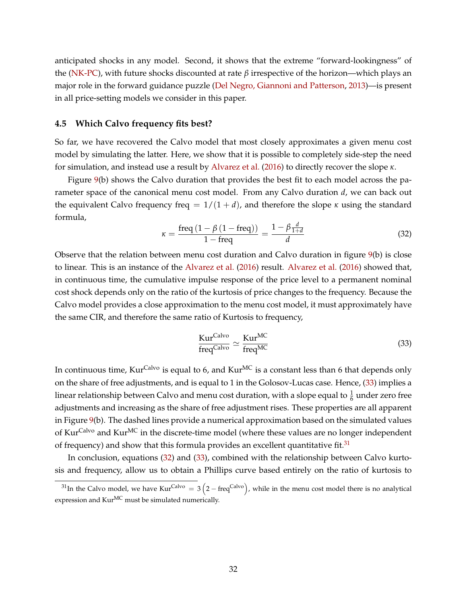anticipated shocks in any model. Second, it shows that the extreme "forward-lookingness" of the [\(NK-PC\)](#page-1-4), with future shocks discounted at rate *β* irrespective of the horizon—which plays an major role in the forward guidance puzzle [\(Del Negro, Giannoni and Patterson,](#page-45-9) [2013\)](#page-45-9)—is present in all price-setting models we consider in this paper.

#### **4.5 Which Calvo frequency fits best?**

So far, we have recovered the Calvo model that most closely approximates a given menu cost model by simulating the latter. Here, we show that it is possible to completely side-step the need for simulation, and instead use a result by [Alvarez et al.](#page-42-0) [\(2016\)](#page-42-0) to directly recover the slope *κ*.

Figure [9\(](#page-29-1)b) shows the Calvo duration that provides the best fit to each model across the parameter space of the canonical menu cost model. From any Calvo duration *d*, we can back out the equivalent Calvo frequency freq =  $1/(1 + d)$ , and therefore the slope  $\kappa$  using the standard formula,

<span id="page-31-2"></span>
$$
\kappa = \frac{\text{freq}\left(1 - \beta\left(1 - \text{freq}\right)\right)}{1 - \text{freq}} = \frac{1 - \beta \frac{d}{1 + d}}{d} \tag{32}
$$

Observe that the relation between menu cost duration and Calvo duration in figure [9\(](#page-29-1)b) is close to linear. This is an instance of the [Alvarez et al.](#page-42-0) [\(2016\)](#page-42-0) result. [Alvarez et al.](#page-42-0) [\(2016\)](#page-42-0) showed that, in continuous time, the cumulative impulse response of the price level to a permanent nominal cost shock depends only on the ratio of the kurtosis of price changes to the frequency. Because the Calvo model provides a close approximation to the menu cost model, it must approximately have the same CIR, and therefore the same ratio of Kurtosis to frequency,

<span id="page-31-0"></span>
$$
\frac{\text{Kur}^{\text{Calvo}}}{\text{freq}^{\text{Calvo}}} \simeq \frac{\text{Kur}^{\text{MC}}}{\text{freq}^{\text{MC}}}
$$
 (33)

In continuous time, Kur<sup>Calvo</sup> is equal to 6, and Kur<sup>MC</sup> is a constant less than 6 that depends only on the share of free adjustments, and is equal to 1 in the Golosov-Lucas case. Hence, [\(33\)](#page-31-0) implies a linear relationship between Calvo and menu cost duration, with a slope equal to  $\frac{1}{6}$  under zero free adjustments and increasing as the share of free adjustment rises. These properties are all apparent in Figure [9\(](#page-29-1)b). The dashed lines provide a numerical approximation based on the simulated values of Kur<sup>Calvo</sup> and Kur<sup>MC</sup> in the discrete-time model (where these values are no longer independent of frequency) and show that this formula provides an excellent quantitative fit.<sup>[31](#page-31-1)</sup>

In conclusion, equations [\(32\)](#page-31-2) and [\(33\)](#page-31-0), combined with the relationship between Calvo kurtosis and frequency, allow us to obtain a Phillips curve based entirely on the ratio of kurtosis to

<span id="page-31-1"></span><sup>&</sup>lt;sup>31</sup>In the Calvo model, we have Kur<sup>Calvo</sup> = 3  $(2 - freq^{Calvo})$ , while in the menu cost model there is no analytical expression and Kur<sup>MC</sup> must be simulated numerically.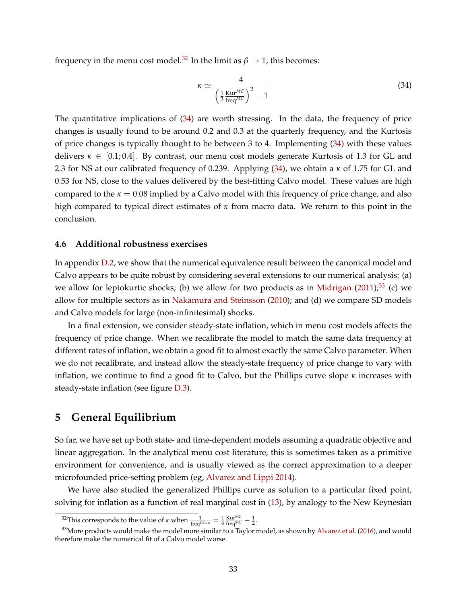frequency in the menu cost model.<sup>[32](#page-32-1)</sup> In the limit as  $\beta \rightarrow 1$ , this becomes:

<span id="page-32-2"></span>
$$
\kappa \simeq \frac{4}{\left(\frac{1}{3}\frac{\text{Kur}^{MC}}{\text{freq}^{MC}}\right)^2 - 1}
$$
\n(34)

The quantitative implications of [\(34\)](#page-32-2) are worth stressing. In the data, the frequency of price changes is usually found to be around 0.2 and 0.3 at the quarterly frequency, and the Kurtosis of price changes is typically thought to be between 3 to 4. Implementing [\(34\)](#page-32-2) with these values delivers  $\kappa \in [0.1, 0.4]$ . By contrast, our menu cost models generate Kurtosis of 1.3 for GL and 2.3 for NS at our calibrated frequency of 0.239. Applying [\(34\)](#page-32-2), we obtain a *κ* of 1.75 for GL and 0.53 for NS, close to the values delivered by the best-fitting Calvo model. These values are high compared to the  $\kappa = 0.08$  implied by a Calvo model with this frequency of price change, and also high compared to typical direct estimates of *κ* from macro data. We return to this point in the conclusion.

## **4.6 Additional robustness exercises**

In appendix [D.2,](#page-69-0) we show that the numerical equivalence result between the canonical model and Calvo appears to be quite robust by considering several extensions to our numerical analysis: (a) we allow for leptokurtic shocks; (b) we allow for two products as in [Midrigan](#page-45-3)  $(2011),<sup>33</sup>$  $(2011),<sup>33</sup>$  $(2011),<sup>33</sup>$  $(2011),<sup>33</sup>$  (c) we allow for multiple sectors as in [Nakamura and Steinsson](#page-45-2) [\(2010\)](#page-45-2); and (d) we compare SD models and Calvo models for large (non-infinitesimal) shocks.

In a final extension, we consider steady-state inflation, which in menu cost models affects the frequency of price change. When we recalibrate the model to match the same data frequency at different rates of inflation, we obtain a good fit to almost exactly the same Calvo parameter. When we do not recalibrate, and instead allow the steady-state frequency of price change to vary with inflation, we continue to find a good fit to Calvo, but the Phillips curve slope *κ* increases with steady-state inflation (see figure [D.3\)](#page-72-0).

# <span id="page-32-0"></span>**5 General Equilibrium**

So far, we have set up both state- and time-dependent models assuming a quadratic objective and linear aggregation. In the analytical menu cost literature, this is sometimes taken as a primitive environment for convenience, and is usually viewed as the correct approximation to a deeper microfounded price-setting problem (eg, [Alvarez and Lippi](#page-42-8) [2014\)](#page-42-8).

We have also studied the generalized Phillips curve as solution to a particular fixed point, solving for inflation as a function of real marginal cost in [\(13\)](#page-11-3), by analogy to the New Keynesian

<span id="page-32-3"></span><span id="page-32-1"></span><sup>&</sup>lt;sup>32</sup>This corresponds to the value of *κ* when  $\frac{1}{\text{freq}^{\text{Calvo}}} = \frac{1}{6} \frac{\text{Kur}^{\text{MC}}}{\text{freq}^{\text{MC}}} + \frac{1}{2}$ .

 $33$ More products would make the model more similar to a Taylor model, as shown by [Alvarez et al.](#page-42-0) [\(2016\)](#page-42-0), and would therefore make the numerical fit of a Calvo model worse.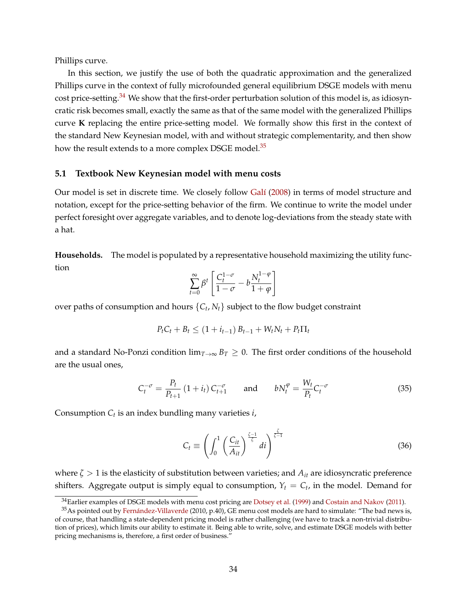Phillips curve.

In this section, we justify the use of both the quadratic approximation and the generalized Phillips curve in the context of fully microfounded general equilibrium DSGE models with menu cost price-setting.<sup>[34](#page-33-0)</sup> We show that the first-order perturbation solution of this model is, as idiosyncratic risk becomes small, exactly the same as that of the same model with the generalized Phillips curve **K** replacing the entire price-setting model. We formally show this first in the context of the standard New Keynesian model, with and without strategic complementarity, and then show how the result extends to a more complex DSGE model.<sup>[35](#page-33-1)</sup>

#### **5.1 Textbook New Keynesian model with menu costs**

Our model is set in discrete time. We closely follow [Galí](#page-44-0) [\(2008\)](#page-44-0) in terms of model structure and notation, except for the price-setting behavior of the firm. We continue to write the model under perfect foresight over aggregate variables, and to denote log-deviations from the steady state with a hat.

**Households.** The model is populated by a representative household maximizing the utility function

$$
\sum_{t=0}^{\infty} \beta^t \left[ \frac{C_t^{1-\sigma}}{1-\sigma} - b \frac{N_t^{1-\varphi}}{1+\varphi} \right]
$$

over paths of consumption and hours  $\{C_t, N_t\}$  subject to the flow budget constraint

$$
P_t C_t + B_t \le (1 + i_{t-1}) B_{t-1} + W_t N_t + P_t \Pi_t
$$

and a standard No-Ponzi condition  $\lim_{T\to\infty} B_T \geq 0$ . The first order conditions of the household are the usual ones,

<span id="page-33-2"></span>
$$
C_t^{-\sigma} = \frac{P_t}{P_{t+1}} (1 + i_t) C_{t+1}^{-\sigma} \quad \text{and} \quad bN_t^{\varphi} = \frac{W_t}{P_t} C_t^{-\sigma} \tag{35}
$$

Consumption *C<sup>t</sup>* is an index bundling many varieties *i*,

$$
C_t \equiv \left( \int_0^1 \left( \frac{C_{it}}{A_{it}} \right)^{\frac{\zeta - 1}{\zeta}} di \right)^{\frac{\zeta}{\zeta - 1}}
$$
(36)

where *ζ* > 1 is the elasticity of substitution between varieties; and *Ait* are idiosyncratic preference shifters. Aggregate output is simply equal to consumption,  $Y_t = C_t$ , in the model. Demand for

<span id="page-33-1"></span><span id="page-33-0"></span><sup>&</sup>lt;sup>34</sup>Earlier examples of DSGE models with menu cost pricing are [Dotsey et al.](#page-44-3) [\(1999\)](#page-44-3) and [Costain and Nakov](#page-43-11) [\(2011\)](#page-43-11).

<sup>35</sup>As pointed out by [Fernández-Villaverde](#page-44-9) (2010, p.40), GE menu cost models are hard to simulate: "The bad news is, of course, that handling a state-dependent pricing model is rather challenging (we have to track a non-trivial distribution of prices), which limits our ability to estimate it. Being able to write, solve, and estimate DSGE models with better pricing mechanisms is, therefore, a first order of business."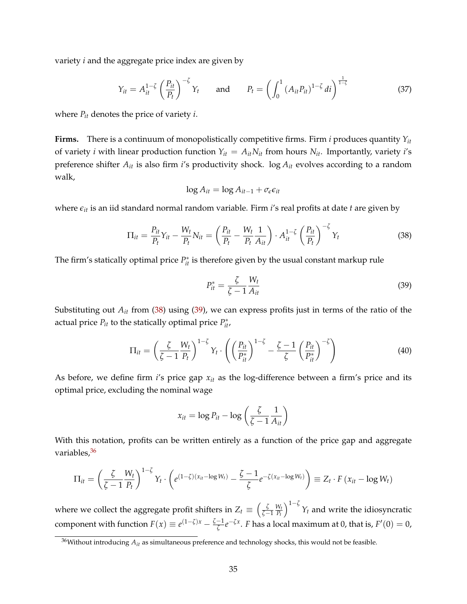variety *i* and the aggregate price index are given by

<span id="page-34-3"></span>
$$
Y_{it} = A_{it}^{1-\zeta} \left(\frac{P_{it}}{P_t}\right)^{-\zeta} Y_t \quad \text{and} \quad P_t = \left(\int_0^1 (A_{it} P_{it})^{1-\zeta} dt\right)^{\frac{1}{1-\zeta}}
$$
(37)

where  $P_{it}$  denotes the price of variety *i*.

**Firms.** There is a continuum of monopolistically competitive firms. Firm *i* produces quantity *Yit* of variety *i* with linear production function  $Y_{it} = A_{it} N_{it}$  from hours  $N_{it}$ . Importantly, variety *i*'s preference shifter *Ait* is also firm *i*'s productivity shock. log *Ait* evolves according to a random walk,

$$
\log A_{it} = \log A_{it-1} + \sigma_{\epsilon} \epsilon_{it}
$$

where *eit* is an iid standard normal random variable. Firm *i*'s real profits at date *t* are given by

<span id="page-34-0"></span>
$$
\Pi_{it} = \frac{P_{it}}{P_t} Y_{it} - \frac{W_t}{P_t} N_{it} = \left(\frac{P_{it}}{P_t} - \frac{W_t}{P_t} \frac{1}{A_{it}}\right) \cdot A_{it}^{1-\zeta} \left(\frac{P_{it}}{P_t}\right)^{-\zeta} Y_t
$$
(38)

The firm's statically optimal price  $P_{it}^*$  is therefore given by the usual constant markup rule

<span id="page-34-1"></span>
$$
P_{it}^* = \frac{\zeta}{\zeta - 1} \frac{W_t}{A_{it}} \tag{39}
$$

Substituting out *Ait* from [\(38\)](#page-34-0) using [\(39\)](#page-34-1), we can express profits just in terms of the ratio of the actual price  $P_{it}$  to the statically optimal price  $P_{it}^*$ ,

$$
\Pi_{it} = \left(\frac{\zeta}{\zeta - 1} \frac{W_t}{P_t}\right)^{1 - \zeta} Y_t \cdot \left(\left(\frac{P_{it}}{P_{it}^*}\right)^{1 - \zeta} - \frac{\zeta - 1}{\zeta} \left(\frac{P_{it}}{P_{it}^*}\right)^{-\zeta}\right)
$$
(40)

As before, we define firm *i*'s price gap *xit* as the log-difference between a firm's price and its optimal price, excluding the nominal wage

$$
x_{it} = \log P_{it} - \log \left( \frac{\zeta}{\zeta - 1} \frac{1}{A_{it}} \right)
$$

With this notation, profits can be written entirely as a function of the price gap and aggregate variables, [36](#page-34-2)

$$
\Pi_{it} = \left(\frac{\zeta}{\zeta-1} \frac{W_t}{P_t}\right)^{1-\zeta} Y_t \cdot \left(e^{(1-\zeta)(x_{it}-\log W_t)} - \frac{\zeta-1}{\zeta} e^{-\zeta(x_{it}-\log W_t)}\right) \equiv Z_t \cdot F\left(x_{it}-\log W_t\right)
$$

where we collect the aggregate profit shifters in  $Z_t \equiv \left(\frac{\zeta}{\zeta-1}\right)$ *W<sup>t</sup> Pt*  $\int_{0}^{1-\zeta} Y_t$  and write the idiosyncratic component with function  $F(x) \equiv e^{(1-\zeta)x} - \frac{\zeta-1}{\zeta}e^{-\zeta x}$ . *F* has a local maximum at 0, that is,  $F'(0) = 0$ ,

<span id="page-34-2"></span><sup>36</sup>Without introducing *Ait* as simultaneous preference and technology shocks, this would not be feasible.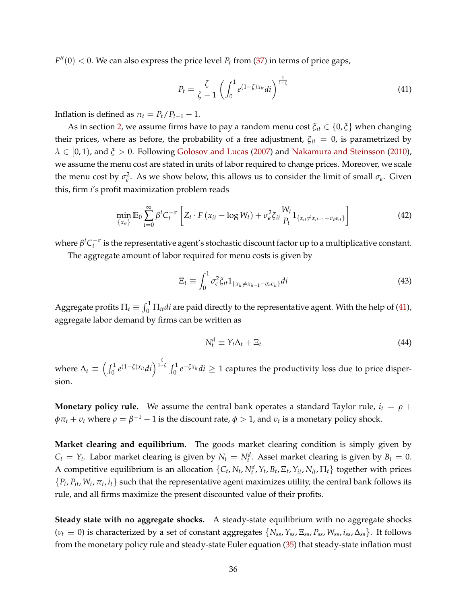$F''(0) < 0$ . We can also express the price level  $P_t$  from [\(37\)](#page-34-3) in terms of price gaps,

<span id="page-35-0"></span>
$$
P_t = \frac{\zeta}{\zeta - 1} \left( \int_0^1 e^{(1-\zeta)x_{it}} dt \right)^{\frac{1}{1-\zeta}}
$$
(41)

Inflation is defined as  $\pi_t = P_t/P_{t-1} - 1$ .

As in section [2,](#page-5-0) we assume firms have to pay a random menu cost  $\xi_{it} \in \{0, \xi\}$  when changing their prices, where as before, the probability of a free adjustment,  $\xi_{it} = 0$ , is parametrized by  $\lambda \in [0, 1)$ , and  $\xi > 0$ . Following [Golosov and Lucas](#page-44-1) [\(2007\)](#page-44-1) and [Nakamura and Steinsson](#page-45-2) [\(2010\)](#page-45-2), we assume the menu cost are stated in units of labor required to change prices. Moreover, we scale the menu cost by  $\sigma_{\epsilon}^2$ . As we show below, this allows us to consider the limit of small  $\sigma_{\epsilon}$ . Given this, firm *i*'s profit maximization problem reads

$$
\min_{\{x_{it}\}} \mathbb{E}_0 \sum_{t=0}^{\infty} \beta^t C_t^{-\sigma} \left[ Z_t \cdot F\left(x_{it} - \log W_t\right) + \sigma_{\epsilon}^2 \xi_{it} \frac{W_t}{P_t} 1_{\{x_{it} \neq x_{it-1} - \sigma_{\epsilon} \epsilon_{it}\}} \right]
$$
(42)

where  $\beta^t C_t^{-\sigma}$  is the representative agent's stochastic discount factor up to a multiplicative constant.

The aggregate amount of labor required for menu costs is given by

$$
\Xi_t \equiv \int_0^1 \sigma_\epsilon^2 \xi_{it} 1_{\{x_{it} \neq x_{it-1} - \sigma_\epsilon \epsilon_{it}\}} di \tag{43}
$$

Aggregate profits  $\Pi_t \equiv \int_0^1 \Pi_{it} di$  are paid directly to the representative agent. With the help of [\(41\)](#page-35-0), aggregate labor demand by firms can be written as

$$
N_t^d \equiv Y_t \Delta_t + \Xi_t \tag{44}
$$

where  $\Delta_t \equiv \left(\int_0^1 e^{(1-\zeta)x_{it}}dt\right)^{\frac{\zeta}{1-\zeta}} \int_0^1 e^{-\zeta x_{it}}dt ≥ 1$  captures the productivity loss due to price dispersion.

**Monetary policy rule.** We assume the central bank operates a standard Taylor rule,  $i_t = \rho + \rho$  $\phi \pi_t + v_t$  where  $\rho = \beta^{-1} - 1$  is the discount rate,  $\phi > 1$ , and  $v_t$  is a monetary policy shock.

**Market clearing and equilibrium.** The goods market clearing condition is simply given by  $C_t = Y_t$ . Labor market clearing is given by  $N_t = N_t^d$ . Asset market clearing is given by  $B_t = 0$ . A competitive equilibrium is an allocation  $\{C_t, N_t, N_t^d, Y_t, B_t, \Xi_t, Y_{it}, N_{it}, \Pi_t\}$  together with prices  $\{P_t, P_{it}, W_t, \pi_t, i_t\}$  such that the representative agent maximizes utility, the central bank follows its rule, and all firms maximize the present discounted value of their profits.

**Steady state with no aggregate shocks.** A steady-state equilibrium with no aggregate shocks  $(\nu_t \equiv 0)$  is characterized by a set of constant aggregates  $\{N_{ss}, Y_{ss}, E_{ss}, P_{ss}, W_{ss}, i_{ss}, \Delta_{ss}\}\$ . It follows from the monetary policy rule and steady-state Euler equation [\(35\)](#page-33-2) that steady-state inflation must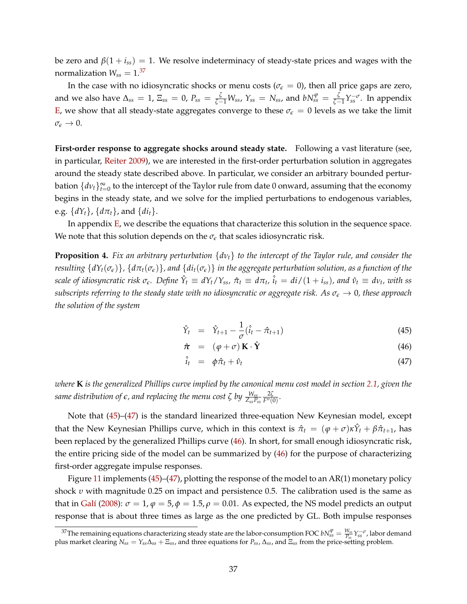be zero and  $\beta(1 + i_{ss}) = 1$ . We resolve indeterminacy of steady-state prices and wages with the normalization  $W_{ss} = 1.37$  $W_{ss} = 1.37$ 

In the case with no idiosyncratic shocks or menu costs ( $\sigma_{\epsilon} = 0$ ), then all price gaps are zero, and we also have  $\Delta_{ss} = 1$ ,  $\Xi_{ss} = 0$ ,  $P_{ss} = \frac{\zeta}{\zeta-1}W_{ss}$ ,  $Y_{ss} = N_{ss}$ , and  $bN_{ss}^{\varphi} = \frac{\zeta}{\zeta-1}Y_{ss}^{-\sigma}$ . In appendix [E,](#page-76-0) we show that all steady-state aggregates converge to these  $\sigma_{\epsilon} = 0$  levels as we take the limit  $\sigma_{\epsilon} \rightarrow 0.$ 

**First-order response to aggregate shocks around steady state.** Following a vast literature (see, in particular, [Reiter](#page-45-0) [2009\)](#page-45-0), we are interested in the first-order perturbation solution in aggregates around the steady state described above. In particular, we consider an arbitrary bounded perturbation  $\{dv_t\}_{t=0}^{\infty}$  to the intercept of the Taylor rule from date 0 onward, assuming that the economy begins in the steady state, and we solve for the implied perturbations to endogenous variables, e.g.  $\{dY_t\}$ ,  $\{d\pi_t\}$ , and  $\{di_t\}$ .

In appendix [E,](#page-76-0) we describe the equations that characterize this solution in the sequence space. We note that this solution depends on the  $\sigma_{\epsilon}$  that scales idiosyncratic risk.

<span id="page-36-2"></span>**Proposition 4.** *Fix an arbitrary perturbation* {*dνt*} *to the intercept of the Taylor rule, and consider the* resulting  $\{dY_t(\sigma_{\epsilon})\}$ ,  $\{d\pi_t(\sigma_{\epsilon})\}$ , and  $\{di_t(\sigma_{\epsilon})\}$  in the aggregate perturbation solution, as a function of the scale of idiosyncratic risk  $\sigma_{\epsilon}$ . Define  $\hat{Y}_t \equiv dY_t/Y_{ss}$ ,  $\hat{\pi}_t \equiv d\pi_t$ ,  $\hat{i}_t = di/(1+i_{ss})$ , and  $\hat{v}_t \equiv dv_t$ , with ss *subscripts referring to the steady state with no idiosyncratic or aggregate risk. As*  $\sigma_{\epsilon} \to 0$ *, these approach the solution of the system*

<span id="page-36-1"></span>
$$
\hat{Y}_t = \hat{Y}_{t+1} - \frac{1}{\sigma}(\hat{i}_t - \hat{\pi}_{t+1})
$$
\n(45)

$$
\hat{\boldsymbol{\pi}} = (\varphi + \sigma) \mathbf{K} \cdot \hat{\mathbf{Y}} \tag{46}
$$

$$
\hat{i}_t = \phi \hat{\pi}_t + \hat{\nu}_t \tag{47}
$$

*where* **K** *is the generalized Phillips curve implied by the canonical menu cost model in section [2.1,](#page-6-0) given the same distribution of e, and replacing the menu cost ζ by <sup>W</sup>ss ZssPss* 2*ζ*  $\frac{2\varsigma}{F''(0)}$ .

Note that [\(45\)](#page-36-1)–[\(47\)](#page-36-1) is the standard linearized three-equation New Keynesian model, except that the New Keynesian Phillips curve, which in this context is  $\hat{\pi}_t = (\varphi + \sigma) \kappa \hat{Y}_t + \beta \hat{\pi}_{t+1}$ , has been replaced by the generalized Phillips curve [\(46\)](#page-36-1). In short, for small enough idiosyncratic risk, the entire pricing side of the model can be summarized by [\(46\)](#page-36-1) for the purpose of characterizing first-order aggregate impulse responses.

Figure [11](#page-37-0) implements [\(45\)](#page-36-1)–[\(47\)](#page-36-1), plotting the response of the model to an AR(1) monetary policy shock *υ* with magnitude 0.25 on impact and persistence 0.5. The calibration used is the same as that in [Galí](#page-44-0) [\(2008\)](#page-44-0):  $\sigma = 1$ ,  $\varphi = 5$ ,  $\varphi = 1.5$ ,  $\rho = 0.01$ . As expected, the NS model predicts an output response that is about three times as large as the one predicted by GL. Both impulse responses

<span id="page-36-0"></span><sup>&</sup>lt;sup>37</sup>The remaining equations characterizing steady state are the labor-consumption FOC  $bN_{ss}^{\varphi} = \frac{W_{ss}}{P_{ss}} Y_{ss}^{-\sigma}$ , labor demand plus market clearing *Nss* = *Yss*∆*ss* + Ξ*ss*, and three equations for *Pss*, ∆*ss*, and Ξ*ss* from the price-setting problem.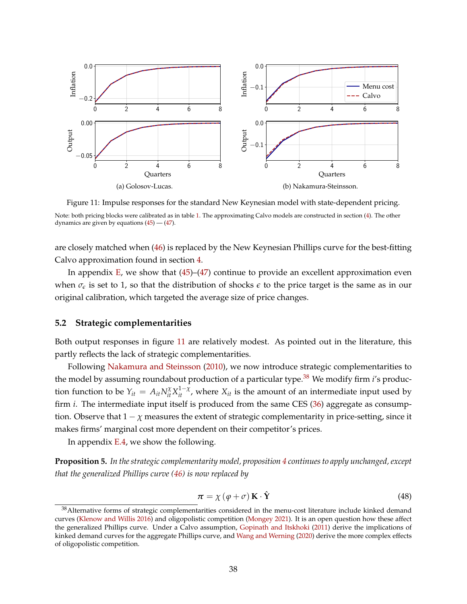<span id="page-37-0"></span>

Figure 11: Impulse responses for the standard New Keynesian model with state-dependent pricing. Note: both pricing blocks were calibrated as in table [1.](#page-13-0) The approximating Calvo models are constructed in section [\(4\)](#page-24-0). The other dynamics are given by equations  $(45)$  -  $(47)$ .

are closely matched when [\(46\)](#page-36-1) is replaced by the New Keynesian Phillips curve for the best-fitting Calvo approximation found in section [4.](#page-24-0)

In appendix  $E$ , we show that  $(45)$ – $(47)$  continue to provide an excellent approximation even when  $\sigma_{\epsilon}$  is set to 1, so that the distribution of shocks  $\epsilon$  to the price target is the same as in our original calibration, which targeted the average size of price changes.

## **5.2 Strategic complementarities**

Both output responses in figure [11](#page-37-0) are relatively modest. As pointed out in the literature, this partly reflects the lack of strategic complementarities.

Following [Nakamura and Steinsson](#page-45-1) [\(2010\)](#page-45-1), we now introduce strategic complementarities to the model by assuming roundabout production of a particular type.<sup>[38](#page-37-1)</sup> We modify firm *i*'s production function to be  $Y_{it} = A_{it} N_{it}^{\chi} X_{it}^{1-\chi}$ , where  $X_{it}$  is the amount of an intermediate input used by firm *i*. The intermediate input itself is produced from the same CES [\(36\)](#page-33-0) aggregate as consumption. Observe that  $1 - \chi$  measures the extent of strategic complementarity in price-setting, since it makes firms' marginal cost more dependent on their competitor's prices.

In appendix [E.4,](#page-80-0) we show the following.

**Proposition 5.** *In the strategic complementarity model, proposition [4](#page-36-2) continues to apply unchanged, except that the generalized Phillips curve [\(46\)](#page-36-1) is now replaced by*

<span id="page-37-2"></span>
$$
\boldsymbol{\pi} = \chi \left( \varphi + \sigma \right) \mathbf{K} \cdot \hat{\mathbf{Y}} \tag{48}
$$

<span id="page-37-1"></span><sup>&</sup>lt;sup>38</sup> Alternative forms of strategic complementarities considered in the menu-cost literature include kinked demand curves [\(Klenow and Willis](#page-45-2) [2016\)](#page-45-2) and oligopolistic competition [\(Mongey](#page-45-3) [2021\)](#page-45-3). It is an open question how these affect the generalized Phillips curve. Under a Calvo assumption, [Gopinath and Itskhoki](#page-44-1) [\(2011\)](#page-44-1) derive the implications of kinked demand curves for the aggregate Phillips curve, and [Wang and Werning](#page-46-0) [\(2020\)](#page-46-0) derive the more complex effects of oligopolistic competition.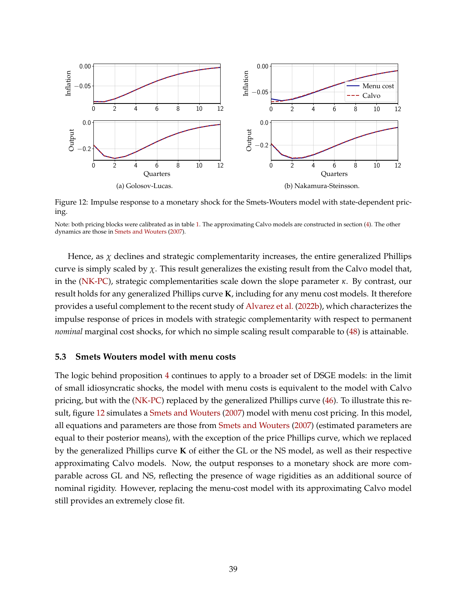<span id="page-38-0"></span>

Figure 12: Impulse response to a monetary shock for the Smets-Wouters model with state-dependent pricing.

Hence, as  $\chi$  declines and strategic complementarity increases, the entire generalized Phillips curve is simply scaled by  $\chi$ . This result generalizes the existing result from the Calvo model that, in the [\(NK-PC\)](#page-1-0), strategic complementarities scale down the slope parameter *κ*. By contrast, our result holds for any generalized Phillips curve **K**, including for any menu cost models. It therefore provides a useful complement to the recent study of [Alvarez et al.](#page-42-0) [\(2022b\)](#page-42-0), which characterizes the impulse response of prices in models with strategic complementarity with respect to permanent *nominal* marginal cost shocks, for which no simple scaling result comparable to [\(48\)](#page-37-2) is attainable.

## **5.3 Smets Wouters model with menu costs**

The logic behind proposition [4](#page-36-2) continues to apply to a broader set of DSGE models: in the limit of small idiosyncratic shocks, the model with menu costs is equivalent to the model with Calvo pricing, but with the [\(NK-PC\)](#page-1-0) replaced by the generalized Phillips curve [\(46\)](#page-36-1). To illustrate this result, figure [12](#page-38-0) simulates a [Smets and Wouters](#page-46-1) [\(2007\)](#page-46-1) model with menu cost pricing. In this model, all equations and parameters are those from [Smets and Wouters](#page-46-1) [\(2007\)](#page-46-1) (estimated parameters are equal to their posterior means), with the exception of the price Phillips curve, which we replaced by the generalized Phillips curve **K** of either the GL or the NS model, as well as their respective approximating Calvo models. Now, the output responses to a monetary shock are more comparable across GL and NS, reflecting the presence of wage rigidities as an additional source of nominal rigidity. However, replacing the menu-cost model with its approximating Calvo model still provides an extremely close fit.

Note: both pricing blocks were calibrated as in table [1.](#page-13-0) The approximating Calvo models are constructed in section [\(4\)](#page-24-0). The other dynamics are those in [Smets and Wouters](#page-46-1) [\(2007\)](#page-46-1).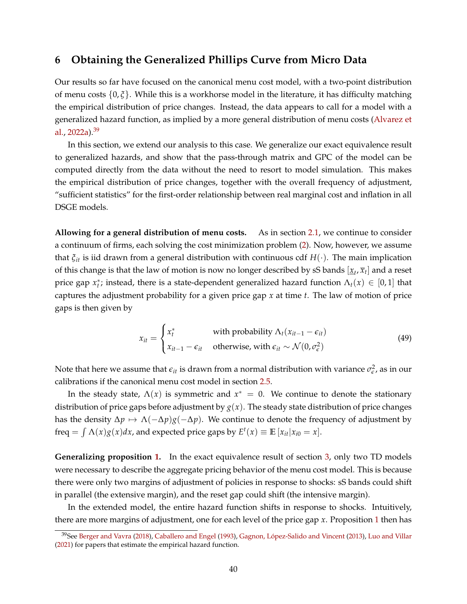# **6 Obtaining the Generalized Phillips Curve from Micro Data**

Our results so far have focused on the canonical menu cost model, with a two-point distribution of menu costs {0, *ξ*}. While this is a workhorse model in the literature, it has difficulty matching the empirical distribution of price changes. Instead, the data appears to call for a model with a generalized hazard function, as implied by a more general distribution of menu costs [\(Alvarez et](#page-42-1) [al.,](#page-42-1)  $2022a$ ).  $39$ 

In this section, we extend our analysis to this case. We generalize our exact equivalence result to generalized hazards, and show that the pass-through matrix and GPC of the model can be computed directly from the data without the need to resort to model simulation. This makes the empirical distribution of price changes, together with the overall frequency of adjustment, "sufficient statistics" for the first-order relationship between real marginal cost and inflation in all DSGE models.

**Allowing for a general distribution of menu costs.** As in section [2.1,](#page-6-0) we continue to consider a continuum of firms, each solving the cost minimization problem [\(2\)](#page-6-1). Now, however, we assume that *ξit* is iid drawn from a general distribution with continuous cdf *H*(·). The main implication of this change is that the law of motion is now no longer described by sS bands  $[\underline{x}_t, \overline{x}_t]$  and a reset price gap  $x_t^*$ ; instead, there is a state-dependent generalized hazard function  $\Lambda_t(x) \in [0,1]$  that captures the adjustment probability for a given price gap *x* at time *t*. The law of motion of price gaps is then given by

$$
x_{it} = \begin{cases} x_t^* & \text{with probability } \Lambda_t (x_{it-1} - \epsilon_{it}) \\ x_{it-1} - \epsilon_{it} & \text{otherwise, with } \epsilon_{it} \sim \mathcal{N}(0, \sigma_{\epsilon}^2) \end{cases}
$$
(49)

Note that here we assume that  $\epsilon_{it}$  is drawn from a normal distribution with variance  $\sigma_{\epsilon}^2$ , as in our calibrations if the canonical menu cost model in section [2.5.](#page-12-0)

In the steady state,  $\Lambda(x)$  is symmetric and  $x^* = 0$ . We continue to denote the stationary distribution of price gaps before adjustment by  $g(x)$ . The steady state distribution of price changes has the density  $\Delta p \mapsto \Lambda(-\Delta p)g(-\Delta p)$ . We continue to denote the frequency of adjustment by freq =  $\int \Lambda(x)g(x)dx$ , and expected price gaps by  $E^t(x) \equiv \mathbb{E}[x_{it}|x_{i0} = x]$ .

**Generalizing proposition [1.](#page-15-0)** In the exact equivalence result of section [3,](#page-13-1) only two TD models were necessary to describe the aggregate pricing behavior of the menu cost model. This is because there were only two margins of adjustment of policies in response to shocks: sS bands could shift in parallel (the extensive margin), and the reset gap could shift (the intensive margin).

In the extended model, the entire hazard function shifts in response to shocks. Intuitively, there are more margins of adjustment, one for each level of the price gap *x*. Proposition [1](#page-15-0) then has

<span id="page-39-0"></span><sup>39</sup>See [Berger and Vavra](#page-43-0) [\(2018\)](#page-43-0), [Caballero and Engel](#page-43-1) [\(1993\)](#page-43-1), [Gagnon, López-Salido and Vincent](#page-44-2) [\(2013\)](#page-44-2), [Luo and Villar](#page-45-4) [\(2021\)](#page-45-4) for papers that estimate the empirical hazard function.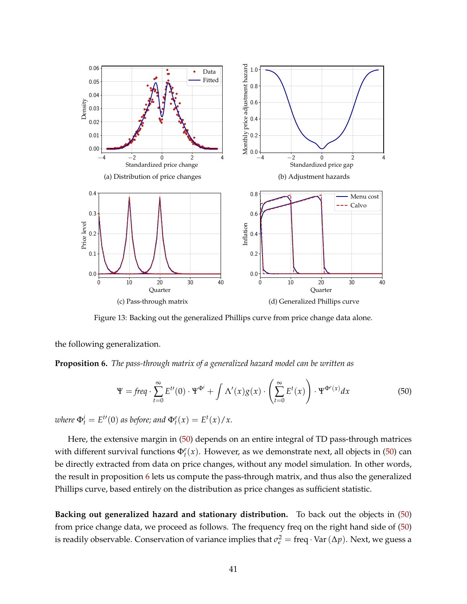<span id="page-40-2"></span>

Figure 13: Backing out the generalized Phillips curve from price change data alone.

the following generalization.

<span id="page-40-1"></span>**Proposition 6.** *The pass-through matrix of a generalized hazard model can be written as*

<span id="page-40-0"></span>
$$
\Psi = \text{freq} \cdot \sum_{t=0}^{\infty} E^{t}(0) \cdot \Psi^{\Phi^i} + \int \Lambda'(x) g(x) \cdot \left(\sum_{t=0}^{\infty} E^t(x)\right) \cdot \Psi^{\Phi^e(x)} dx \tag{50}
$$

*where*  $\Phi_t^i = E^{t}(0)$  *as before; and*  $\Phi_t^e(x) = E^t(x)/x$ .

Here, the extensive margin in [\(50\)](#page-40-0) depends on an entire integral of TD pass-through matrices with different survival functions  $\Phi_t^e(x)$ . However, as we demonstrate next, all objects in [\(50\)](#page-40-0) can be directly extracted from data on price changes, without any model simulation. In other words, the result in proposition [6](#page-40-1) lets us compute the pass-through matrix, and thus also the generalized Phillips curve, based entirely on the distribution as price changes as sufficient statistic.

**Backing out generalized hazard and stationary distribution.** To back out the objects in [\(50\)](#page-40-0) from price change data, we proceed as follows. The frequency freq on the right hand side of [\(50\)](#page-40-0) is readily observable. Conservation of variance implies that  $\sigma_{\epsilon}^2 = \text{freq} \cdot \text{Var}(\Delta p)$ . Next, we guess a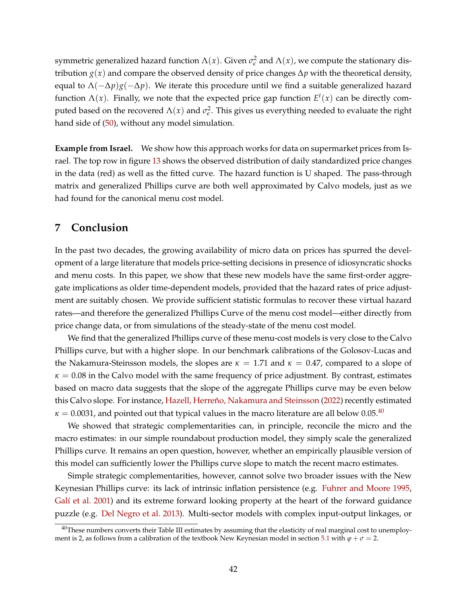symmetric generalized hazard function  $\Lambda(x)$ . Given  $\sigma_{\epsilon}^2$  and  $\Lambda(x)$ , we compute the stationary distribution  $g(x)$  and compare the observed density of price changes  $\Delta p$  with the theoretical density, equal to Λ(−∆*p*)*g*(−∆*p*). We iterate this procedure until we find a suitable generalized hazard function  $\Lambda(x)$ . Finally, we note that the expected price gap function  $E^t(x)$  can be directly computed based on the recovered  $\Lambda(x)$  and  $\sigma_{\epsilon}^2$ . This gives us everything needed to evaluate the right hand side of [\(50\)](#page-40-0), without any model simulation.

**Example from Israel.** We show how this approach works for data on supermarket prices from Israel. The top row in figure [13](#page-40-2) shows the observed distribution of daily standardized price changes in the data (red) as well as the fitted curve. The hazard function is U shaped. The pass-through matrix and generalized Phillips curve are both well approximated by Calvo models, just as we had found for the canonical menu cost model.

# **7 Conclusion**

In the past two decades, the growing availability of micro data on prices has spurred the development of a large literature that models price-setting decisions in presence of idiosyncratic shocks and menu costs. In this paper, we show that these new models have the same first-order aggregate implications as older time-dependent models, provided that the hazard rates of price adjustment are suitably chosen. We provide sufficient statistic formulas to recover these virtual hazard rates—and therefore the generalized Phillips Curve of the menu cost model—either directly from price change data, or from simulations of the steady-state of the menu cost model.

We find that the generalized Phillips curve of these menu-cost models is very close to the Calvo Phillips curve, but with a higher slope. In our benchmark calibrations of the Golosov-Lucas and the Nakamura-Steinsson models, the slopes are  $\kappa = 1.71$  and  $\kappa = 0.47$ , compared to a slope of  $\kappa = 0.08$  in the Calvo model with the same frequency of price adjustment. By contrast, estimates based on macro data suggests that the slope of the aggregate Phillips curve may be even below this Calvo slope. For instance, [Hazell, Herreño, Nakamura and Steinsson](#page-44-3) [\(2022\)](#page-44-3) recently estimated  $\kappa = 0.0031$ , and pointed out that typical values in the macro literature are all below 0.05.<sup>[40](#page-41-0)</sup>

We showed that strategic complementarities can, in principle, reconcile the micro and the macro estimates: in our simple roundabout production model, they simply scale the generalized Phillips curve. It remains an open question, however, whether an empirically plausible version of this model can sufficiently lower the Phillips curve slope to match the recent macro estimates.

Simple strategic complementarities, however, cannot solve two broader issues with the New Keynesian Phillips curve: its lack of intrinsic inflation persistence (e.g. [Fuhrer and Moore](#page-44-4) [1995,](#page-44-4) [Galí et al.](#page-44-5) [2001\)](#page-44-5) and its extreme forward looking property at the heart of the forward guidance puzzle (e.g. [Del Negro et al.](#page-45-5) [2013\)](#page-45-5). Multi-sector models with complex input-output linkages, or

<span id="page-41-0"></span> $40$ These numbers converts their Table III estimates by assuming that the elasticity of real marginal cost to unemploy-ment is 2, as follows from a calibration of the textbook New Keynesian model in section [5.1](#page-33-1) with  $\varphi + \sigma = 2$ .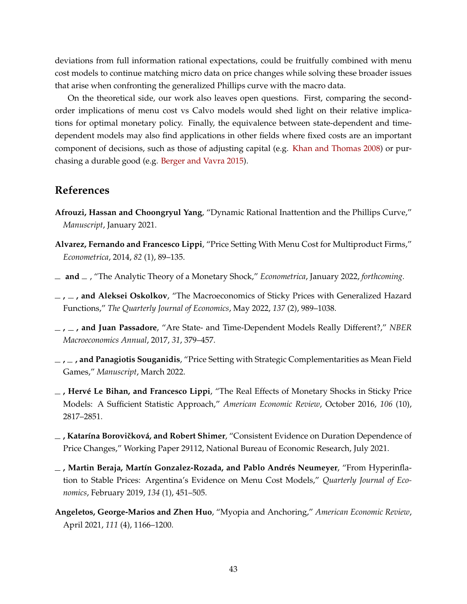deviations from full information rational expectations, could be fruitfully combined with menu cost models to continue matching micro data on price changes while solving these broader issues that arise when confronting the generalized Phillips curve with the macro data.

On the theoretical side, our work also leaves open questions. First, comparing the secondorder implications of menu cost vs Calvo models would shed light on their relative implications for optimal monetary policy. Finally, the equivalence between state-dependent and timedependent models may also find applications in other fields where fixed costs are an important component of decisions, such as those of adjusting capital (e.g. [Khan and Thomas](#page-45-6) [2008\)](#page-45-6) or purchasing a durable good (e.g. [Berger and Vavra](#page-43-2) [2015\)](#page-43-2).

# **References**

- **Afrouzi, Hassan and Choongryul Yang**, "Dynamic Rational Inattention and the Phillips Curve," *Manuscript*, January 2021.
- **Alvarez, Fernando and Francesco Lippi**, "Price Setting With Menu Cost for Multiproduct Firms," *Econometrica*, 2014, *82* (1), 89–135.
- <span id="page-42-3"></span>**and** , "The Analytic Theory of a Monetary Shock," *Econometrica*, January 2022, *forthcoming.*
- <span id="page-42-1"></span>**, , and Aleksei Oskolkov**, "The Macroeconomics of Sticky Prices with Generalized Hazard Functions," *The Quarterly Journal of Economics*, May 2022, *137* (2), 989–1038.
- **, , and Juan Passadore**, "Are State- and Time-Dependent Models Really Different?," *NBER Macroeconomics Annual*, 2017, *31*, 379–457.
- <span id="page-42-0"></span>**, , and Panagiotis Souganidis**, "Price Setting with Strategic Complementarities as Mean Field Games," *Manuscript*, March 2022.
- <span id="page-42-2"></span>**, Hervé Le Bihan, and Francesco Lippi**, "The Real Effects of Monetary Shocks in Sticky Price Models: A Sufficient Statistic Approach," *American Economic Review*, October 2016, *106* (10), 2817–2851.
- $\overline{\phantom{a}}$ , Katarína Borovičková, and Robert Shimer, "Consistent Evidence on Duration Dependence of Price Changes," Working Paper 29112, National Bureau of Economic Research, July 2021.
- **, Martin Beraja, Martín Gonzalez-Rozada, and Pablo Andrés Neumeyer**, "From Hyperinflation to Stable Prices: Argentina's Evidence on Menu Cost Models," *Quarterly Journal of Economics*, February 2019, *134* (1), 451–505.
- **Angeletos, George-Marios and Zhen Huo**, "Myopia and Anchoring," *American Economic Review*, April 2021, *111* (4), 1166–1200.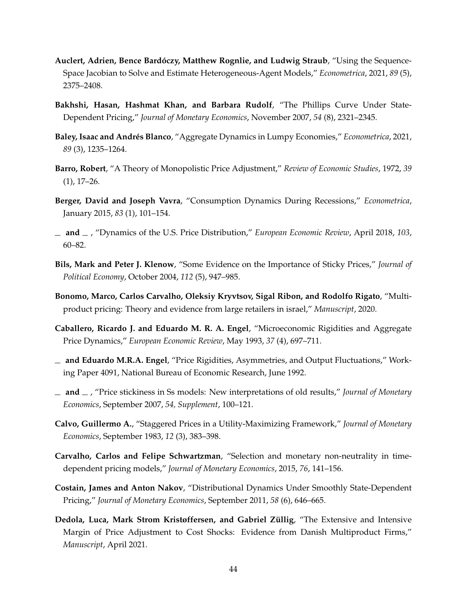- **Auclert, Adrien, Bence Bardóczy, Matthew Rognlie, and Ludwig Straub**, "Using the Sequence-Space Jacobian to Solve and Estimate Heterogeneous-Agent Models," *Econometrica*, 2021, *89* (5), 2375–2408.
- **Bakhshi, Hasan, Hashmat Khan, and Barbara Rudolf**, "The Phillips Curve Under State-Dependent Pricing," *Journal of Monetary Economics*, November 2007, *54* (8), 2321–2345.
- **Baley, Isaac and Andrés Blanco**, "Aggregate Dynamics in Lumpy Economies," *Econometrica*, 2021, *89* (3), 1235–1264.
- **Barro, Robert**, "A Theory of Monopolistic Price Adjustment," *Review of Economic Studies*, 1972, *39* (1), 17–26.
- <span id="page-43-2"></span>**Berger, David and Joseph Vavra**, "Consumption Dynamics During Recessions," *Econometrica*, January 2015, *83* (1), 101–154.
- <span id="page-43-0"></span>**and** , "Dynamics of the U.S. Price Distribution," *European Economic Review*, April 2018, *103*, 60–82.
- **Bils, Mark and Peter J. Klenow**, "Some Evidence on the Importance of Sticky Prices," *Journal of Political Economy*, October 2004, *112* (5), 947–985.
- **Bonomo, Marco, Carlos Carvalho, Oleksiy Kryvtsov, Sigal Ribon, and Rodolfo Rigato**, "Multiproduct pricing: Theory and evidence from large retailers in israel," *Manuscript*, 2020.
- <span id="page-43-1"></span>**Caballero, Ricardo J. and Eduardo M. R. A. Engel**, "Microeconomic Rigidities and Aggregate Price Dynamics," *European Economic Review*, May 1993, *37* (4), 697–711.
- **and Eduardo M.R.A. Engel**, "Price Rigidities, Asymmetries, and Output Fluctuations," Working Paper 4091, National Bureau of Economic Research, June 1992.
- **and** , "Price stickiness in Ss models: New interpretations of old results," *Journal of Monetary Economics*, September 2007, *54, Supplement*, 100–121.
- **Calvo, Guillermo A.**, "Staggered Prices in a Utility-Maximizing Framework," *Journal of Monetary Economics*, September 1983, *12* (3), 383–398.
- **Carvalho, Carlos and Felipe Schwartzman**, "Selection and monetary non-neutrality in timedependent pricing models," *Journal of Monetary Economics*, 2015, *76*, 141–156.
- **Costain, James and Anton Nakov**, "Distributional Dynamics Under Smoothly State-Dependent Pricing," *Journal of Monetary Economics*, September 2011, *58* (6), 646–665.
- **Dedola, Luca, Mark Strom Kristøffersen, and Gabriel Züllig**, "The Extensive and Intensive Margin of Price Adjustment to Cost Shocks: Evidence from Danish Multiproduct Firms," *Manuscript*, April 2021.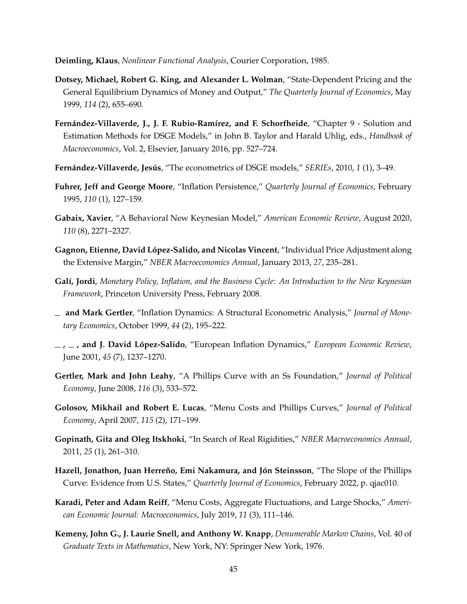<span id="page-44-6"></span>**Deimling, Klaus**, *Nonlinear Functional Analysis*, Courier Corporation, 1985.

- **Dotsey, Michael, Robert G. King, and Alexander L. Wolman**, "State-Dependent Pricing and the General Equilibrium Dynamics of Money and Output," *The Quarterly Journal of Economics*, May 1999, *114* (2), 655–690.
- **Fernández-Villaverde, J., J. F. Rubio-Ramírez, and F. Schorfheide**, "Chapter 9 Solution and Estimation Methods for DSGE Models," in John B. Taylor and Harald Uhlig, eds., *Handbook of Macroeconomics*, Vol. 2, Elsevier, January 2016, pp. 527–724.
- **Fernández-Villaverde, Jesús**, "The econometrics of DSGE models," *SERIEs*, 2010, *1* (1), 3–49.
- <span id="page-44-4"></span>**Fuhrer, Jeff and George Moore**, "Inflation Persistence," *Quarterly Journal of Economics*, February 1995, *110* (1), 127–159.
- **Gabaix, Xavier**, "A Behavioral New Keynesian Model," *American Economic Review*, August 2020, *110* (8), 2271–2327.
- <span id="page-44-2"></span>**Gagnon, Etienne, David López-Salido, and Nicolas Vincent**, "Individual Price Adjustment along the Extensive Margin," *NBER Macroeconomics Annual*, January 2013, *27*, 235–281.
- <span id="page-44-0"></span>**Galí, Jordi**, *Monetary Policy, Inflation, and the Business Cycle: An Introduction to the New Keynesian Framework*, Princeton University Press, February 2008.
- **and Mark Gertler**, "Inflation Dynamics: A Structural Econometric Analysis," *Journal of Monetary Economics*, October 1999, *44* (2), 195–222.
- <span id="page-44-5"></span>**, , and J. David López-Salido**, "European Inflation Dynamics," *European Economic Review*, June 2001, *45* (7), 1237–1270.
- <span id="page-44-8"></span>**Gertler, Mark and John Leahy**, "A Phillips Curve with an Ss Foundation," *Journal of Political Economy*, June 2008, *116* (3), 533–572.
- **Golosov, Mikhail and Robert E. Lucas**, "Menu Costs and Phillips Curves," *Journal of Political Economy*, April 2007, *115* (2), 171–199.
- <span id="page-44-1"></span>**Gopinath, Gita and Oleg Itskhoki**, "In Search of Real Rigidities," *NBER Macroeconomics Annual*, 2011, *25* (1), 261–310.
- <span id="page-44-3"></span>**Hazell, Jonathon, Juan Herreño, Emi Nakamura, and Jón Steinsson**, "The Slope of the Phillips Curve: Evidence from U.S. States," *Quarterly Journal of Economics*, February 2022, p. qjac010.
- **Karadi, Peter and Adam Reiff**, "Menu Costs, Aggregate Fluctuations, and Large Shocks," *American Economic Journal: Macroeconomics*, July 2019, *11* (3), 111–146.
- <span id="page-44-7"></span>**Kemeny, John G., J. Laurie Snell, and Anthony W. Knapp**, *Denumerable Markov Chains*, Vol. 40 of *Graduate Texts in Mathematics*, New York, NY: Springer New York, 1976.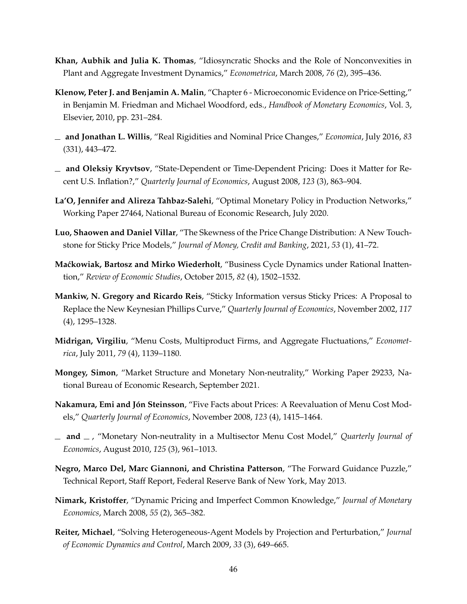- <span id="page-45-6"></span>**Khan, Aubhik and Julia K. Thomas**, "Idiosyncratic Shocks and the Role of Nonconvexities in Plant and Aggregate Investment Dynamics," *Econometrica*, March 2008, *76* (2), 395–436.
- **Klenow, Peter J. and Benjamin A. Malin**, "Chapter 6 Microeconomic Evidence on Price-Setting," in Benjamin M. Friedman and Michael Woodford, eds., *Handbook of Monetary Economics*, Vol. 3, Elsevier, 2010, pp. 231–284.
- <span id="page-45-2"></span>**and Jonathan L. Willis**, "Real Rigidities and Nominal Price Changes," *Economica*, July 2016, *83* (331), 443–472.
- **and Oleksiy Kryvtsov**, "State-Dependent or Time-Dependent Pricing: Does it Matter for Recent U.S. Inflation?," *Quarterly Journal of Economics*, August 2008, *123* (3), 863–904.
- **La'O, Jennifer and Alireza Tahbaz-Salehi**, "Optimal Monetary Policy in Production Networks," Working Paper 27464, National Bureau of Economic Research, July 2020.
- <span id="page-45-4"></span>**Luo, Shaowen and Daniel Villar**, "The Skewness of the Price Change Distribution: A New Touchstone for Sticky Price Models," *Journal of Money, Credit and Banking*, 2021, *53* (1), 41–72.
- **Ma´ckowiak, Bartosz and Mirko Wiederholt**, "Business Cycle Dynamics under Rational Inattention," *Review of Economic Studies*, October 2015, *82* (4), 1502–1532.
- **Mankiw, N. Gregory and Ricardo Reis**, "Sticky Information versus Sticky Prices: A Proposal to Replace the New Keynesian Phillips Curve," *Quarterly Journal of Economics*, November 2002, *117* (4), 1295–1328.
- **Midrigan, Virgiliu**, "Menu Costs, Multiproduct Firms, and Aggregate Fluctuations," *Econometrica*, July 2011, *79* (4), 1139–1180.
- <span id="page-45-3"></span>**Mongey, Simon**, "Market Structure and Monetary Non-neutrality," Working Paper 29233, National Bureau of Economic Research, September 2021.
- **Nakamura, Emi and Jón Steinsson**, "Five Facts about Prices: A Reevaluation of Menu Cost Models," *Quarterly Journal of Economics*, November 2008, *123* (4), 1415–1464.
- <span id="page-45-1"></span>**and** , "Monetary Non-neutrality in a Multisector Menu Cost Model," *Quarterly Journal of Economics*, August 2010, *125* (3), 961–1013.
- <span id="page-45-5"></span>**Negro, Marco Del, Marc Giannoni, and Christina Patterson**, "The Forward Guidance Puzzle," Technical Report, Staff Report, Federal Reserve Bank of New York, May 2013.
- **Nimark, Kristoffer**, "Dynamic Pricing and Imperfect Common Knowledge," *Journal of Monetary Economics*, March 2008, *55* (2), 365–382.
- <span id="page-45-0"></span>**Reiter, Michael**, "Solving Heterogeneous-Agent Models by Projection and Perturbation," *Journal of Economic Dynamics and Control*, March 2009, *33* (3), 649–665.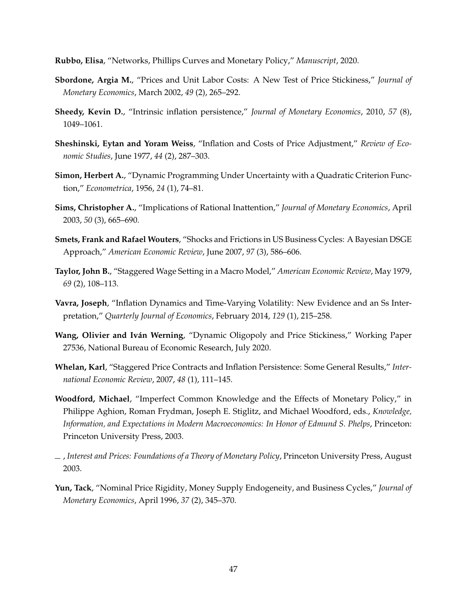**Rubbo, Elisa**, "Networks, Phillips Curves and Monetary Policy," *Manuscript*, 2020.

- **Sbordone, Argia M.**, "Prices and Unit Labor Costs: A New Test of Price Stickiness," *Journal of Monetary Economics*, March 2002, *49* (2), 265–292.
- **Sheedy, Kevin D.**, "Intrinsic inflation persistence," *Journal of Monetary Economics*, 2010, *57* (8), 1049–1061.
- **Sheshinski, Eytan and Yoram Weiss**, "Inflation and Costs of Price Adjustment," *Review of Economic Studies*, June 1977, *44* (2), 287–303.
- **Simon, Herbert A.**, "Dynamic Programming Under Uncertainty with a Quadratic Criterion Function," *Econometrica*, 1956, *24* (1), 74–81.
- **Sims, Christopher A.**, "Implications of Rational Inattention," *Journal of Monetary Economics*, April 2003, *50* (3), 665–690.
- <span id="page-46-1"></span>**Smets, Frank and Rafael Wouters**, "Shocks and Frictions in US Business Cycles: A Bayesian DSGE Approach," *American Economic Review*, June 2007, *97* (3), 586–606.
- **Taylor, John B.**, "Staggered Wage Setting in a Macro Model," *American Economic Review*, May 1979, *69* (2), 108–113.
- **Vavra, Joseph**, "Inflation Dynamics and Time-Varying Volatility: New Evidence and an Ss Interpretation," *Quarterly Journal of Economics*, February 2014, *129* (1), 215–258.
- <span id="page-46-0"></span>**Wang, Olivier and Iván Werning**, "Dynamic Oligopoly and Price Stickiness," Working Paper 27536, National Bureau of Economic Research, July 2020.
- **Whelan, Karl**, "Staggered Price Contracts and Inflation Persistence: Some General Results," *International Economic Review*, 2007, *48* (1), 111–145.
- **Woodford, Michael**, "Imperfect Common Knowledge and the Effects of Monetary Policy," in Philippe Aghion, Roman Frydman, Joseph E. Stiglitz, and Michael Woodford, eds., *Knowledge, Information, and Expectations in Modern Macroeconomics: In Honor of Edmund S. Phelps*, Princeton: Princeton University Press, 2003.
- , *Interest and Prices: Foundations of a Theory of Monetary Policy*, Princeton University Press, August 2003.
- **Yun, Tack**, "Nominal Price Rigidity, Money Supply Endogeneity, and Business Cycles," *Journal of Monetary Economics*, April 1996, *37* (2), 345–370.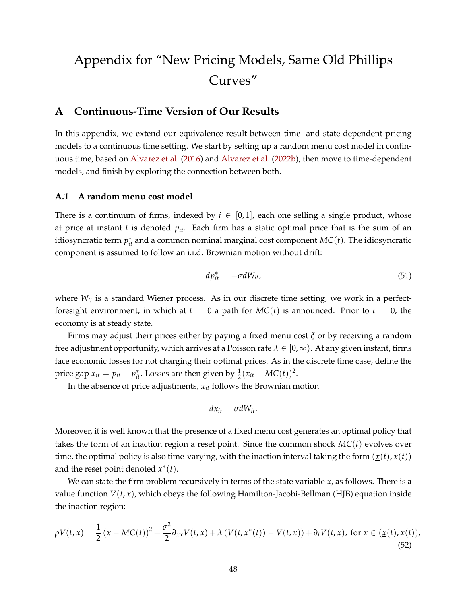# Appendix for "New Pricing Models, Same Old Phillips Curves"

# **A Continuous-Time Version of Our Results**

In this appendix, we extend our equivalence result between time- and state-dependent pricing models to a continuous time setting. We start by setting up a random menu cost model in continuous time, based on [Alvarez et al.](#page-42-2) [\(2016\)](#page-42-2) and [Alvarez et al.](#page-42-0) [\(2022b\)](#page-42-0), then move to time-dependent models, and finish by exploring the connection between both.

## **A.1 A random menu cost model**

There is a continuum of firms, indexed by  $i \in [0,1]$ , each one selling a single product, whose at price at instant *t* is denoted  $p_{it}$ . Each firm has a static optimal price that is the sum of an idiosyncratic term  $p_{it}^*$  and a common nominal marginal cost component  $MC(t)$ . The idiosyncratic component is assumed to follow an i.i.d. Brownian motion without drift:

<span id="page-47-1"></span>
$$
dp_{it}^* = -\sigma dW_{it},\tag{51}
$$

where  $W_{it}$  is a standard Wiener process. As in our discrete time setting, we work in a perfectforesight environment, in which at  $t = 0$  a path for  $MC(t)$  is announced. Prior to  $t = 0$ , the economy is at steady state.

Firms may adjust their prices either by paying a fixed menu cost *ξ* or by receiving a random free adjustment opportunity, which arrives at a Poisson rate  $\lambda \in [0, \infty)$ . At any given instant, firms face economic losses for not charging their optimal prices. As in the discrete time case, define the price gap  $x_{it} = p_{it} - p_{it}^*$ . Losses are then given by  $\frac{1}{2}(x_{it} - MC(t))^2$ .

In the absence of price adjustments, *xit* follows the Brownian motion

$$
dx_{it} = \sigma dW_{it}.
$$

Moreover, it is well known that the presence of a fixed menu cost generates an optimal policy that takes the form of an inaction region a reset point. Since the common shock *MC*(*t*) evolves over time, the optimal policy is also time-varying, with the inaction interval taking the form  $(\underline{x}(t), \overline{x}(t))$ and the reset point denoted  $x^*(t)$ .

We can state the firm problem recursively in terms of the state variable *x*, as follows. There is a value function  $V(t, x)$ , which obeys the following Hamilton-Jacobi-Bellman (HJB) equation inside the inaction region:

<span id="page-47-0"></span>
$$
\rho V(t,x) = \frac{1}{2} \left( x - MC(t) \right)^2 + \frac{\sigma^2}{2} \partial_{xx} V(t,x) + \lambda \left( V(t,x^*(t)) - V(t,x) \right) + \partial_t V(t,x), \text{ for } x \in (\underline{x}(t), \overline{x}(t)),
$$
\n(52)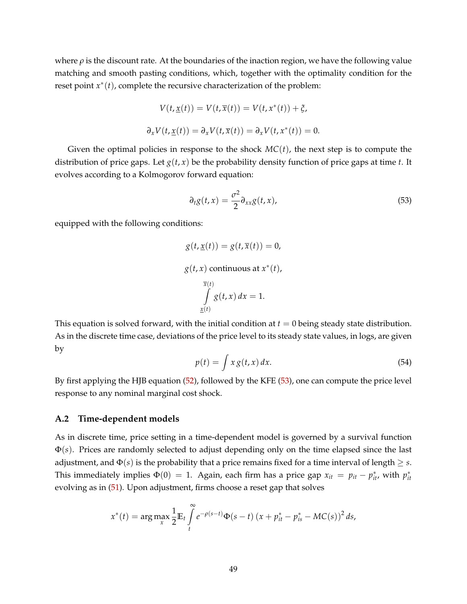where  $\rho$  is the discount rate. At the boundaries of the inaction region, we have the following value matching and smooth pasting conditions, which, together with the optimality condition for the reset point *x* ∗ (*t*), complete the recursive characterization of the problem:

$$
V(t, \underline{x}(t)) = V(t, \overline{x}(t)) = V(t, x^*(t)) + \xi,
$$
  

$$
\partial_x V(t, \underline{x}(t)) = \partial_x V(t, \overline{x}(t)) = \partial_x V(t, x^*(t)) = 0.
$$

Given the optimal policies in response to the shock  $MC(t)$ , the next step is to compute the distribution of price gaps. Let  $g(t, x)$  be the probability density function of price gaps at time *t*. It evolves according to a Kolmogorov forward equation:

<span id="page-48-0"></span>
$$
\partial_t g(t, x) = \frac{\sigma^2}{2} \partial_{xx} g(t, x), \tag{53}
$$

equipped with the following conditions:

$$
g(t, \underline{x}(t)) = g(t, \overline{x}(t)) = 0,
$$
  
 
$$
g(t, x) \text{ continuous at } x^*(t),
$$
  
\n
$$
\int_{\underline{x}(t)} \overline{g(t, x)} dx = 1.
$$

This equation is solved forward, with the initial condition at  $t = 0$  being steady state distribution. As in the discrete time case, deviations of the price level to its steady state values, in logs, are given by

$$
p(t) = \int x g(t, x) dx.
$$
 (54)

By first applying the HJB equation [\(52\)](#page-47-0), followed by the KFE [\(53\)](#page-48-0), one can compute the price level response to any nominal marginal cost shock.

#### **A.2 Time-dependent models**

As in discrete time, price setting in a time-dependent model is governed by a survival function Φ(*s*). Prices are randomly selected to adjust depending only on the time elapsed since the last adjustment, and  $\Phi(s)$  is the probability that a price remains fixed for a time interval of length  $\geq s$ . This immediately implies  $\Phi(0) = 1$ . Again, each firm has a price gap  $x_{it} = p_{it} - p_{it}^*$ , with  $p_{it}^*$ evolving as in [\(51\)](#page-47-1). Upon adjustment, firms choose a reset gap that solves

$$
x^{*}(t) = \arg \max_{x} \frac{1}{2} \mathbb{E}_{t} \int_{t}^{\infty} e^{-\rho(s-t)} \Phi(s-t) (x + p_{it}^{*} - p_{is}^{*} - MC(s))^{2} ds,
$$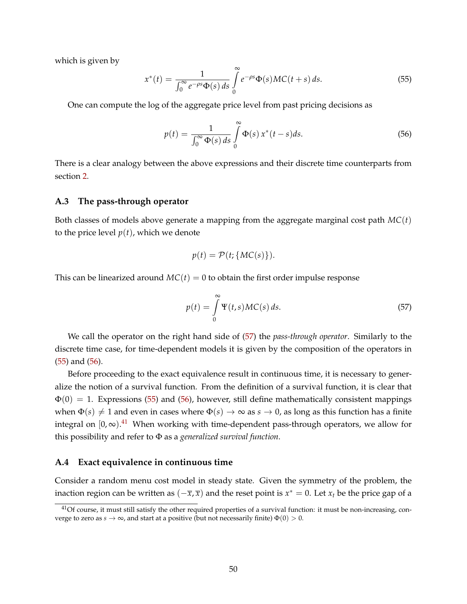which is given by

<span id="page-49-1"></span>
$$
x^*(t) = \frac{1}{\int_0^\infty e^{-\rho s} \Phi(s) ds} \int_0^\infty e^{-\rho s} \Phi(s) MC(t+s) ds.
$$
 (55)

One can compute the log of the aggregate price level from past pricing decisions as

<span id="page-49-2"></span>
$$
p(t) = \frac{1}{\int_0^\infty \Phi(s) \, ds} \int_0^\infty \Phi(s) \, x^*(t - s) \, ds. \tag{56}
$$

There is a clear analogy between the above expressions and their discrete time counterparts from section [2.](#page-5-0)

#### **A.3 The pass-through operator**

Both classes of models above generate a mapping from the aggregate marginal cost path *MC*(*t*) to the price level  $p(t)$ , which we denote

$$
p(t) = \mathcal{P}(t; \{MC(s)\}).
$$

This can be linearized around  $MC(t) = 0$  to obtain the first order impulse response

<span id="page-49-0"></span>
$$
p(t) = \int_{0}^{\infty} \Psi(t, s) MC(s) ds.
$$
 (57)

We call the operator on the right hand side of [\(57\)](#page-49-0) the *pass-through operator*. Similarly to the discrete time case, for time-dependent models it is given by the composition of the operators in [\(55\)](#page-49-1) and [\(56\)](#page-49-2).

Before proceeding to the exact equivalence result in continuous time, it is necessary to generalize the notion of a survival function. From the definition of a survival function, it is clear that  $\Phi(0) = 1$ . Expressions [\(55\)](#page-49-1) and [\(56\)](#page-49-2), however, still define mathematically consistent mappings when  $\Phi(s) \neq 1$  and even in cases where  $\Phi(s) \to \infty$  as  $s \to 0$ , as long as this function has a finite integral on  $[0, \infty)$ .<sup>[41](#page-49-3)</sup> When working with time-dependent pass-through operators, we allow for this possibility and refer to Φ as a *generalized survival function*.

#### **A.4 Exact equivalence in continuous time**

Consider a random menu cost model in steady state. Given the symmetry of the problem, the inaction region can be written as  $(-\overline{x}, \overline{x})$  and the reset point is  $x^* = 0$ . Let  $x_t$  be the price gap of a

<span id="page-49-3"></span><sup>&</sup>lt;sup>41</sup>Of course, it must still satisfy the other required properties of a survival function: it must be non-increasing, converge to zero as  $s \to \infty$ , and start at a positive (but not necessarily finite)  $\Phi(0) > 0$ .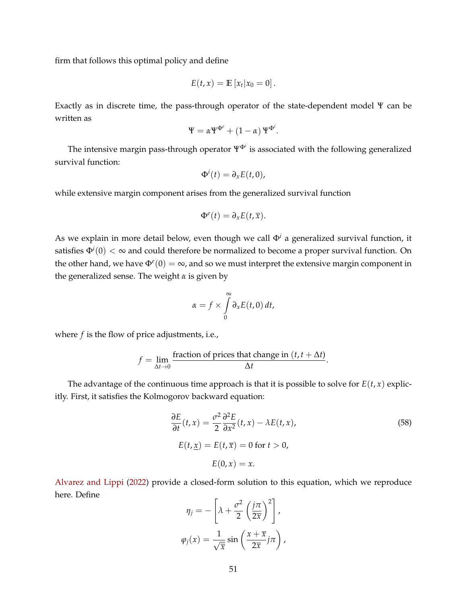firm that follows this optimal policy and define

$$
E(t,x)=\mathbb{E}\left[x_t|x_0=0\right].
$$

Exactly as in discrete time, the pass-through operator of the state-dependent model Ψ can be written as

$$
\Psi = \alpha \Psi^{\Phi^e} + (1 - \alpha) \Psi^{\Phi^i}.
$$

The intensive margin pass-through operator ΨΦ*<sup>i</sup>* is associated with the following generalized survival function:

$$
\Phi^i(t)=\partial_x E(t,0),
$$

while extensive margin component arises from the generalized survival function

$$
\Phi^e(t)=\partial_x E(t,\overline{x}).
$$

As we explain in more detail below, even though we call  $\Phi^i$  a generalized survival function, it satisfies  $\Phi^i(0)<\infty$  and could therefore be normalized to become a proper survival function. On the other hand, we have  $\Phi^e(0) = \infty$ , and so we must interpret the extensive margin component in the generalized sense. The weight *α* is given by

$$
\alpha = f \times \int\limits_0^\infty \partial_x E(t,0) dt,
$$

where *f* is the flow of price adjustments, i.e.,

$$
f = \lim_{\Delta t \to 0} \frac{\text{fraction of prices that change in } (t, t + \Delta t)}{\Delta t}.
$$

The advantage of the continuous time approach is that it is possible to solve for  $E(t, x)$  explicitly. First, it satisfies the Kolmogorov backward equation:

<span id="page-50-0"></span>
$$
\frac{\partial E}{\partial t}(t, x) = \frac{\sigma^2}{2} \frac{\partial^2 E}{\partial x^2}(t, x) - \lambda E(t, x),
$$
  
\n
$$
E(t, \underline{x}) = E(t, \overline{x}) = 0 \text{ for } t > 0,
$$
  
\n
$$
E(0, x) = x.
$$
\n(58)

[Alvarez and Lippi](#page-42-3) [\(2022\)](#page-42-3) provide a closed-form solution to this equation, which we reproduce here. Define

$$
\eta_j = -\left[\lambda + \frac{\sigma^2}{2} \left(\frac{j\pi}{2\overline{x}}\right)^2\right],
$$

$$
\varphi_j(x) = \frac{1}{\sqrt{\overline{x}}} \sin\left(\frac{x + \overline{x}}{2\overline{x}}j\pi\right),
$$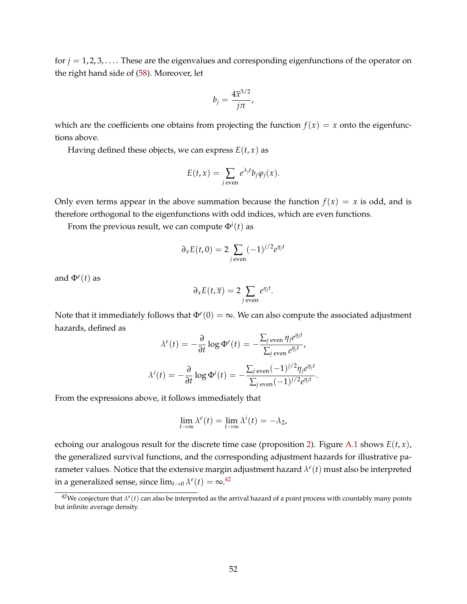for  $j = 1, 2, 3, \ldots$  These are the eigenvalues and corresponding eigenfunctions of the operator on the right hand side of [\(58\)](#page-50-0). Moreover, let

$$
b_j=\frac{4\overline{x}^{3/2}}{j\pi},
$$

which are the coefficients one obtains from projecting the function  $f(x) = x$  onto the eigenfunctions above.

Having defined these objects, we can express  $E(t, x)$  as

$$
E(t, x) = \sum_{j \text{ even}} e^{\lambda_j t} b_j \varphi_j(x).
$$

Only even terms appear in the above summation because the function  $f(x) = x$  is odd, and is therefore orthogonal to the eigenfunctions with odd indices, which are even functions.

From the previous result*,* we can compute  $\Phi^i(t)$  as

$$
\partial_x E(t,0) = 2 \sum_{j \text{ even}} (-1)^{j/2} e^{\eta_j t}
$$

and  $\Phi^e(t)$  as

$$
\partial_x E(t, \overline{x}) = 2 \sum_{j \text{ even}} e^{\eta_j t}.
$$

Note that it immediately follows that  $\Phi^e(0) = \infty$ . We can also compute the associated adjustment hazards, defined as

$$
\lambda^{e}(t) = -\frac{\partial}{\partial t} \log \Phi^{e}(t) = -\frac{\sum_{j \text{ even}} \eta_{j} e^{\eta_{j} t}}{\sum_{j \text{ even}} e^{\eta_{j} t}},
$$

$$
\lambda^{i}(t) = -\frac{\partial}{\partial t} \log \Phi^{i}(t) = -\frac{\sum_{j \text{ even}} (-1)^{j/2} \eta_{j} e^{\eta_{j} t}}{\sum_{j \text{ even}} (-1)^{j/2} e^{\eta_{j} t}}.
$$

From the expressions above, it follows immediately that

$$
\lim_{t \to \infty} \lambda^{e}(t) = \lim_{t \to \infty} \lambda^{i}(t) = -\lambda_{2},
$$

echoing our analogous result for the discrete time case (proposition [2\)](#page-21-0). Figure [A.1](#page-52-0) shows  $E(t, x)$ , the generalized survival functions, and the corresponding adjustment hazards for illustrative parameter values. Notice that the extensive margin adjustment hazard  $\lambda^{e}(t)$  must also be interpreted in a generalized sense, since  $\lim_{t\to 0} \lambda^e(t) = \infty$ .<sup>[42](#page-51-0)</sup>

<span id="page-51-0"></span> $^{42}$ We conjecture that  $\lambda^e(t)$  can also be interpreted as the arrival hazard of a point process with countably many points but infinite average density.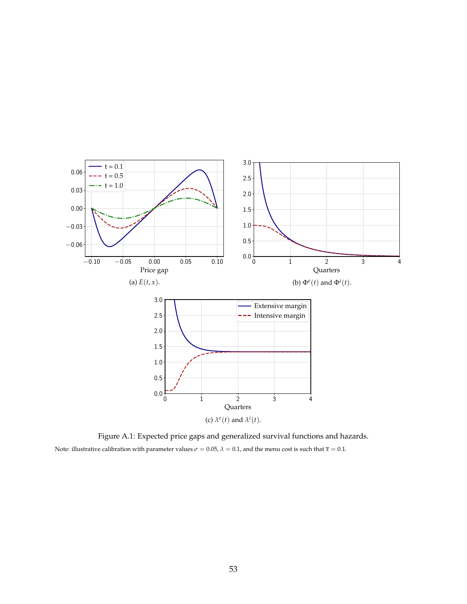<span id="page-52-0"></span>

Figure A.1: Expected price gaps and generalized survival functions and hazards. Note: illustrative calibration with parameter values  $\sigma = 0.05$ ,  $\lambda = 0.1$ , and the menu cost is such that  $\bar{x} = 0.1$ .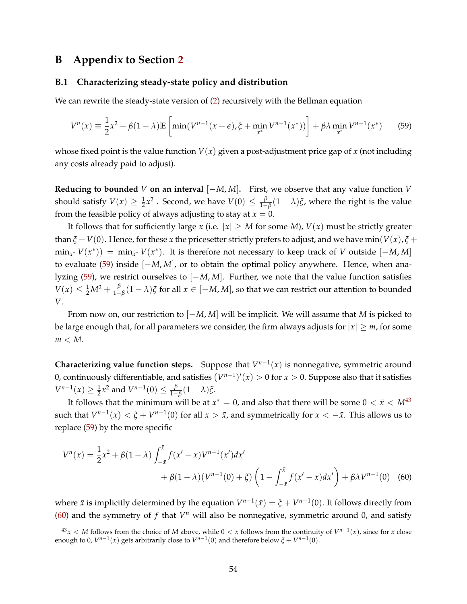# **B Appendix to Section [2](#page-5-0)**

#### **B.1 Characterizing steady-state policy and distribution**

We can rewrite the steady-state version of [\(2\)](#page-6-1) recursively with the Bellman equation

<span id="page-53-0"></span>
$$
V^{n}(x) \equiv \frac{1}{2}x^{2} + \beta(1 - \lambda)\mathbb{E}\left[\min(V^{n-1}(x + \epsilon), \xi + \min_{x^{*}} V^{n-1}(x^{*}))\right] + \beta\lambda \min_{x^{*}} V^{n-1}(x^{*})
$$
 (59)

whose fixed point is the value function  $V(x)$  given a post-adjustment price gap of x (not including any costs already paid to adjust).

**Reducing to bounded** *V* **on an interval**  $[-M, M]$ . First, we observe that any value function *V* should satisfy  $V(x) \geq \frac{1}{2}x^2$ . Second, we have  $V(0) \leq \frac{\beta}{1-x^2}$  $\frac{P}{1-P}$ (1 − *λ*)*ξ*, where the right is the value from the feasible policy of always adjusting to stay at  $x = 0$ .

It follows that for sufficiently large *x* (i.e.  $|x| \geq M$  for some *M*),  $V(x)$  must be strictly greater than  $\zeta$  + *V*(0). Hence, for these *x* the pricesetter strictly prefers to adjust, and we have min(*V*(*x*),  $\zeta$  +  $\min_{x^*} V(x^*)$  =  $\min_{x^*} V(x^*)$ . It is therefore not necessary to keep track of *V* outside  $[-M, M]$ to evaluate [\(59\)](#page-53-0) inside [−*M*, *M*], or to obtain the optimal policy anywhere. Hence, when analyzing [\(59\)](#page-53-0), we restrict ourselves to [−*M*, *M*]. Further, we note that the value function satisfies  $V(x) \leq \frac{1}{2}M^2 + \frac{\beta}{1-x}$ 1−*β* (1 − *λ*)*ξ* for all *x* ∈ [−*M*, *M*], so that we can restrict our attention to bounded *V*.

From now on, our restriction to [−*M*, *M*] will be implicit. We will assume that *M* is picked to be large enough that, for all parameters we consider, the firm always adjusts for  $|x| \geq m$ , for some *m* < *M*.

**Characterizing value function steps.** Suppose that  $V^{n-1}(x)$  is nonnegative, symmetric around 0, continuously differentiable, and satisfies  $(V^{n-1})'(x) > 0$  for  $x > 0$ . Suppose also that it satisfies  $V^{n-1}(x) \ge \frac{1}{2}x^2$  and  $V^{n-1}(0) \le \frac{\beta}{1-x}$ 1−*β* (1 − *λ*)*ξ*.

It follows that the minimum will be at  $x^* = 0$ , and also that there will be some  $0 < \bar{x} < M^{43}$  $0 < \bar{x} < M^{43}$  $0 < \bar{x} < M^{43}$ such that  $V^{n-1}(x) < \xi + V^{n-1}(0)$  for all  $x > \bar{x}$ , and symmetrically for  $x < -\bar{x}$ . This allows us to replace [\(59\)](#page-53-0) by the more specific

<span id="page-53-2"></span>
$$
V^{n}(x) = \frac{1}{2}x^{2} + \beta(1 - \lambda) \int_{-\bar{x}}^{\bar{x}} f(x'-x) V^{n-1}(x') dx' + \beta(1 - \lambda) (V^{n-1}(0) + \xi) \left(1 - \int_{-\bar{x}}^{\bar{x}} f(x'-x) dx'\right) + \beta \lambda V^{n-1}(0)
$$
 (60)

where  $\bar{x}$  is implicitly determined by the equation  $V^{n-1}(\bar{x}) = \xi + V^{n-1}(0)$ . It follows directly from [\(60\)](#page-53-2) and the symmetry of  $f$  that  $V^n$  will also be nonnegative, symmetric around 0, and satisfy

<span id="page-53-1"></span> $43\bar{x}$  < *M* follows from the choice of *M* above, while 0 < *x* follows from the continuity of  $V^{n-1}(x)$ , since for *x* close enough to 0,  $V^{n-1}(x)$  gets arbitrarily close to  $V^{n-1}(0)$  and therefore below  $\xi + V^{n-1}(0)$ .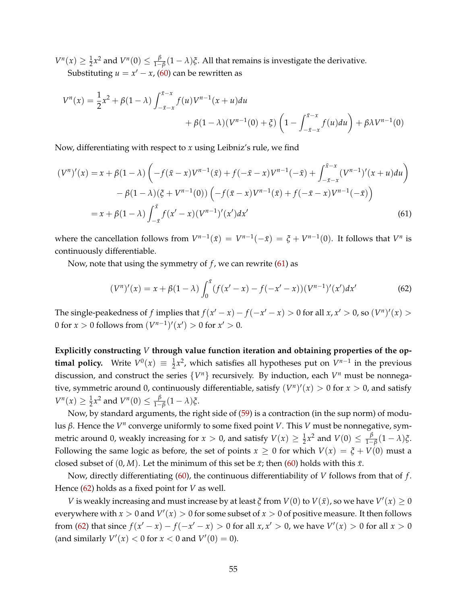$V^n(x) \ge \frac{1}{2}x^2$  and  $V^n(0) \le \frac{\beta}{1-x^2}$  $\frac{P}{1-P}$  (1 − *λ*)*ξ*. All that remains is investigate the derivative. Substituting  $u = x' - x$ , [\(60\)](#page-53-2) can be rewritten as

$$
V^{n}(x) = \frac{1}{2}x^{2} + \beta(1 - \lambda) \int_{-\bar{x}-x}^{\bar{x}-x} f(u)V^{n-1}(x+u)du
$$
  
+  $\beta(1 - \lambda)(V^{n-1}(0) + \xi) \left(1 - \int_{-\bar{x}-x}^{\bar{x}-x} f(u)du\right) + \beta\lambda V^{n-1}(0)$ 

Now, differentiating with respect to *x* using Leibniz's rule, we find

$$
(V^{n})'(x) = x + \beta(1 - \lambda) \left( -f(\bar{x} - x)V^{n-1}(\bar{x}) + f(-\bar{x} - x)V^{n-1}(-\bar{x}) + \int_{-\bar{x}-x}^{\bar{x}-x} (V^{n-1})'(x+u)du \right) - \beta(1 - \lambda)(\xi + V^{n-1}(0)) \left( -f(\bar{x} - x)V^{n-1}(\bar{x}) + f(-\bar{x} - x)V^{n-1}(-\bar{x}) \right) = x + \beta(1 - \lambda) \int_{-\bar{x}}^{\bar{x}} f(x'-x) (V^{n-1})'(x') dx' \tag{61}
$$

where the cancellation follows from  $V^{n-1}(\bar{x}) = V^{n-1}(-\bar{x}) = \xi + V^{n-1}(0)$ . It follows that  $V^n$  is continuously differentiable.

Now, note that using the symmetry of *f*, we can rewrite [\(61\)](#page-54-0) as

<span id="page-54-1"></span><span id="page-54-0"></span>
$$
(V^n)'(x) = x + \beta(1 - \lambda) \int_0^{\bar{x}} (f(x' - x) - f(-x' - x))(V^{n-1})'(x')dx'
$$
 (62)

The single-peakedness of *f* implies that  $f(x'-x) - f(-x'-x) > 0$  for all  $x, x' > 0$ , so  $(V^n)'(x) >$ 0 for *x* > 0 follows from  $(V^{n-1})'(x') > 0$  for  $x' > 0$ .

**Explicitly constructing** *V* **through value function iteration and obtaining properties of the optimal policy.** Write  $V^0(x) \equiv \frac{1}{2}x^2$ , which satisfies all hypotheses put on  $V^{n-1}$  in the previous discussion, and construct the series  $\{V^n\}$  recursively. By induction, each  $V^n$  must be nonnegative, symmetric around 0, continuously differentiable, satisfy  $(V^n)'(x) > 0$  for  $x > 0$ , and satisfy  $V^n(x) \ge \frac{1}{2}x^2$  and  $V^n(0) \le \frac{\beta}{1-x}$ 1−*β* (1 − *λ*)*ξ*.

Now, by standard arguments, the right side of [\(59\)](#page-53-0) is a contraction (in the sup norm) of modulus β. Hence the  $V<sup>n</sup>$  converge uniformly to some fixed point *V*. This *V* must be nonnegative, symmetric around 0, weakly increasing for  $x > 0$ , and satisfy  $V(x) \ge \frac{1}{2}x^2$  and  $V(0) \le \frac{\beta}{1-x^2}$ 1−*β* (1 − *λ*)*ξ*. Following the same logic as before, the set of points  $x \ge 0$  for which  $V(x) = \xi + V(0)$  must a closed subset of  $(0, M)$ . Let the minimum of this set be  $\bar{x}$ ; then [\(60\)](#page-53-2) holds with this  $\bar{x}$ .

Now, directly differentiating [\(60\)](#page-53-2), the continuous differentiability of *V* follows from that of *f* . Hence [\(62\)](#page-54-1) holds as a fixed point for *V* as well.

*V* is weakly increasing and must increase by at least *ξ* from  $V(0)$  to  $V(\bar{x})$ , so we have  $V'(x) \ge 0$ everywhere with  $x>0$  and  $V'(x)>0$  for some subset of  $x>0$  of positive measure. It then follows from [\(62\)](#page-54-1) that since  $f(x'-x) - f(-x'-x) > 0$  for all  $x, x' > 0$ , we have  $V'(x) > 0$  for all  $x > 0$ (and similarly  $V'(x) < 0$  for  $x < 0$  and  $V'(0) = 0$ ).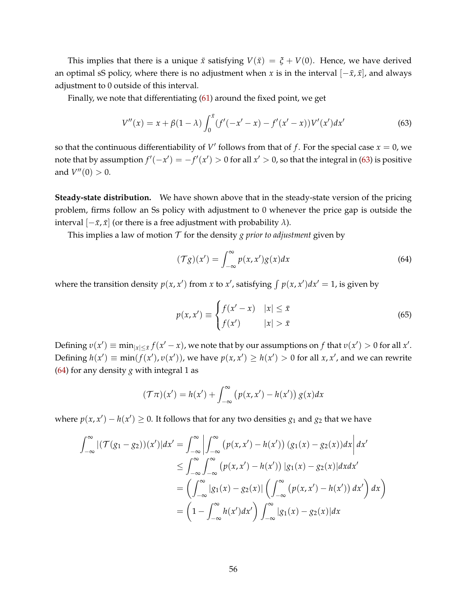This implies that there is a unique *x* satisfying  $V(\bar{x}) = \zeta + V(0)$ . Hence, we have derived an optimal sS policy, where there is no adjustment when *x* is in the interval  $[-\bar{x}, \bar{x}]$ , and always adjustment to 0 outside of this interval.

Finally, we note that differentiating [\(61\)](#page-54-0) around the fixed point, we get

<span id="page-55-0"></span>
$$
V''(x) = x + \beta(1 - \lambda) \int_0^{\bar{x}} (f'(-x' - x) - f'(x' - x)) V'(x') dx'
$$
 (63)

so that the continuous differentiability of  $V'$  follows from that of  $f$ . For the special case  $x=0$ , we note that by assumption  $f'(-x') = -f'(x') > 0$  for all  $x' > 0$ , so that the integral in [\(63\)](#page-55-0) is positive and  $V''(0) > 0$ .

**Steady-state distribution.** We have shown above that in the steady-state version of the pricing problem, firms follow an Ss policy with adjustment to 0 whenever the price gap is outside the interval  $[-\bar{x}, \bar{x}]$  (or there is a free adjustment with probability  $\lambda$ ).

This implies a law of motion  $T$  for the density *g prior to adjustment* given by

<span id="page-55-1"></span>
$$
(\mathcal{T}g)(x') = \int_{-\infty}^{\infty} p(x, x')g(x)dx
$$
\n(64)

where the transition density  $p(x, x')$  from *x* to *x'*, satisfying  $\int p(x, x')dx' = 1$ , is given by

<span id="page-55-2"></span>
$$
p(x, x') \equiv \begin{cases} f(x'-x) & |x| \le \bar{x} \\ f(x') & |x| > \bar{x} \end{cases} \tag{65}
$$

Defining  $v(x') \equiv \min_{|x| \leq \bar{x}} f(x'-x)$ , we note that by our assumptions on  $f$  that  $v(x') > 0$  for all  $x'$ . Defining  $h(x') \equiv \min(f(x'), v(x'))$ , we have  $p(x, x') \ge h(x') > 0$  for all  $x, x'$ , and we can rewrite [\(64\)](#page-55-1) for any density *g* with integral 1 as

$$
(\mathcal{T}\pi)(x') = h(x') + \int_{-\infty}^{\infty} (p(x, x') - h(x')) g(x) dx
$$

where  $p(x, x') - h(x') \ge 0$ . It follows that for any two densities  $g_1$  and  $g_2$  that we have

$$
\int_{-\infty}^{\infty} |(\mathcal{T}(g_1 - g_2))(x')| dx' = \int_{-\infty}^{\infty} \left| \int_{-\infty}^{\infty} (p(x, x') - h(x')) (g_1(x) - g_2(x)) dx \right| dx'
$$
  
\n
$$
\leq \int_{-\infty}^{\infty} \int_{-\infty}^{\infty} (p(x, x') - h(x')) |g_1(x) - g_2(x)| dx dx'
$$
  
\n
$$
= \left( \int_{-\infty}^{\infty} |g_1(x) - g_2(x)| \left( \int_{-\infty}^{\infty} (p(x, x') - h(x')) dx' \right) dx \right)
$$
  
\n
$$
= \left( 1 - \int_{-\infty}^{\infty} h(x') dx' \right) \int_{-\infty}^{\infty} |g_1(x) - g_2(x)| dx
$$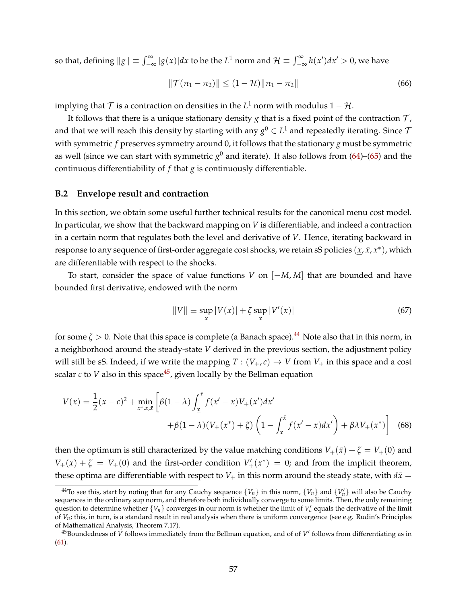so that, defining  $||g|| \equiv \int_{-\infty}^{\infty} |g(x)| dx$  to be the *L*<sup>1</sup> norm and  $\mathcal{H} \equiv \int_{-\infty}^{\infty} h(x') dx' > 0$ , we have

$$
\|\mathcal{T}(\pi_1 - \pi_2)\| \le (1 - \mathcal{H})\|\pi_1 - \pi_2\| \tag{66}
$$

implying that  $\mathcal T$  is a contraction on densities in the  $L^1$  norm with modulus  $1-\mathcal H$ .

It follows that there is a unique stationary density  $g$  that is a fixed point of the contraction  $T$ , and that we will reach this density by starting with any  $g^0 \in L^1$  and repeatedly iterating. Since  $\mathcal T$ with symmetric *f* preserves symmetry around 0, it follows that the stationary *g* must be symmetric as well (since we can start with symmetric  $g^0$  and iterate). It also follows from [\(64\)](#page-55-1)–[\(65\)](#page-55-2) and the continuous differentiability of *f* that *g* is continuously differentiable.

## **B.2 Envelope result and contraction**

In this section, we obtain some useful further technical results for the canonical menu cost model. In particular, we show that the backward mapping on *V* is differentiable, and indeed a contraction in a certain norm that regulates both the level and derivative of *V*. Hence, iterating backward in response to any sequence of first-order aggregate cost shocks, we retain sS policies (*x*, *x*¯, *x* ∗ ), which are differentiable with respect to the shocks.

To start, consider the space of value functions *V* on [−*M*, *M*] that are bounded and have bounded first derivative, endowed with the norm

<span id="page-56-3"></span><span id="page-56-2"></span>
$$
||V|| \equiv \sup_{x} |V(x)| + \zeta \sup_{x} |V'(x)| \tag{67}
$$

for some  $\zeta > 0$ . Note that this space is complete (a Banach space).<sup>[44](#page-56-0)</sup> Note also that in this norm, in a neighborhood around the steady-state *V* derived in the previous section, the adjustment policy will still be sS. Indeed, if we write the mapping  $T : (V_+, c) \to V$  from  $V_+$  in this space and a cost scalar  $c$  to  $V$  also in this space<sup>[45](#page-56-1)</sup>, given locally by the Bellman equation

$$
V(x) = \frac{1}{2}(x-c)^2 + \min_{x^*, \underline{x}, \overline{x}} \left[ \beta(1-\lambda) \int_{\underline{x}}^{\overline{x}} f(x'-x) V_+(x') dx' + \beta(1-\lambda)(V_+(x^*) + \xi) \left(1 - \int_{\underline{x}}^{\overline{x}} f(x'-x) dx'\right) + \beta \lambda V_+(x^*) \right]
$$
(68)

then the optimum is still characterized by the value matching conditions  $V_+(\bar{x}) + \zeta = V_+(0)$  and  $V_+(\underline{x}) + \zeta = V_+(0)$  and the first-order condition  $V'_+(\overline{x}^*) = 0$ ; and from the implicit theorem, these optima are differentiable with respect to  $V_+$  in this norm around the steady state, with  $d\bar{x} =$ 

<span id="page-56-0"></span><sup>&</sup>lt;sup>44</sup>To see this, start by noting that for any Cauchy sequence  $\{V_n\}$  in this norm,  $\{V_n\}$  and  $\{V'_n\}$  will also be Cauchy sequences in the ordinary sup norm, and therefore both individually converge to some limits. Then, the only remaining question to determine whether  $\{V_n\}$  converges in our norm is whether the limit of  $V'_n$  equals the derivative of the limit of *Vn*; this, in turn, is a standard result in real analysis when there is uniform convergence (see e.g. Rudin's Principles of Mathematical Analysis, Theorem 7.17).

<span id="page-56-1"></span> $^{45}$ Boundedness of *V* follows immediately from the Bellman equation, and of of *V'* follows from differentiating as in [\(61\)](#page-54-0).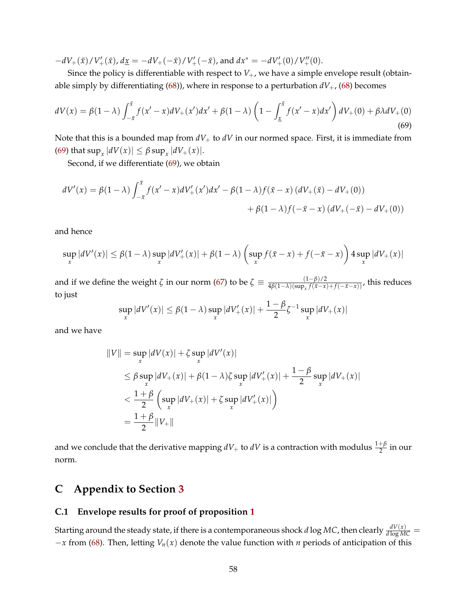$-dV_+(\bar{x})/V'_+(\bar{x})$ ,  $d\underline{x} = -dV_+(-\bar{x})/V'_+(-\bar{x})$ , and  $dx^* = -dV'_+(0)/V''_+(0)$ .

Since the policy is differentiable with respect to  $V_{+}$ , we have a simple envelope result (obtainable simply by differentiating  $(68)$ ), where in response to a perturbation  $dV_+$ ,  $(68)$  becomes

<span id="page-57-0"></span>
$$
dV(x) = \beta(1-\lambda) \int_{-\bar{x}}^{\bar{x}} f(x'-x) dV_+(x') dx' + \beta(1-\lambda) \left(1 - \int_{\underline{x}}^{\bar{x}} f(x'-x) dx'\right) dV_+(0) + \beta \lambda dV_+(0)
$$
\n(69)

Note that this is a bounded map from  $dV_+$  to  $dV$  in our normed space. First, it is immediate from  $(69)$  that  $\sup_x |dV(x)| \leq \beta \sup_x |dV_+(x)|.$ 

Second, if we differentiate [\(69\)](#page-57-0), we obtain

$$
dV'(x) = \beta(1-\lambda) \int_{-\bar{x}}^{\bar{x}} f(x'-x) dV'_+(x') dx' - \beta(1-\lambda) f(\bar{x}-x) (dV_+(\bar{x}) - dV_+(0))
$$
  
+  $\beta(1-\lambda) f(-\bar{x}-x) (dV_+(-\bar{x}) - dV_+(0))$ 

and hence

$$
\sup_x |dV'(x)| \le \beta(1-\lambda) \sup_x |dV'_+(x)| + \beta(1-\lambda) \left(\sup_x f(\bar{x}-x) + f(-\bar{x}-x)\right) 4 \sup_x |dV_+(x)|
$$

and if we define the weight  $\zeta$  in our norm [\(67\)](#page-56-3) to be  $\zeta \equiv \frac{(1-\beta)/2}{4\beta(1-\lambda)(\sup_x f(\bar{x}-x))}$  $\frac{(1-p)/2}{4\beta(1-\lambda)(\sup_x f(\bar{x}-x)+f(-\bar{x}-x))}$ , this reduces to just

$$
\sup_{x} |dV'(x)| \le \beta(1-\lambda) \sup_{x} |dV'_{+}(x)| + \frac{1-\beta}{2}\zeta^{-1} \sup_{x} |dV_{+}(x)|
$$

and we have

$$
||V|| = \sup_{x} |dV(x)| + \zeta \sup_{x} |dV'(x)|
$$
  
\n
$$
\leq \beta \sup_{x} |dV_{+}(x)| + \beta(1 - \lambda)\zeta \sup_{x} |dV'_{+}(x)| + \frac{1 - \beta}{2} \sup_{x} |dV_{+}(x)|
$$
  
\n
$$
< \frac{1 + \beta}{2} \left( \sup_{x} |dV_{+}(x)| + \zeta \sup_{x} |dV'_{+}(x)| \right)
$$
  
\n
$$
= \frac{1 + \beta}{2} ||V_{+}||
$$

and we conclude that the derivative mapping  $dV_+$  to  $dV$  is a contraction with modulus  $\frac{1+\beta}{2}$  in our norm.

# **C Appendix to Section [3](#page-13-1)**

# **C.1 Envelope results for proof of proposition [1](#page-15-0)**

Starting around the steady state, if there is a contemporaneous shock  $d\log MC$ , then clearly  $\frac{dV(x)}{d\log MC} =$ −*x* from [\(68\)](#page-56-2). Then, letting *Vn*(*x*) denote the value function with *n* periods of anticipation of this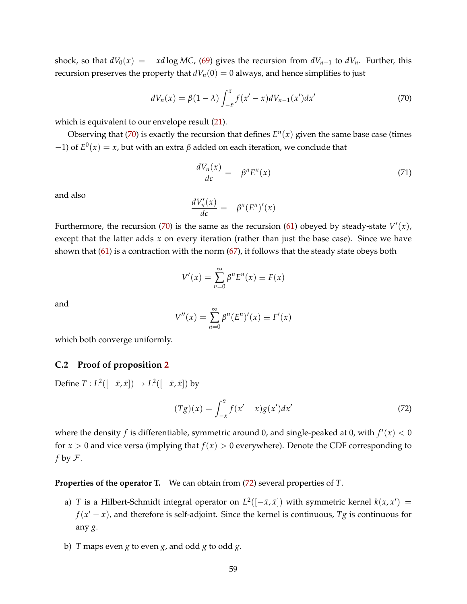shock, so that  $dV_0(x) = -x d \log MC$ , [\(69\)](#page-57-0) gives the recursion from  $dV_{n-1}$  to  $dV_n$ . Further, this recursion preserves the property that  $dV_n(0) = 0$  always, and hence simplifies to just

<span id="page-58-0"></span>
$$
dV_n(x) = \beta(1 - \lambda) \int_{-\bar{x}}^{\bar{x}} f(x' - x) dV_{n-1}(x') dx'
$$
 (70)

which is equivalent to our envelope result  $(21)$ .

Observing that [\(70\)](#page-58-0) is exactly the recursion that defines  $E<sup>n</sup>(x)$  given the same base case (times  $(−1)$  of  $E^0(x) = x$ , but with an extra  $β$  added on each iteration, we conclude that

$$
\frac{dV_n(x)}{dc} = -\beta^n E^n(x) \tag{71}
$$

and also

$$
\frac{dV_n'(x)}{dc} = -\beta^n (E^n)'(x)
$$

Furthermore, the recursion [\(70\)](#page-58-0) is the same as the recursion [\(61\)](#page-54-0) obeyed by steady-state  $V'(x)$ , except that the latter adds *x* on every iteration (rather than just the base case). Since we have shown that [\(61\)](#page-54-0) is a contraction with the norm [\(67\)](#page-56-3), it follows that the steady state obeys both

$$
V'(x) = \sum_{n=0}^{\infty} \beta^n E^n(x) \equiv F(x)
$$

and

$$
V''(x) = \sum_{n=0}^{\infty} \beta^n (E^n)'(x) \equiv F'(x)
$$

which both converge uniformly.

## **C.2 Proof of proposition [2](#page-21-0)**

Define  $T: L^2([-\bar{x}, \bar{x}]) \to L^2([-\bar{x}, \bar{x}])$  by

<span id="page-58-1"></span>
$$
(Tg)(x) = \int_{-\bar{x}}^{\bar{x}} f(x'-x)g(x')dx'
$$
 (72)

where the density  $f$  is differentiable, symmetric around 0, and single-peaked at 0, with  $f'(x) < 0$ for  $x > 0$  and vice versa (implying that  $f(x) > 0$  everywhere). Denote the CDF corresponding to *f* by F.

<span id="page-58-2"></span>**Properties of the operator T.** We can obtain from [\(72\)](#page-58-1) several properties of *T*.

- a) *T* is a Hilbert-Schmidt integral operator on  $L^2([-\bar{x}, \bar{x}])$  with symmetric kernel  $k(x, x') =$  $f(x'-x)$ , and therefore is self-adjoint. Since the kernel is continuous,  $Tg$  is continuous for any *g*.
- <span id="page-58-3"></span>b) *T* maps even *g* to even *g*, and odd *g* to odd *g*.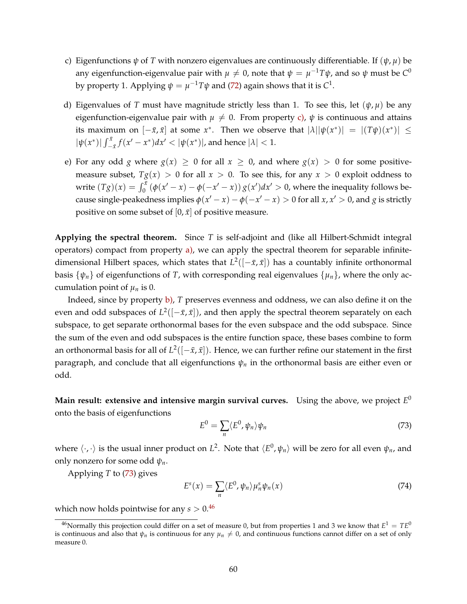- <span id="page-59-0"></span>c) Eigenfunctions  $\psi$  of *T* with nonzero eigenvalues are continuously differentiable. If  $(\psi, \mu)$  be any eigenfunction-eigenvalue pair with  $\mu \neq 0$ , note that  $\psi = \mu^{-1}T\psi$ , and so  $\psi$  must be  $C^0$ by property 1. Applying  $\psi = \mu^{-1}T\psi$  and [\(72\)](#page-58-1) again shows that it is  $C^1$ .
- d) Eigenvalues of *T* must have magnitude strictly less than 1. To see this, let  $(\psi, \mu)$  be any eigenfunction-eigenvalue pair with  $\mu \neq 0$ . From property [c\),](#page-59-0)  $\psi$  is continuous and attains its maximum on  $[-\bar{x}, \bar{x}]$  at some  $x^*$ . Then we observe that  $|\lambda| |\psi(x^*)| = |(T\psi)(x^*)| \le$  $|\psi(x^*)| \int_{-\bar{x}}^{\bar{x}} f(x' - x^*) dx' < |\psi(x^*)|$ , and hence  $|\lambda| < 1$ .
- <span id="page-59-4"></span>e) For any odd *g* where  $g(x) \ge 0$  for all  $x \ge 0$ , and where  $g(x) > 0$  for some positivemeasure subset,  $Tg(x) > 0$  for all  $x > 0$ . To see this, for any  $x > 0$  exploit oddness to write  $(Tg)(x) = \int_0^{\bar{x}} (\phi(x'-x) - \phi(-x'-x)) g(x') dx' > 0$ , where the inequality follows because single-peakedness implies  $\phi(x'-x) - \phi(-x'-x) > 0$  for all  $x, x' > 0$ , and  $g$  is strictly positive on some subset of  $[0, \bar{x}]$  of positive measure.

**Applying the spectral theorem.** Since *T* is self-adjoint and (like all Hilbert-Schmidt integral operators) compact from property [a\),](#page-58-2) we can apply the spectral theorem for separable infinitedimensional Hilbert spaces, which states that  $L^2([-\bar{x}, \bar{x}])$  has a countably infinite orthonormal basis  $\{\psi_n\}$  of eigenfunctions of *T*, with corresponding real eigenvalues  $\{\mu_n\}$ , where the only accumulation point of  $\mu_n$  is 0.

Indeed, since by property [b\),](#page-58-3) *T* preserves evenness and oddness, we can also define it on the even and odd subspaces of  $L^2([-\bar{x}, \bar{x}])$ , and then apply the spectral theorem separately on each subspace, to get separate orthonormal bases for the even subspace and the odd subspace. Since the sum of the even and odd subspaces is the entire function space, these bases combine to form an orthonormal basis for all of  $L^2([-\bar{x}, \bar{x}])$ . Hence, we can further refine our statement in the first paragraph, and conclude that all eigenfunctions *ψ<sup>n</sup>* in the orthonormal basis are either even or odd.

**Main result: extensive and intensive margin survival curves.** Using the above, we project *E* 0 onto the basis of eigenfunctions

<span id="page-59-1"></span>
$$
E^{0} = \sum_{n} \langle E^{0}, \psi_{n} \rangle \psi_{n}
$$
 (73)

where  $\langle \cdot, \cdot \rangle$  is the usual inner product on  $L^2$ . Note that  $\langle E^0, \psi_n \rangle$  will be zero for all even  $\psi_n$ , and only nonzero for some odd *ψn*.

Applying *T* to [\(73\)](#page-59-1) gives

<span id="page-59-3"></span>
$$
E^{s}(x) = \sum_{n} \langle E^{0}, \psi_{n} \rangle \mu_{n}^{s} \psi_{n}(x)
$$
\n(74)

which now holds pointwise for any  $s > 0.46$  $s > 0.46$ 

<span id="page-59-2"></span> $^{46}$ Normally this projection could differ on a set of measure 0, but from properties 1 and 3 we know that  $E^1 = TE^0$ is continuous and also that  $\psi_n$  is continuous for any  $\mu_n \neq 0$ , and continuous functions cannot differ on a set of only measure 0.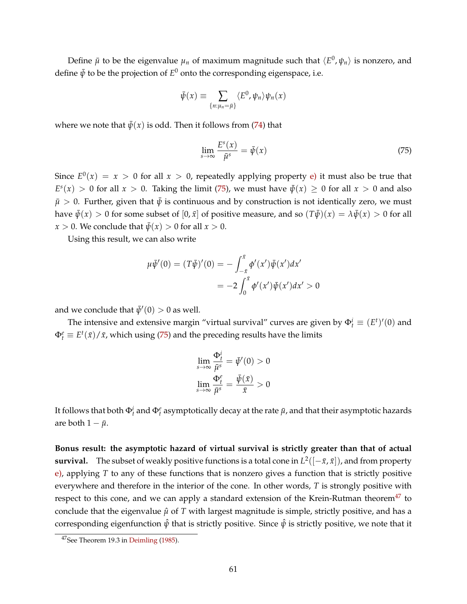Define  $\bar{\mu}$  to be the eigenvalue  $\mu_n$  of maximum magnitude such that  $\langle E^0, \psi_n \rangle$  is nonzero, and define  $\bar{\psi}$  to be the projection of  $E^0$  onto the corresponding eigenspace, i.e.

$$
\bar{\psi}(x) \equiv \sum_{\{n:\mu_n=\bar{\mu}\}} \langle E^0, \psi_n \rangle \psi_n(x)
$$

where we note that  $\bar{\psi}(x)$  is odd. Then it follows from [\(74\)](#page-59-3) that

<span id="page-60-0"></span>
$$
\lim_{s \to \infty} \frac{E^s(x)}{\bar{\mu}^s} = \bar{\psi}(x) \tag{75}
$$

Since  $E^0(x) = x > 0$  for all  $x > 0$ , repeatedly applying property [e\)](#page-59-4) it must also be true that  $E<sup>s</sup>(x) > 0$  for all  $x > 0$ . Taking the limit [\(75\)](#page-60-0), we must have  $\bar{\psi}(x) \ge 0$  for all  $x > 0$  and also  $\bar{\mu} > 0$ . Further, given that  $\bar{\psi}$  is continuous and by construction is not identically zero, we must have  $\bar{\psi}(x) > 0$  for some subset of  $[0, \bar{x}]$  of positive measure, and so  $(T\bar{\psi})(x) = \lambda \bar{\psi}(x) > 0$  for all *x* > 0. We conclude that  $\bar{\psi}(x) > 0$  for all  $x > 0$ .

Using this result, we can also write

$$
\mu \bar{\psi}'(0) = (T\bar{\psi})'(0) = -\int_{-\bar{x}}^{\bar{x}} \phi'(x') \bar{\psi}(x') dx' \n= -2 \int_{0}^{\bar{x}} \phi'(x') \bar{\psi}(x') dx' > 0
$$

and we conclude that  $\bar{\psi}'(0) > 0$  as well.

The intensive and extensive margin "virtual survival" curves are given by  $\Phi_t^i \equiv (E^t)'(0)$  and  $\Phi_t^e \equiv E^t(\bar{x})/\bar{x}$ , which using [\(75\)](#page-60-0) and the preceding results have the limits

$$
\lim_{s \to \infty} \frac{\Phi_t^i}{\bar{\mu}^s} = \bar{\psi}'(0) > 0
$$

$$
\lim_{s \to \infty} \frac{\Phi_t^e}{\bar{\mu}^s} = \frac{\bar{\psi}(\bar{x})}{\bar{x}} > 0
$$

It follows that both  $\Phi^i_t$  and  $\Phi^e_t$  asymptotically decay at the rate  $\bar\mu$ , and that their asymptotic hazards are both  $1 - \bar{\mu}$ .

**Bonus result: the asymptotic hazard of virtual survival is strictly greater than that of actual survival.** The subset of weakly positive functions is a total cone in  $L^2([-\bar{x}, \bar{x}])$ , and from property [e\),](#page-59-4) applying *T* to any of these functions that is nonzero gives a function that is strictly positive everywhere and therefore in the interior of the cone. In other words, *T* is strongly positive with respect to this cone, and we can apply a standard extension of the Krein-Rutman theorem $47$  to conclude that the eigenvalue  $\hat{\mu}$  of  $T$  with largest magnitude is simple, strictly positive, and has a corresponding eigenfunction  $\hat{\psi}$  that is strictly positive. Since  $\hat{\psi}$  is strictly positive, we note that it

<span id="page-60-1"></span><sup>47</sup>See Theorem 19.3 in [Deimling](#page-44-6) [\(1985\)](#page-44-6).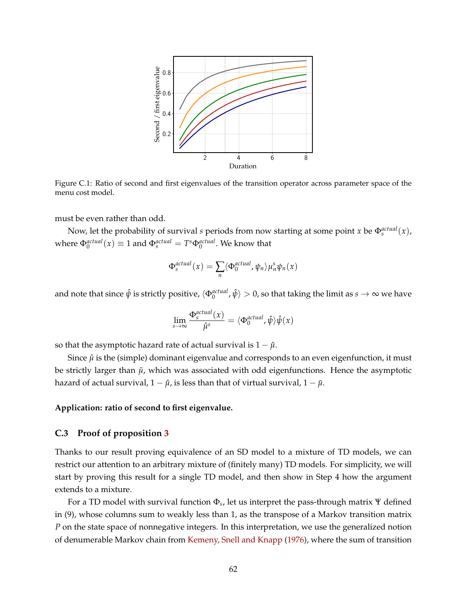

Figure C.1: Ratio of second and first eigenvalues of the transition operator across parameter space of the menu cost model.

must be even rather than odd.

Now, let the probability of survival *s* periods from now starting at some point *x* be  $\Phi_s^{actual}(x)$ , where  $\Phi_0^{actual}(x) \equiv 1$  and  $\Phi_s^{actual} = T^s \Phi_0^{actual}$ . We know that

$$
\Phi_s^{actual}(x) = \sum_n \langle \Phi_0^{actual}, \psi_n \rangle \mu_n^s \psi_n(x)
$$

and note that since  $\hat\psi$  is strictly positive,  $\langle\Phi^{actual}_0,\hat\psi\rangle>0$ , so that taking the limit as  $s\to\infty$  we have

$$
\lim_{s \to \infty} \frac{\Phi_s^{actual}(x)}{\hat{\mu}^s} = \langle \Phi_0^{actual}, \hat{\psi} \rangle \hat{\psi}(x)
$$

so that the asymptotic hazard rate of actual survival is  $1 - \hat{\mu}$ .

Since  $\hat{\mu}$  is the (simple) dominant eigenvalue and corresponds to an even eigenfunction, it must be strictly larger than  $\bar{\mu}$ , which was associated with odd eigenfunctions. Hence the asymptotic hazard of actual survival,  $1 - \hat{\mu}$ , is less than that of virtual survival,  $1 - \bar{\mu}$ .

#### **Application: ratio of second to first eigenvalue.**

## **C.3 Proof of proposition [3](#page-30-0)**

Thanks to our result proving equivalence of an SD model to a mixture of TD models, we can restrict our attention to an arbitrary mixture of (finitely many) TD models. For simplicity, we will start by proving this result for a single TD model, and then show in Step 4 how the argument extends to a mixture.

For a TD model with survival function Φ*<sup>s</sup>* , let us interpret the pass-through matrix Ψ defined in (9), whose columns sum to weakly less than 1, as the transpose of a Markov transition matrix *P* on the state space of nonnegative integers. In this interpretation, we use the generalized notion of denumerable Markov chain from [Kemeny, Snell and Knapp](#page-44-7) [\(1976\)](#page-44-7), where the sum of transition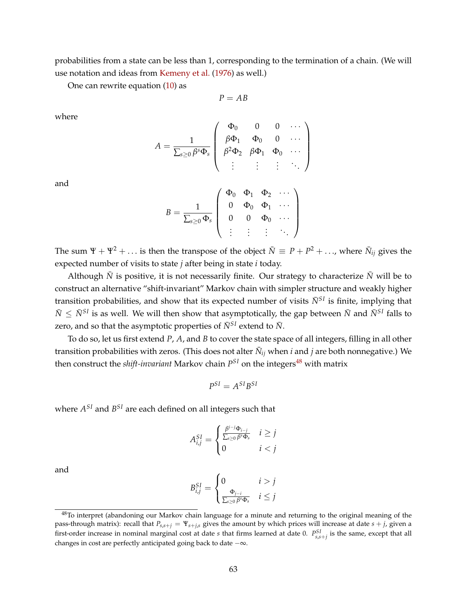probabilities from a state can be less than 1, corresponding to the termination of a chain. (We will use notation and ideas from [Kemeny et al.](#page-44-7) [\(1976\)](#page-44-7) as well.)

One can rewrite equation [\(10\)](#page-9-0) as

$$
P = AB
$$

where

$$
A = \frac{1}{\sum_{s\geq 0} \beta^s \Phi_s} \begin{pmatrix} \Phi_0 & 0 & 0 & \cdots \\ \beta \Phi_1 & \Phi_0 & 0 & \cdots \\ \beta^2 \Phi_2 & \beta \Phi_1 & \Phi_0 & \cdots \\ \vdots & \vdots & \vdots & \ddots \end{pmatrix}
$$

and

$$
B = \frac{1}{\sum_{s\geq 0} \Phi_s} \left( \begin{array}{cccc} \Phi_0 & \Phi_1 & \Phi_2 & \cdots \\ 0 & \Phi_0 & \Phi_1 & \cdots \\ 0 & 0 & \Phi_0 & \cdots \\ \vdots & \vdots & \vdots & \ddots \end{array} \right)
$$

The sum  $\Psi + \Psi^2 + \ldots$  is then the transpose of the object  $\bar{N} \equiv P + P^2 + \ldots$ , where  $\bar{N}_{ij}$  gives the expected number of visits to state *j* after being in state *i* today.

Although  $\bar{N}$  is positive, it is not necessarily finite. Our strategy to characterize  $\bar{N}$  will be to construct an alternative "shift-invariant" Markov chain with simpler structure and weakly higher transition probabilities, and show that its expected number of visits  $\bar{N}^{SI}$  is finite, implying that  $\bar{N} \leq \bar{N}^{SI}$  is as well. We will then show that asymptotically, the gap between  $\bar{N}$  and  $\bar{N}^{SI}$  falls to zero, and so that the asymptotic properties of  $\bar{N}^{SI}$  extend to  $\bar{N}$ .

To do so, let us first extend *P*, *A*, and *B* to cover the state space of all integers, filling in all other transition probabilities with zeros. (This does not alter  $\bar{N}_{ij}$  when  $i$  and  $j$  are both nonnegative.) We then construct the *shift-invariant* Markov chain  $P^{SI}$  on the integers<sup>[48](#page-62-0)</sup> with matrix

$$
P^{SI} = A^{SI}B^{SI}
$$

where  $A^{SI}$  and  $B^{SI}$  are each defined on all integers such that

$$
A_{i,j}^{SI} = \begin{cases} \frac{\beta^{i-j}\Phi_{i-j}}{\sum_{s\geq 0}\beta^s\Phi_s} & i \geq j\\ 0 & i < j \end{cases}
$$

and

$$
B_{i,j}^{SI} = \begin{cases} 0 & i > j \\ \frac{\Phi_{j-i}}{\sum_{s \ge 0} \beta^s \Phi_s} & i \le j \end{cases}
$$

<span id="page-62-0"></span><sup>&</sup>lt;sup>48</sup>To interpret (abandoning our Markov chain language for a minute and returning to the original meaning of the pass-through matrix): recall that  $P_{s,s+j} = \Psi_{s+j,s}$  gives the amount by which prices will increase at date  $s + j$ , given a first-order increase in nominal marginal cost at date *s* that firms learned at date 0. *P SI s*,*s*+*j* is the same, except that all changes in cost are perfectly anticipated going back to date −∞.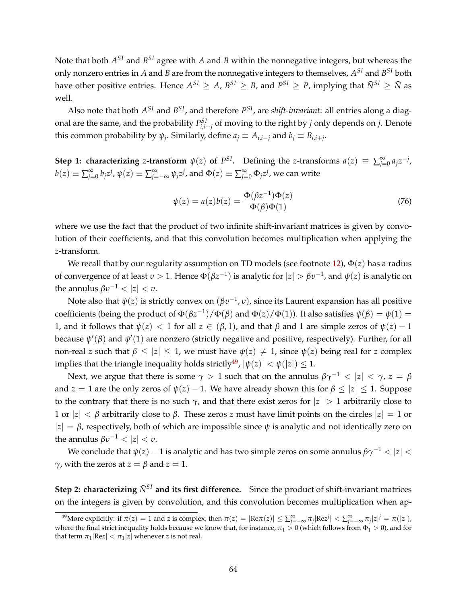Note that both  $A^{SI}$  and  $B^{SI}$  agree with  $A$  and  $B$  within the nonnegative integers, but whereas the only nonzero entries in  $A$  and  $B$  are from the nonnegative integers to themselves,  $A^{SI}$  and  $B^{SI}$  both have other positive entries. Hence  $A^{SI} \ge A$ ,  $B^{SI} \ge B$ , and  $P^{SI} \ge P$ , implying that  $\bar{N}^{SI} \ge \bar{N}$  as well.

Also note that both  $A^{SI}$  and  $B^{SI}$ , and therefore  $P^{SI}$ , are *shift-invariant*: all entries along a diagonal are the same, and the probability  $P^{SI}_{i,i+j}$  of moving to the right by *j* only depends on *j*. Denote this common probability by  $\psi_j$ . Similarly, define  $a_j \equiv A_{i,i-j}$  and  $b_j \equiv B_{i,i+j}$ .

**Step 1: characterizing** *z***-transform**  $\psi(z)$  **of**  $P^{SI}$ **. Defining the** *z***-transforms**  $a(z) \equiv \sum_{j=0}^{\infty} a_j z^{-j}$ **,**  $b(z) \equiv \sum_{j=0}^{\infty} b_j z^j$ ,  $\psi(z) \equiv \sum_{j=-\infty}^{\infty} \psi_j z^j$ , and  $\Phi(z) \equiv \sum_{j=0}^{\infty} \Phi_j z^j$ , we can write

$$
\psi(z) = a(z)b(z) = \frac{\Phi(\beta z^{-1})\Phi(z)}{\Phi(\beta)\Phi(1)}\tag{76}
$$

where we use the fact that the product of two infinite shift-invariant matrices is given by convolution of their coefficients, and that this convolution becomes multiplication when applying the *z*-transform.

We recall that by our regularity assumption on TD models (see footnote [12\)](#page-7-0), Φ(*z*) has a radius of convergence of at least  $v > 1$ . Hence  $\Phi(\beta z^{-1})$  is analytic for  $|z| > \beta v^{-1}$ , and  $\psi(z)$  is analytic on the annulus  $\beta v^{-1} < |z| < v$ .

Note also that *ψ*(*z*) is strictly convex on (*βυ*−<sup>1</sup> , *υ*), since its Laurent expansion has all positive coefficients (being the product of  $\Phi(\beta z^{-1})/\Phi(\beta)$  and  $\Phi(z)/\Phi(1)$ ). It also satisfies  $\psi(\beta) = \psi(1) =$ 1, and it follows that  $ψ(z) < 1$  for all  $z \in (β, 1)$ , and that  $β$  and 1 are simple zeros of  $ψ(z) - 1$ because  $ψ'(β)$  and  $ψ'(1)$  are nonzero (strictly negative and positive, respectively). Further, for all non-real *z* such that  $\beta \leq |z| \leq 1$ , we must have  $\psi(z) \neq 1$ , since  $\psi(z)$  being real for *z* complex implies that the triangle inequality holds strictly<sup>[49](#page-63-0)</sup>,  $|\psi(z)| < \psi(|z|) \leq 1$ .

Next, we argue that there is some  $\gamma > 1$  such that on the annulus  $\beta \gamma^{-1} < |z| < \gamma$ ,  $z = \beta$ and *z* = 1 are the only zeros of  $\psi(z)$  – 1. We have already shown this for  $\beta \leq |z| \leq 1$ . Suppose to the contrary that there is no such  $\gamma$ , and that there exist zeros for  $|z| > 1$  arbitrarily close to 1 or  $|z| < \beta$  arbitrarily close to  $\beta$ . These zeros *z* must have limit points on the circles  $|z| = 1$  or  $|z| = \beta$ , respectively, both of which are impossible since  $\psi$  is analytic and not identically zero on the annulus  $\beta v^{-1} < |z| < v$ .

We conclude that  $\psi(z) - 1$  is analytic and has two simple zeros on some annulus  $\beta \gamma^{-1} < |z| <$ *γ*, with the zeros at *z* = *β* and *z* = 1.

**Step 2: characterizing**  $\bar{N}^{SI}$  and its first difference. Since the product of shift-invariant matrices on the integers is given by convolution, and this convolution becomes multiplication when ap-

<span id="page-63-0"></span><sup>&</sup>lt;sup>49</sup>More explicitly: if  $\pi(z) = 1$  and z is complex, then  $\pi(z) = |\text{Re}\pi(z)| \le \sum_{j=-\infty}^{\infty} \pi_j |\text{Re}z^j| < \sum_{j=-\infty}^{\infty} \pi_j |z|^j = \pi(|z|)$ , where the final strict inequality holds because we know that, for instance,  $\pi_1 > 0$  (which follows from  $\Phi_1 > 0$ ), and for that term  $\pi_1$  |Re $z$  |  $\lt \pi_1$  |z | whenever *z* is not real.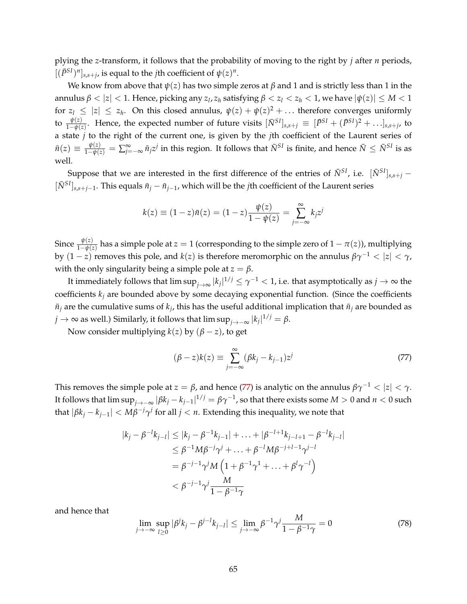plying the *z*-transform, it follows that the probability of moving to the right by *j* after *n* periods,  $[(\bar{P}^{SI})^n]_{s,s+j}$ , is equal to the *j*th coefficient of  $\psi(z)^n$ .

We know from above that  $\psi(z)$  has two simple zeros at  $\beta$  and 1 and is strictly less than 1 in the annulus  $\beta < |z| < 1$ . Hence, picking any  $z_l, z_h$  satisfying  $\beta < z_l < z_h < 1$ , we have  $|\psi(z)| \leq M < 1$ for  $z_l \leq |z| \leq z_h$ . On this closed annulus,  $\psi(z) + \psi(z)^2 + \ldots$  therefore converges uniformly to  $\frac{\psi(z)}{1-\psi(z)}$ . Hence, the expected number of future visits  $[\bar{N}^{SI}]_{s,s+j} \equiv [\bar{P}^{SI} + (\bar{P}^{SI})^2 + \ldots]_{s,s+j}$ , to a state *j* to the right of the current one, is given by the *j*th coefficient of the Laurent series of  $\bar{n}(z)\equiv\frac{\psi(z)}{1-\psi(z)}=\sum_{j=-\infty}^{\infty}\bar{n}_jz^j$  in this region. It follows that  $\bar{N}^{SI}$  is finite, and hence  $\bar{N}\leq\bar{N}^{SI}$  is as well.

Suppose that we are interested in the first difference of the entries of  $\bar{N}^{SI}$ , i.e.  $[\bar{N}^{SI}]_{s,s+i}$  −  $[\bar{N}^{SI}]_{s,s+j-1}$ . This equals  $\bar{n}_j - \bar{n}_{j-1}$ , which will be the *j*th coefficient of the Laurent series

$$
k(z) \equiv (1-z)\bar{n}(z) = (1-z)\frac{\psi(z)}{1-\psi(z)} = \sum_{j=-\infty}^{\infty} k_j z^j
$$

Since  $\frac{\psi(z)}{1-\psi(z)}$  has a simple pole at  $z=1$  (corresponding to the simple zero of  $1-\pi(z)$ ), multiplying by  $(1-z)$  removes this pole, and  $k(z)$  is therefore meromorphic on the annulus  $\beta \gamma^{-1} < |z| < \gamma$ , with the only singularity being a simple pole at  $z = \beta$ .

It immediately follows that  $\limsup_{j\to\infty}|k_j|^{1/j}\leq \gamma^{-1}< 1$ , i.e. that asymptotically as  $j\to\infty$  the coefficients  $k_j$  are bounded above by some decaying exponential function. (Since the coefficients  $\bar{n}_j$  are the cumulative sums of  $k_j$ , this has the useful additional implication that  $\bar{n}_j$  are bounded as  $j \to \infty$  as well.) Similarly, it follows that  $\limsup_{j \to -\infty} |k_j|^{1/j} = \beta$ .

Now consider multiplying  $k(z)$  by  $(\beta - z)$ , to get

<span id="page-64-0"></span>
$$
(\beta - z)k(z) \equiv \sum_{j=-\infty}^{\infty} (\beta k_j - k_{j-1})z^j
$$
 (77)

This removes the simple pole at *z* = *β*, and hence [\(77\)](#page-64-0) is analytic on the annulus  $\beta \gamma^{-1}$  <  $|z|$  <  $\gamma$ . It follows that  $\limsup_{j\to-\infty}|\beta k_j-k_{j-1}|^{1/j}=\beta\gamma^{-1}$ , so that there exists some  $M>0$  and  $n<0$  such that  $|\beta k_j - k_{j-1}| < M\beta^{-j}\gamma^j$  for all  $j < n$ . Extending this inequality, we note that

$$
|k_j - \beta^{-l} k_{j-l}| \le |k_j - \beta^{-1} k_{j-1}| + \dots + |\beta^{-l+1} k_{j-l+1} - \beta^{-l} k_{j-l}|
$$
  
\n
$$
\le \beta^{-1} M \beta^{-j} \gamma^j + \dots + \beta^{-l} M \beta^{-j+l-1} \gamma^{j-l}
$$
  
\n
$$
= \beta^{-j-1} \gamma^j M \left( 1 + \beta^{-1} \gamma^1 + \dots + \beta^l \gamma^{-l} \right)
$$
  
\n
$$
< \beta^{-j-1} \gamma^j \frac{M}{1 - \beta^{-1} \gamma}
$$

and hence that

$$
\lim_{j \to -\infty} \sup_{l \ge 0} |\beta^j k_j - \beta^{j-l} k_{j-l}| \le \lim_{j \to -\infty} \beta^{-1} \gamma^j \frac{M}{1 - \beta^{-1} \gamma} = 0 \tag{78}
$$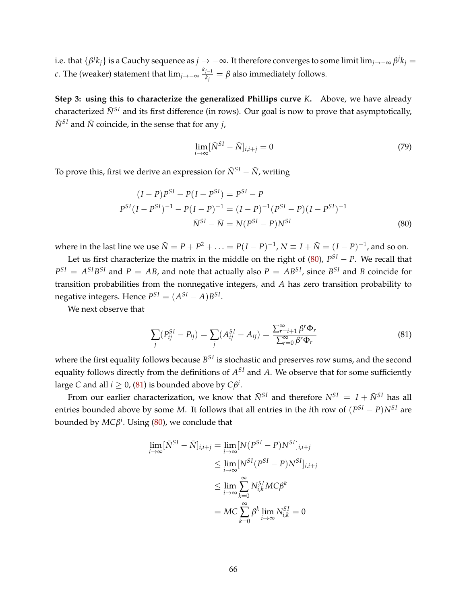i.e. that  $\{\beta^jk_j\}$  is a Cauchy sequence as  $j\to -\infty$ . It therefore converges to some limit lim<sub> $j\to -\infty$ </sub>  $\beta^jk_j=$ *c*. The (weaker) statement that  $\lim_{j\rightarrow -\infty} \frac{k_{j-1}}{k_j}$  $\frac{d^{j-1}}{k_j} = \beta$  also immediately follows.

**Step 3: using this to characterize the generalized Phillips curve** *K***.** Above, we have already characterized  $\bar{N}^{SI}$  and its first difference (in rows). Our goal is now to prove that asymptotically,  $\bar{N}^{SI}$  and  $\bar{N}$  coincide, in the sense that for any *j*,

<span id="page-65-0"></span>
$$
\lim_{i \to \infty} [\bar{N}^{SI} - \bar{N}]_{i,i+j} = 0 \tag{79}
$$

To prove this, first we derive an expression for  $\bar{N}^{SI} - \bar{N}$ , writing

$$
(I - P)P^{SI} - P(I - P^{SI}) = P^{SI} - P
$$
  

$$
P^{SI}(I - P^{SI})^{-1} - P(I - P)^{-1} = (I - P)^{-1}(P^{SI} - P)(I - P^{SI})^{-1}
$$
  

$$
\bar{N}^{SI} - \bar{N} = N(P^{SI} - P)N^{SI}
$$
 (80)

where in the last line we use  $\bar{N} = P + P^2 + \ldots = P(I - P)^{-1}$ ,  $N \equiv I + \bar{N} = (I - P)^{-1}$ , and so on.

Let us first characterize the matrix in the middle on the right of  $(80)$ ,  $P^{SI} - P$ . We recall that  $P^{SI} = A^{SI}B^{SI}$  and  $P = AB$ , and note that actually also  $P = AB^{SI}$ , since  $B^{SI}$  and *B* coincide for transition probabilities from the nonnegative integers, and *A* has zero transition probability to negative integers. Hence  $P^{SI} = (A^{SI} - A)B^{SI}$ .

We next observe that

<span id="page-65-1"></span>
$$
\sum_{j} (P_{ij}^{SI} - P_{ij}) = \sum_{j} (A_{ij}^{SI} - A_{ij}) = \frac{\sum_{r=i+1}^{\infty} \beta^r \Phi_r}{\sum_{r=0}^{\infty} \beta^r \Phi_r}
$$
(81)

where the first equality follows because  $B^{SI}$  is stochastic and preserves row sums, and the second equality follows directly from the definitions of  $A^{SI}$  and  $A$ . We observe that for some sufficiently large *C* and all  $i \geq 0$ , [\(81\)](#page-65-1) is bounded above by  $C\beta^i$ .

From our earlier characterization, we know that  $\bar{N}^{SI}$  and therefore  $N^{SI} = I + \bar{N}^{SI}$  has all entries bounded above by some *M*. It follows that all entries in the *i*th row of  $(P^{SI} - P)N^{SI}$  are bounded by *MCβ i* . Using [\(80\)](#page-65-0), we conclude that

$$
\lim_{i \to \infty} [\bar{N}^{SI} - \bar{N}]_{i,i+j} = \lim_{i \to \infty} [N(P^{SI} - P)N^{SI}]_{i,i+j}
$$
  
\n
$$
\leq \lim_{i \to \infty} [N^{SI}(P^{SI} - P)N^{SI}]_{i,i+j}
$$
  
\n
$$
\leq \lim_{i \to \infty} \sum_{k=0}^{\infty} N_{i,k}^{SI}MC\beta^{k}
$$
  
\n
$$
= MC \sum_{k=0}^{\infty} \beta^{k} \lim_{i \to \infty} N_{i,k}^{SI} = 0
$$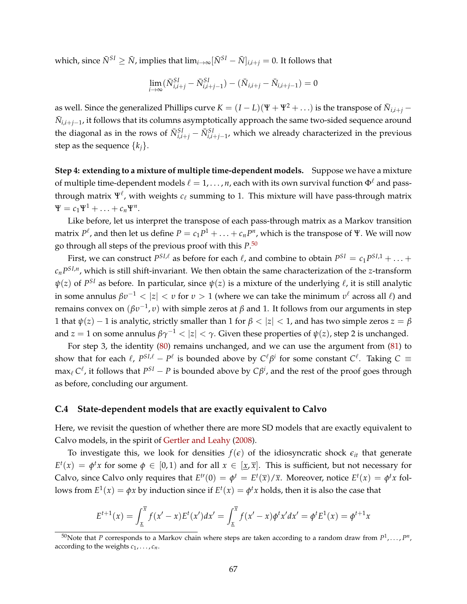which, since  $\bar{N}^{SI} \geq \bar{N}$ , implies that  $\lim_{i \to \infty} [\bar{N}^{SI} - \bar{N}]_{i,i+i} = 0$ . It follows that

$$
\lim_{i \to \infty} (\bar{N}_{i,i+j}^{SI} - \bar{N}_{i,i+j-1}^{SI}) - (\bar{N}_{i,i+j} - \bar{N}_{i,i+j-1}) = 0
$$

as well. Since the generalized Phillips curve  $K = (I-L)(\Psi + \Psi^2 + \ldots)$  is the transpose of  $\bar{N}_{i,i+j}$  –  $\bar{N}_{i,i+j-1}$ , it follows that its columns asymptotically approach the same two-sided sequence around the diagonal as in the rows of  $\bar{N}^{SI}_{i,i+j} - \bar{N}^{SI}_{i,i+j-1}$ , which we already characterized in the previous step as the sequence  $\{k_i\}$ .

**Step 4: extending to a mixture of multiple time-dependent models.** Suppose we have a mixture of multiple time-dependent models  $\ell = 1, \ldots, n$ , each with its own survival function  $\Phi^{\ell}$  and passthrough matrix  $\Psi^\ell$ , with weights  $c_\ell$  summing to 1. This mixture will have pass-through matrix  $\Psi = c_1 \Psi^1 + \ldots + c_n \Psi^n$ .

Like before, let us interpret the transpose of each pass-through matrix as a Markov transition matrix  $P^{\ell}$ , and then let us define  $P = c_1 P^1 + \ldots + c_n P^n$ , which is the transpose of Ψ. We will now go through all steps of the previous proof with this *P*. [50](#page-66-0)

First, we can construct  $P^{SI,\ell}$  as before for each  $\ell$ , and combine to obtain  $P^{SI} = c_1 P^{SI,1} + \ldots + c_N P^{SI,II}$ *cnP SI*,*n* , which is still shift-invariant. We then obtain the same characterization of the *z*-transform  $\psi(z)$  of  $P^{SI}$  as before. In particular, since  $\psi(z)$  is a mixture of the underlying  $\ell$ , it is still analytic in some annulus  $\beta v^{-1} < |z| < v$  for  $v > 1$  (where we can take the minimum  $v^{\ell}$  across all  $\ell$ ) and remains convex on (*βυ*−<sup>1</sup> , *υ*) with simple zeros at *β* and 1. It follows from our arguments in step 1 that  $\psi(z) - 1$  is analytic, strictly smaller than 1 for  $\beta < |z| < 1$ , and has two simple zeros  $z = \beta$ and *z* = 1 on some annulus  $\beta \gamma^{-1}$  <  $|z|$  <  $\gamma$ . Given these properties of  $\psi(z)$ , step 2 is unchanged.

For step 3, the identity [\(80\)](#page-65-0) remains unchanged, and we can use the argument from [\(81\)](#page-65-1) to show that for each  $\ell$ ,  $P^{SL\ell} - P^{\ell}$  is bounded above by  $C^{\ell}\beta^i$  for some constant  $C^{\ell}$ . Taking  $C \equiv$  $\max_{\ell} C^{\ell}$ , it follows that  $P^{SI} - P$  is bounded above by  $C\beta^{i}$ , and the rest of the proof goes through as before, concluding our argument.

# **C.4 State-dependent models that are exactly equivalent to Calvo**

Here, we revisit the question of whether there are more SD models that are exactly equivalent to Calvo models, in the spirit of [Gertler and Leahy](#page-44-8) [\(2008\)](#page-44-8).

To investigate this, we look for densities  $f(\epsilon)$  of the idiosyncratic shock  $\epsilon_{it}$  that generate  $E^t(x) = \phi^t x$  for some  $\phi \in [0, 1)$  and for all  $x \in [\underline{x}, \overline{x}]$ . This is sufficient, but not necessary for Calvo, since Calvo only requires that  $E^{t}(0) = \phi^t = E^t(\overline{x})/\overline{x}$ . Moreover, notice  $E^t(x) = \phi^t x$  follows from  $E^1(x) = \phi x$  by induction since if  $E^t(x) = \phi^t x$  holds, then it is also the case that

$$
E^{t+1}(x) = \int_{\underline{x}}^{\overline{x}} f(x'-x) E^t(x') dx' = \int_{\underline{x}}^{\overline{x}} f(x'-x) \phi^t x' dx' = \phi^t E^1(x) = \phi^{t+1} x
$$

<span id="page-66-0"></span><sup>&</sup>lt;sup>50</sup>Note that P corresponds to a Markov chain where steps are taken according to a random draw from  $P^1, \ldots, P^n,$ according to the weights  $c_1, \ldots, c_n$ .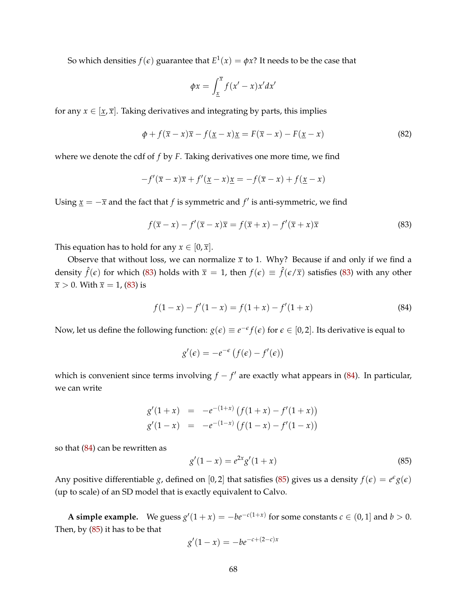So which densities  $f(\epsilon)$  guarantee that  $E^1(x)=\phi x?$  It needs to be the case that

$$
\phi x = \int_{\underline{x}}^{\overline{x}} f(x' - x) x' dx'
$$

for any  $x \in [x, \overline{x}]$ . Taking derivatives and integrating by parts, this implies

<span id="page-67-3"></span>
$$
\phi + f(\overline{x} - x)\overline{x} - f(\underline{x} - x)\underline{x} = F(\overline{x} - x) - F(\underline{x} - x)
$$
\n(82)

where we denote the cdf of *f* by *F*. Taking derivatives one more time, we find

$$
-f'(\overline{x}-x)\overline{x}+f'(\underline{x}-x)\underline{x}=-f(\overline{x}-x)+f(\underline{x}-x)
$$

Using  $\underline{x} = -\overline{x}$  and the fact that *f* is symmetric and  $f'$  is anti-symmetric, we find

<span id="page-67-0"></span>
$$
f(\overline{x} - x) - f'(\overline{x} - x)\overline{x} = f(\overline{x} + x) - f'(\overline{x} + x)\overline{x}
$$
 (83)

This equation has to hold for any  $x \in [0, \overline{x}]$ .

Observe that without loss, we can normalize  $\bar{x}$  to 1. Why? Because if and only if we find a density  $\hat{f}(\epsilon)$  for which [\(83\)](#page-67-0) holds with  $\bar{x} = 1$ , then  $f(\epsilon) \equiv \hat{f}(\epsilon/\bar{x})$  satisfies (83) with any other  $\overline{x}$  > 0. With  $\overline{x}$  = 1, [\(83\)](#page-67-0) is

<span id="page-67-1"></span>
$$
f(1-x) - f'(1-x) = f(1+x) - f'(1+x)
$$
\n(84)

Now, let us define the following function:  $g(\epsilon) \equiv e^{-\epsilon} f(\epsilon)$  for  $\epsilon \in [0,2]$ . Its derivative is equal to

$$
g'(\epsilon) = -e^{-\epsilon} \left( f(\epsilon) - f'(\epsilon) \right)
$$

which is convenient since terms involving  $f - f'$  are exactly what appears in [\(84\)](#page-67-1). In particular, we can write

$$
g'(1+x) = -e^{-(1+x)} (f(1+x) - f'(1+x))
$$
  
\n
$$
g'(1-x) = -e^{-(1-x)} (f(1-x) - f'(1-x))
$$

so that [\(84\)](#page-67-1) can be rewritten as

<span id="page-67-2"></span>
$$
g'(1-x) = e^{2x}g'(1+x)
$$
\n(85)

Any positive differentiable *g*, defined on [0,2] that satisfies [\(85\)](#page-67-2) gives us a density  $f(\epsilon) = e^{\epsilon}g(\epsilon)$ (up to scale) of an SD model that is exactly equivalent to Calvo.

**A simple example.** We guess  $g'(1+x) = -be^{-c(1+x)}$  for some constants  $c \in (0,1]$  and  $b > 0$ . Then, by [\(85\)](#page-67-2) it has to be that

$$
g'(1-x) = -be^{-c+(2-c)x}
$$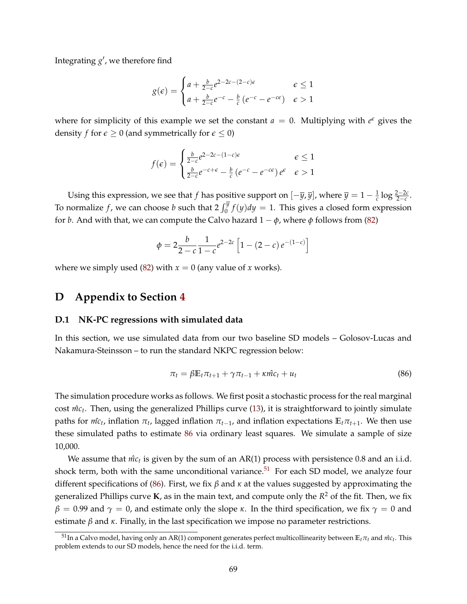Integrating  $g'$ , we therefore find

$$
g(\epsilon) = \begin{cases} a + \frac{b}{2-c} e^{2-2c-(2-c)\epsilon} & \epsilon \le 1\\ a + \frac{b}{2-c} e^{-c} - \frac{b}{c} \left( e^{-c} - e^{-c\epsilon} \right) & \epsilon > 1 \end{cases}
$$

where for simplicity of this example we set the constant  $a = 0$ . Multiplying with  $e^{\epsilon}$  gives the density *f* for  $\epsilon \ge 0$  (and symmetrically for  $\epsilon \le 0$ )

$$
f(\epsilon) = \begin{cases} \frac{b}{2-c} e^{2-2c-(1-c)\epsilon} & \epsilon \le 1\\ \frac{b}{2-c} e^{-c+\epsilon} - \frac{b}{c} \left( e^{-c} - e^{-c\epsilon} \right) e^{\epsilon} & \epsilon > 1 \end{cases}
$$

Using this expression, we see that *f* has positive support on  $[-\overline{y}, \overline{y}]$ , where  $\overline{y} = 1 - \frac{1}{c} \log \frac{2-2c}{2-c}$ . To normalize  $f$ , we can choose  $b$  such that  $2 \int_0^{\overline{y}} f(y) dy = 1$ . This gives a closed form expression for *b*. And with that, we can compute the Calvo hazard  $1 - \phi$ , where  $\phi$  follows from [\(82\)](#page-67-3)

$$
\phi = 2\frac{b}{2-c} \frac{1}{1-c} e^{2-2c} \left[ 1 - (2-c) e^{-(1-c)} \right]
$$

where we simply used [\(82\)](#page-67-3) with  $x = 0$  (any value of *x* works).

# **D Appendix to Section [4](#page-24-0)**

## **D.1 NK-PC regressions with simulated data**

In this section, we use simulated data from our two baseline SD models – Golosov-Lucas and Nakamura-Steinsson – to run the standard NKPC regression below:

<span id="page-68-0"></span>
$$
\pi_t = \beta \mathbb{E}_t \pi_{t+1} + \gamma \pi_{t-1} + \kappa \hat{m} c_t + u_t \tag{86}
$$

The simulation procedure works as follows. We first posit a stochastic process for the real marginal cost *m*<sup>c</sup><sub>t</sub>. Then, using the generalized Phillips curve [\(13\)](#page-11-0), it is straightforward to jointly simulate  $p$ aths for  $m\hat{c}_t$ , inflation  $\pi_t$ , lagged inflation  $\pi_{t-1}$ , and inflation expectations  $\mathbb{E}_t \pi_{t+1}$ . We then use these simulated paths to estimate [86](#page-68-0) via ordinary least squares. We simulate a sample of size 10,000.

We assume that  $\hat{mc}_t$  is given by the sum of an AR(1) process with persistence 0.8 and an i.i.d. shock term, both with the same unconditional variance.<sup>[51](#page-68-1)</sup> For each SD model, we analyze four different specifications of [\(86\)](#page-68-0). First, we fix *β* and *κ* at the values suggested by approximating the generalized Phillips curve **K**, as in the main text, and compute only the *R* <sup>2</sup> of the fit. Then, we fix *β* = 0.99 and  $\gamma$  = 0, and estimate only the slope *κ*. In the third specification, we fix  $\gamma$  = 0 and estimate  $\beta$  and  $\kappa$ . Finally, in the last specification we impose no parameter restrictions.

<span id="page-68-1"></span> $^{51}$ In a Calvo model, having only an AR(1) component generates perfect multicollinearity between  $\mathbb{E}_t\pi_t$  and  $\hat{mc}_t$ . This problem extends to our SD models, hence the need for the i.i.d. term.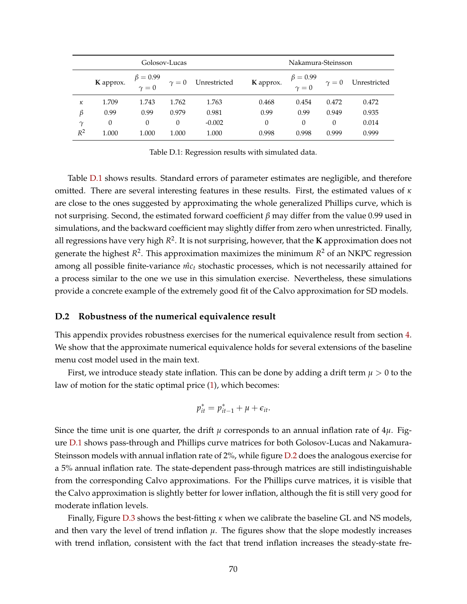<span id="page-69-0"></span>

|          | Golosov-Lucas |                                |          |                           | Nakamura-Steinsson |                                |            |              |
|----------|---------------|--------------------------------|----------|---------------------------|--------------------|--------------------------------|------------|--------------|
|          | K approx.     | $\beta = 0.99$<br>$\gamma = 0$ |          | $\gamma = 0$ Unrestricted | K approx.          | $\beta = 0.99$<br>$\gamma = 0$ | $\gamma=0$ | Unrestricted |
| к        | 1.709         | 1.743                          | 1.762    | 1.763                     | 0.468              | 0.454                          | 0.472      | 0.472        |
| β        | 0.99          | 0.99                           | 0.979    | 0.981                     | 0.99               | 0.99                           | 0.949      | 0.935        |
| $\gamma$ | 0             | $\mathbf{0}$                   | $\theta$ | $-0.002$                  | $\theta$           | 0                              | $\theta$   | 0.014        |
| $R^2$    | 1.000         | 1.000                          | 1.000    | 1.000                     | 0.998              | 0.998                          | 0.999      | 0.999        |

Table D.1: Regression results with simulated data.

Table [D.1](#page-69-0) shows results. Standard errors of parameter estimates are negligible, and therefore omitted. There are several interesting features in these results. First, the estimated values of *κ* are close to the ones suggested by approximating the whole generalized Phillips curve, which is not surprising. Second, the estimated forward coefficient *β* may differ from the value 0.99 used in simulations, and the backward coefficient may slightly differ from zero when unrestricted. Finally, all regressions have very high *R* 2 . It is not surprising, however, that the **K** approximation does not generate the highest *R* 2 . This approximation maximizes the minimum *R* <sup>2</sup> of an NKPC regression among all possible finite-variance  $m c<sub>t</sub>$  stochastic processes, which is not necessarily attained for a process similar to the one we use in this simulation exercise. Nevertheless, these simulations provide a concrete example of the extremely good fit of the Calvo approximation for SD models.

#### **D.2 Robustness of the numerical equivalence result**

This appendix provides robustness exercises for the numerical equivalence result from section [4.](#page-24-0) We show that the approximate numerical equivalence holds for several extensions of the baseline menu cost model used in the main text.

First, we introduce steady state inflation. This can be done by adding a drift term  $\mu > 0$  to the law of motion for the static optimal price [\(1\)](#page-6-2), which becomes:

$$
p_{it}^* = p_{it-1}^* + \mu + \epsilon_{it}.
$$

Since the time unit is one quarter, the drift  $\mu$  corresponds to an annual inflation rate of  $4\mu$ . Figure [D.1](#page-70-0) shows pass-through and Phillips curve matrices for both Golosov-Lucas and Nakamura-Steinsson models with annual inflation rate of 2%, while figure [D.2](#page-71-0) does the analogous exercise for a 5% annual inflation rate. The state-dependent pass-through matrices are still indistinguishable from the corresponding Calvo approximations. For the Phillips curve matrices, it is visible that the Calvo approximation is slightly better for lower inflation, although the fit is still very good for moderate inflation levels.

Finally, Figure [D.3](#page-72-0) shows the best-fitting *κ* when we calibrate the baseline GL and NS models, and then vary the level of trend inflation  $\mu$ . The figures show that the slope modestly increases with trend inflation, consistent with the fact that trend inflation increases the steady-state fre-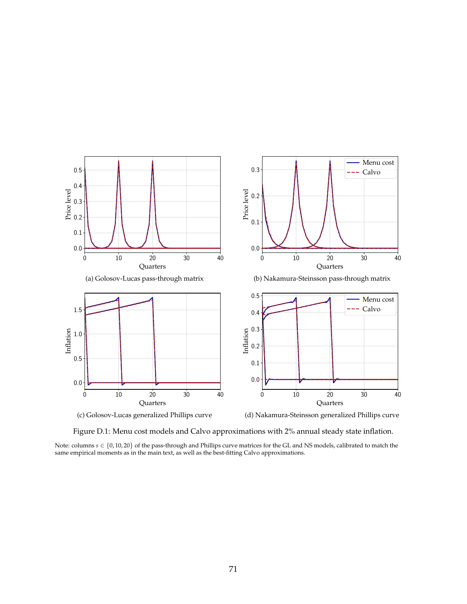<span id="page-70-0"></span>





Figure D.1: Menu cost models and Calvo approximations with 2% annual steady state inflation.

Note: columns *s* ∈ {0, 10, 20} of the pass-through and Phillips curve matrices for the GL and NS models, calibrated to match the same empirical moments as in the main text, as well as the best-fitting Calvo approximations.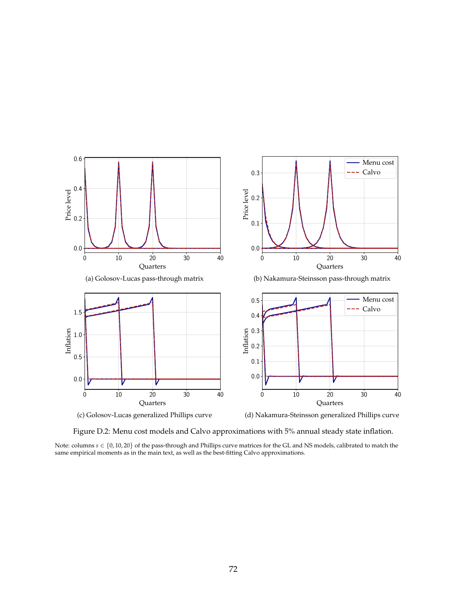<span id="page-71-0"></span>





Figure D.2: Menu cost models and Calvo approximations with 5% annual steady state inflation.

Note: columns *s* ∈ {0, 10, 20} of the pass-through and Phillips curve matrices for the GL and NS models, calibrated to match the same empirical moments as in the main text, as well as the best-fitting Calvo approximations.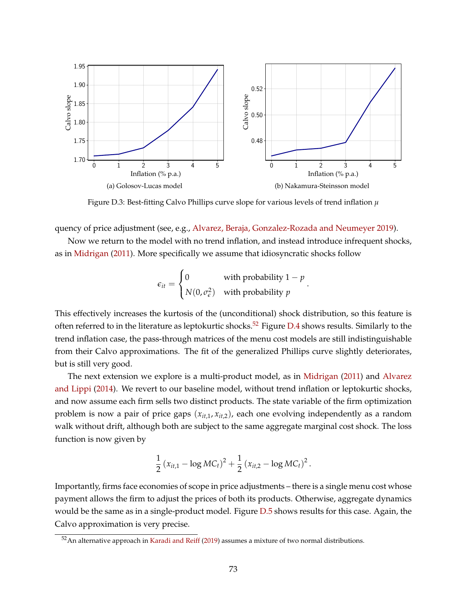

Figure D.3: Best-fitting Calvo Phillips curve slope for various levels of trend inflation *µ*

quency of price adjustment (see, e.g., [Alvarez, Beraja, Gonzalez-Rozada and Neumeyer](#page-42-0) [2019\)](#page-42-0).

Now we return to the model with no trend inflation, and instead introduce infrequent shocks, as in [Midrigan](#page-45-0) [\(2011\)](#page-45-0). More specifically we assume that idiosyncratic shocks follow

$$
\epsilon_{it} = \begin{cases} 0 & \text{with probability } 1 - p \\ N(0, \sigma_{\epsilon}^2) & \text{with probability } p \end{cases}.
$$

This effectively increases the kurtosis of the (unconditional) shock distribution, so this feature is often referred to in the literature as leptokurtic shocks.<sup>[52](#page-72-0)</sup> Figure [D.4](#page-73-0) shows results. Similarly to the trend inflation case, the pass-through matrices of the menu cost models are still indistinguishable from their Calvo approximations. The fit of the generalized Phillips curve slightly deteriorates, but is still very good.

The next extension we explore is a multi-product model, as in [Midrigan](#page-45-0) [\(2011\)](#page-45-0) and [Alvarez](#page-42-1) [and Lippi](#page-42-1) [\(2014\)](#page-42-1). We revert to our baseline model, without trend inflation or leptokurtic shocks, and now assume each firm sells two distinct products. The state variable of the firm optimization problem is now a pair of price gaps (*xit*,1, *xit*,2), each one evolving independently as a random walk without drift, although both are subject to the same aggregate marginal cost shock. The loss function is now given by

$$
\frac{1}{2} (x_{it,1} - \log MC_t)^2 + \frac{1}{2} (x_{it,2} - \log MC_t)^2.
$$

Importantly, firms face economies of scope in price adjustments – there is a single menu cost whose payment allows the firm to adjust the prices of both its products. Otherwise, aggregate dynamics would be the same as in a single-product model. Figure [D.5](#page-73-1) shows results for this case. Again, the Calvo approximation is very precise.

<span id="page-72-0"></span> $52$ An alternative approach in [Karadi and Reiff](#page-44-0) [\(2019\)](#page-44-0) assumes a mixture of two normal distributions.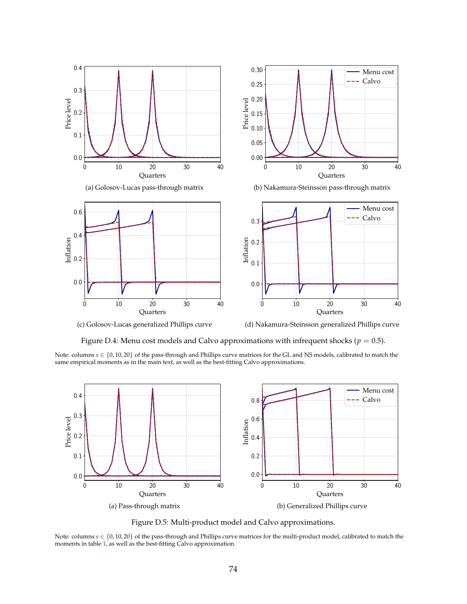<span id="page-73-0"></span>

(c) Golosov-Lucas generalized Phillips curve

(d) Nakamura-Steinsson generalized Phillips curve

Figure D.4: Menu cost models and Calvo approximations with infrequent shocks ( $p = 0.5$ ).

Note: columns s ∈ {0,10,20} of the pass-through and Phillips curve matrices for the GL and NS models, calibrated to match the<br>same empirical moments as in the main text, as well as the best-fitting Calvo approximations.

<span id="page-73-1"></span>

Figure D.5: Multi-product model and Calvo approximations.

Note: columns *s* ∈ {0, 10, 20} of the pass-through and Phillips curve matrices for the multi-product model, calibrated to match the moments in table [1,](#page-13-0) as well as the best-fitting Calvo approximation.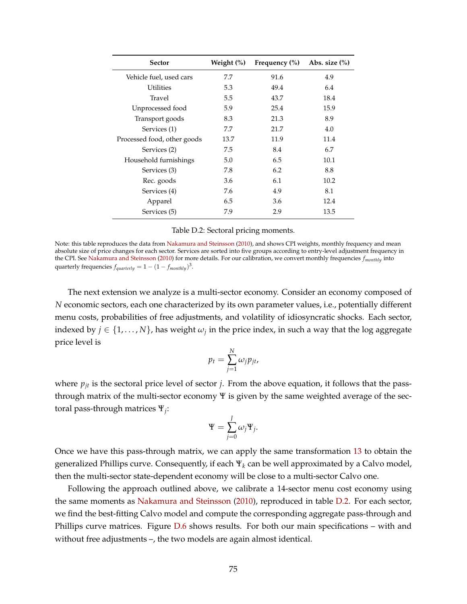<span id="page-74-0"></span>

| <b>Sector</b>               | Weight (%) | Frequency $(\% )$ | Abs. size $(\%)$ |
|-----------------------------|------------|-------------------|------------------|
| Vehicle fuel, used cars     | 7.7        | 91.6              | 4.9              |
| <b>Utilities</b>            | 5.3        | 49.4              | 6.4              |
| Travel                      | 5.5        | 43.7              | 18.4             |
| Unprocessed food            | 5.9        | 25.4              | 15.9             |
| Transport goods             | 8.3        | 21.3              | 8.9              |
| Services (1)                | 7.7        | 21.7              | 4.0              |
| Processed food, other goods | 13.7       | 11.9              | 11.4             |
| Services (2)                | 7.5        | 8.4               | 6.7              |
| Household furnishings       | 5.0        | 6.5               | 10.1             |
| Services (3)                | 7.8        | 6.2               | 8.8              |
| Rec. goods                  | 3.6        | 6.1               | 10.2             |
| Services (4)                | 7.6        | 4.9               | 8.1              |
| Apparel                     | 6.5        | 3.6               | 12.4             |
| Services (5)                | 7.9        | 2.9               | 13.5             |

|  | Table D.2: Sectoral pricing moments. |
|--|--------------------------------------|
|--|--------------------------------------|

Note: this table reproduces the data from [Nakamura and Steinsson](#page-45-1) [\(2010\)](#page-45-1), and shows CPI weights, monthly frequency and mean absolute size of price changes for each sector. Services are sorted into five groups according to entry-level adjustment frequency in the CPI. See [Nakamura and Steinsson](#page-45-1) [\(2010\)](#page-45-1) for more details. For our calibration, we convert monthly frequencies *fmonthly* into quarterly frequencies  $f_{quarterly} = 1 - (1 - f_{monthly})^3$ .

The next extension we analyze is a multi-sector economy. Consider an economy composed of *N* economic sectors, each one characterized by its own parameter values, i.e., potentially different menu costs, probabilities of free adjustments, and volatility of idiosyncratic shocks. Each sector, indexed by  $j \in \{1,\ldots,N\}$ , has weight  $\omega_j$  in the price index, in such a way that the log aggregate price level is

$$
p_t = \sum_{j=1}^N \omega_j p_{jt},
$$

where  $p_{it}$  is the sectoral price level of sector *j*. From the above equation, it follows that the passthrough matrix of the multi-sector economy Ψ is given by the same weighted average of the sectoral pass-through matrices Ψ*<sup>j</sup>* :

$$
\Psi = \sum_{j=0}^{J} \omega_j \Psi_j.
$$

Once we have this pass-through matrix, we can apply the same transformation [13](#page-11-0) to obtain the generalized Phillips curve. Consequently, if each Ψ*<sup>k</sup>* can be well approximated by a Calvo model, then the multi-sector state-dependent economy will be close to a multi-sector Calvo one.

Following the approach outlined above, we calibrate a 14-sector menu cost economy using the same moments as [Nakamura and Steinsson](#page-45-1) [\(2010\)](#page-45-1), reproduced in table [D.2.](#page-74-0) For each sector, we find the best-fitting Calvo model and compute the corresponding aggregate pass-through and Phillips curve matrices. Figure  $D.6$  shows results. For both our main specifications – with and without free adjustments –, the two models are again almost identical.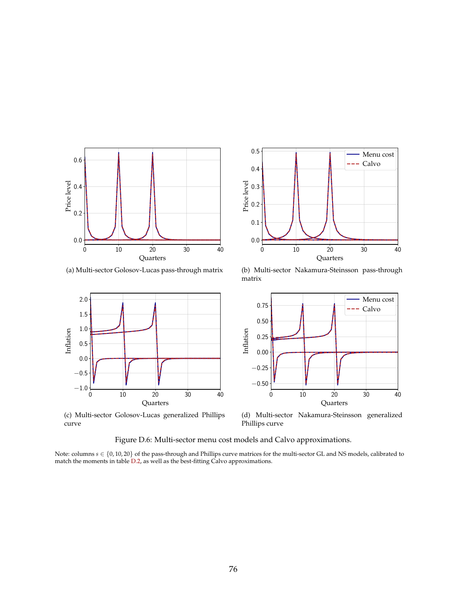<span id="page-75-0"></span>

0 10 20 30 40 **Quarters** 0.0 0.1  $0.2 -$ Price level<br>
0.3<br>
Price level 0.4 0.5 Menu cost  $---$  Calvo

(a) Multi-sector Golosov-Lucas pass-through matrix



(c) Multi-sector Golosov-Lucas generalized Phillips curve

(b) Multi-sector Nakamura-Steinsson pass-through matrix



(d) Multi-sector Nakamura-Steinsson generalized Phillips curve

Figure D.6: Multi-sector menu cost models and Calvo approximations.

Note: columns *s* ∈ {0, 10, 20} of the pass-through and Phillips curve matrices for the multi-sector GL and NS models, calibrated to match the moments in table [D.2,](#page-74-0) as well as the best-fitting Calvo approximations.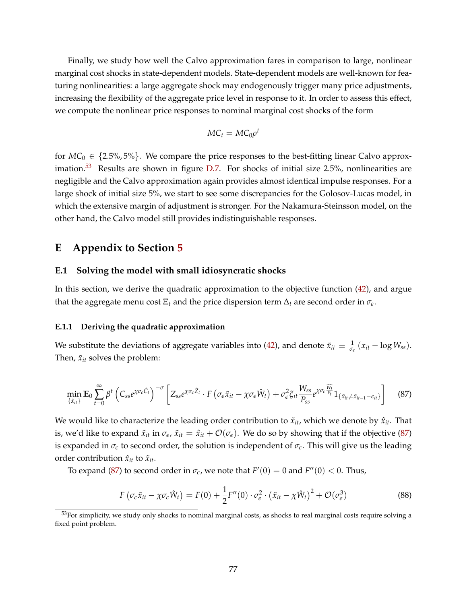Finally, we study how well the Calvo approximation fares in comparison to large, nonlinear marginal cost shocks in state-dependent models. State-dependent models are well-known for featuring nonlinearities: a large aggregate shock may endogenously trigger many price adjustments, increasing the flexibility of the aggregate price level in response to it. In order to assess this effect, we compute the nonlinear price responses to nominal marginal cost shocks of the form

$$
MC_t = MC_0\rho^t
$$

for  $MC_0 \in \{2.5\%, 5\% \}$ . We compare the price responses to the best-fitting linear Calvo approx-imation.<sup>[53](#page-76-0)</sup> Results are shown in figure  $D.7$ . For shocks of initial size 2.5%, nonlinearities are negligible and the Calvo approximation again provides almost identical impulse responses. For a large shock of initial size 5%, we start to see some discrepancies for the Golosov-Lucas model, in which the extensive margin of adjustment is stronger. For the Nakamura-Steinsson model, on the other hand, the Calvo model still provides indistinguishable responses.

# **E Appendix to Section [5](#page-32-0)**

#### **E.1 Solving the model with small idiosyncratic shocks**

In this section, we derive the quadratic approximation to the objective function [\(42\)](#page-35-0), and argue that the aggregate menu cost  $\Xi_t$  and the price dispersion term  $\Delta_t$  are second order in  $\sigma_{\epsilon}$ .

#### **E.1.1 Deriving the quadratic approximation**

We substitute the deviations of aggregate variables into [\(42\)](#page-35-0), and denote  $\tilde{x}_{it} \equiv \frac{1}{\sigma_{\epsilon}}(x_{it} - \log W_{ss})$ . Then,  $\tilde{x}_{it}$  solves the problem:

$$
\min_{\{\tilde{x}_{it}\}} \mathbb{E}_0 \sum_{t=0}^{\infty} \beta^t \left( C_{ss} e^{\chi \sigma_{\epsilon} \hat{C}_t} \right)^{-\sigma} \left[ Z_{ss} e^{\chi \sigma_{\epsilon} \hat{Z}_t} \cdot F \left( \sigma_{\epsilon} \tilde{x}_{it} - \chi \sigma_{\epsilon} \hat{W}_t \right) + \sigma_{\epsilon}^2 \xi_{it} \frac{W_{ss}}{P_{ss}} e^{\chi \sigma_{\epsilon} \frac{\widehat{W}_t}{P_t}} 1_{\{\tilde{x}_{it} \neq \tilde{x}_{it-1} - \epsilon_{it}\}} \right] \tag{87}
$$

We would like to characterize the leading order contribution to  $\tilde{x}_{it}$ , which we denote by  $\hat{x}_{it}$ . That is, we'd like to expand  $\tilde{x}_{it}$  in  $\sigma_{\epsilon}$ ,  $\tilde{x}_{it} = \hat{x}_{it} + \mathcal{O}(\sigma_{\epsilon})$ . We do so by showing that if the objective [\(87\)](#page-76-1) is expanded in  $\sigma_{\epsilon}$  to second order, the solution is independent of  $\sigma_{\epsilon}$ . This will give us the leading order contribution  $\hat{x}_{it}$  to  $\tilde{x}_{it}$ .

To expand [\(87\)](#page-76-1) to second order in  $\sigma_{\epsilon}$ , we note that  $F'(0) = 0$  and  $F''(0) < 0$ . Thus,

<span id="page-76-2"></span><span id="page-76-1"></span>
$$
F\left(\sigma_{\epsilon}\tilde{x}_{it} - \chi\sigma_{\epsilon}\hat{W}_t\right) = F(0) + \frac{1}{2}F''(0)\cdot\sigma_{\epsilon}^2\cdot\left(\tilde{x}_{it} - \chi\hat{W}_t\right)^2 + \mathcal{O}(\sigma_{\epsilon}^3)
$$
(88)

<span id="page-76-0"></span> $53$  For simplicity, we study only shocks to nominal marginal costs, as shocks to real marginal costs require solving a fixed point problem.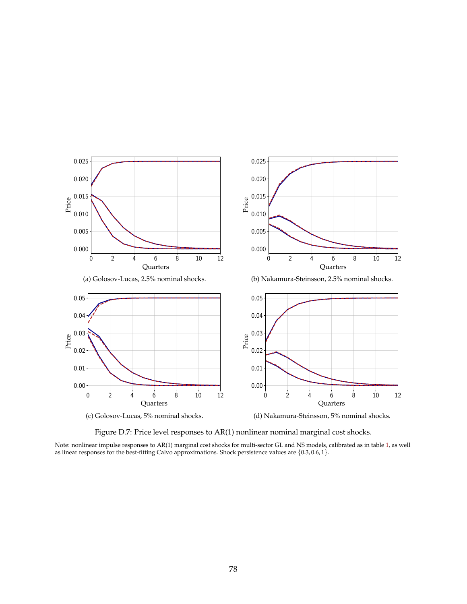<span id="page-77-0"></span>

Figure D.7: Price level responses to AR(1) nonlinear nominal marginal cost shocks.

Note: nonlinear impulse responses to AR(1) marginal cost shocks for multi-sector GL and NS models, calibrated as in table [1,](#page-13-0) as well as linear responses for the best-fitting Calvo approximations. Shock persistence values are  $\{0.3, 0.6, 1\}.$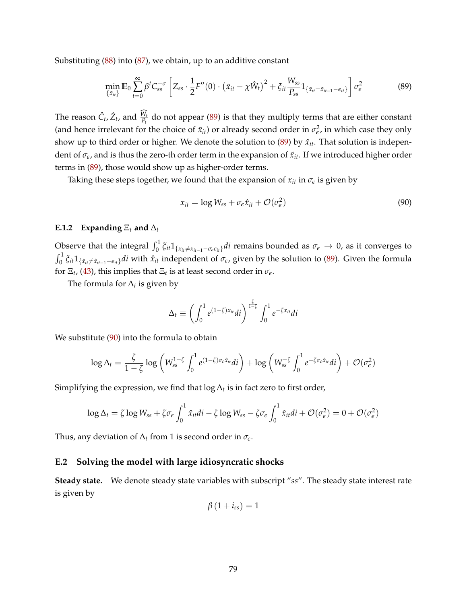Substituting [\(88\)](#page-76-2) into [\(87\)](#page-76-1), we obtain, up to an additive constant

<span id="page-78-0"></span>
$$
\min_{\{\tilde{x}_{it}\}} \mathbb{E}_0 \sum_{t=0}^{\infty} \beta^t C_{ss}^{-\sigma} \left[ Z_{ss} \cdot \frac{1}{2} F''(0) \cdot \left( \tilde{x}_{it} - \chi \hat{W}_t \right)^2 + \xi_{it} \frac{W_{ss}}{P_{ss}} 1_{\{\tilde{x}_{it} = \tilde{x}_{it-1} - \epsilon_{it}\}} \right] \sigma_{\epsilon}^2 \tag{89}
$$

The reason  $\hat{C}_t$ ,  $\hat{Z}_t$ , and  $\frac{W_t}{P_t}$  do not appear [\(89\)](#page-78-0) is that they multiply terms that are either constant (and hence irrelevant for the choice of  $\tilde{x}_{it}$ ) or already second order in  $\sigma_{\epsilon}^2$ , in which case they only show up to third order or higher. We denote the solution to  $(89)$  by  $\hat{x}_{it}$ . That solution is independent of  $\sigma_{\epsilon}$ , and is thus the zero-th order term in the expansion of  $\tilde{x}_{it}$ . If we introduced higher order terms in [\(89\)](#page-78-0), those would show up as higher-order terms.

Taking these steps together, we found that the expansion of  $x_{it}$  in  $\sigma_{\epsilon}$  is given by

<span id="page-78-1"></span>
$$
x_{it} = \log W_{ss} + \sigma_{\epsilon} \hat{x}_{it} + \mathcal{O}(\sigma_{\epsilon}^2)
$$
\n(90)

#### **E.1.2** Expanding  $E_t$  and  $\Delta_t$

Observe that the integral  $\int_0^1 \xi_{it} 1_{\{x_{it} \neq x_{it-1} - \sigma_{\epsilon} \epsilon_{it}\}} dt$  remains bounded as  $\sigma_{\epsilon} \to 0$ , as it converges to  $\int_0^1 \xi_{it} 1_{\{\hat{x}_{it}\neq \hat{x}_{it-1}-\epsilon_{it}\}} dt$  with  $\hat{x}_{it}$  independent of  $\sigma_{\epsilon}$ , given by the solution to [\(89\)](#page-78-0). Given the formula for  $\Xi_t$ , [\(43\)](#page-35-1), this implies that  $\Xi_t$  is at least second order in  $\sigma_{\epsilon}$ .

The formula for ∆*<sup>t</sup>* is given by

$$
\Delta_t \equiv \left( \int_0^1 e^{(1-\zeta)x_{it}} dt \right)^{\frac{\zeta}{1-\zeta}} \int_0^1 e^{-\zeta x_{it}} dt
$$

We substitute [\(90\)](#page-78-1) into the formula to obtain

$$
\log \Delta_t = \frac{\zeta}{1-\zeta} \log \left( W_{ss}^{1-\zeta} \int_0^1 e^{(1-\zeta)\sigma_\varepsilon \hat{x}_{it}} dt \right) + \log \left( W_{ss}^{-\zeta} \int_0^1 e^{-\zeta \sigma_\varepsilon \hat{x}_{it}} dt \right) + \mathcal{O}(\sigma_\varepsilon^2)
$$

Simplifying the expression, we find that  $\log \Delta_t$  is in fact zero to first order,

$$
\log \Delta_t = \zeta \log W_{ss} + \zeta \sigma_{\epsilon} \int_0^1 \hat{x}_{it} di - \zeta \log W_{ss} - \zeta \sigma_{\epsilon} \int_0^1 \hat{x}_{it} di + \mathcal{O}(\sigma_{\epsilon}^2) = 0 + \mathcal{O}(\sigma_{\epsilon}^2)
$$

Thus, any deviation of  $\Delta_t$  from 1 is second order in  $\sigma_{\epsilon}$ .

## **E.2 Solving the model with large idiosyncratic shocks**

**Steady state.** We denote steady state variables with subscript "*ss*". The steady state interest rate is given by

$$
\beta(1+i_{ss})=1
$$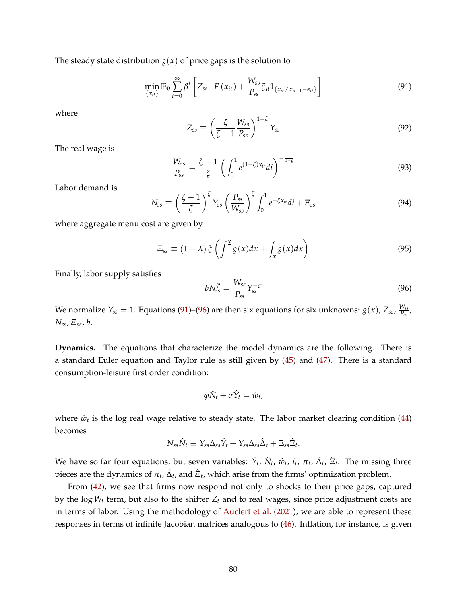The steady state distribution  $g(x)$  of price gaps is the solution to

$$
\min_{\{x_{it}\}} \mathbb{E}_0 \sum_{t=0}^{\infty} \beta^t \left[ Z_{ss} \cdot F\left(x_{it}\right) + \frac{W_{ss}}{P_{ss}} \zeta_{it} 1_{\{x_{it} \neq x_{it-1} - \epsilon_{it}\}} \right]
$$
\n(91)

where

<span id="page-79-0"></span>
$$
Z_{ss} \equiv \left(\frac{\zeta}{\zeta - 1} \frac{W_{ss}}{P_{ss}}\right)^{1 - \zeta} Y_{ss}
$$
(92)

The real wage is

$$
\frac{W_{ss}}{P_{ss}} = \frac{\zeta - 1}{\zeta} \left( \int_0^1 e^{(1-\zeta)x_{it}} dt \right)^{-\frac{1}{1-\zeta}}
$$
(93)

Labor demand is

$$
N_{ss} \equiv \left(\frac{\zeta - 1}{\zeta}\right)^{\zeta} Y_{ss} \left(\frac{P_{ss}}{W_{ss}}\right)^{\zeta} \int_0^1 e^{-\zeta x_{it}} dt + \Xi_{ss}
$$
(94)

where aggregate menu cost are given by

$$
\Xi_{ss} \equiv (1 - \lambda) \xi \left( \int^{\underline{x}} g(x) dx + \int_{\overline{x}} g(x) dx \right)
$$
\n(95)

Finally, labor supply satisfies

<span id="page-79-1"></span>
$$
bN_{ss}^{\varphi} = \frac{W_{ss}}{P_{ss}} Y_{ss}^{-\sigma}
$$
\n(96)

We normalize  $Y_{ss} = 1$ . Equations [\(91\)](#page-79-0)–[\(96\)](#page-79-1) are then six equations for six unknowns:  $g(x)$ ,  $Z_{ss}$ ,  $\frac{W_{ss}}{P_{ss}}$  $\frac{W_{SS}}{P_{SS}}$  , *Nss*, Ξ*ss*, *b*.

**Dynamics.** The equations that characterize the model dynamics are the following. There is a standard Euler equation and Taylor rule as still given by [\(45\)](#page-36-0) and [\(47\)](#page-36-0). There is a standard consumption-leisure first order condition:

$$
\varphi \hat{N}_t + \sigma \hat{Y}_t = \hat{w}_t,
$$

where  $\hat{w}_t$  is the log real wage relative to steady state. The labor market clearing condition [\(44\)](#page-35-2) becomes

$$
N_{ss}\hat{N}_t \equiv Y_{ss}\Delta_{ss}\hat{Y}_t + Y_{ss}\Delta_{ss}\hat{\Delta}_t + \Xi_{ss}\hat{\Xi}_t.
$$

We have so far four equations, but seven variables:  $\hat{Y}_t$ ,  $\hat{N}_t$ ,  $\hat{w}_t$ ,  $i_t$ ,  $\pi_t$ ,  $\hat{\Delta}_t$ ,  $\hat{\Xi}_t$ . The missing three pieces are the dynamics of  $\pi_t$ ,  $\hat{\Delta}_t$ , and  $\hat{\Xi}_t$ , which arise from the firms' optimization problem.

From [\(42\)](#page-35-0), we see that firms now respond not only to shocks to their price gaps, captured by the log  $W_t$  term, but also to the shifter  $Z_t$  and to real wages, since price adjustment costs are in terms of labor. Using the methodology of [Auclert et al.](#page-43-0) [\(2021\)](#page-43-0), we are able to represent these responses in terms of infinite Jacobian matrices analogous to [\(46\)](#page-36-0). Inflation, for instance, is given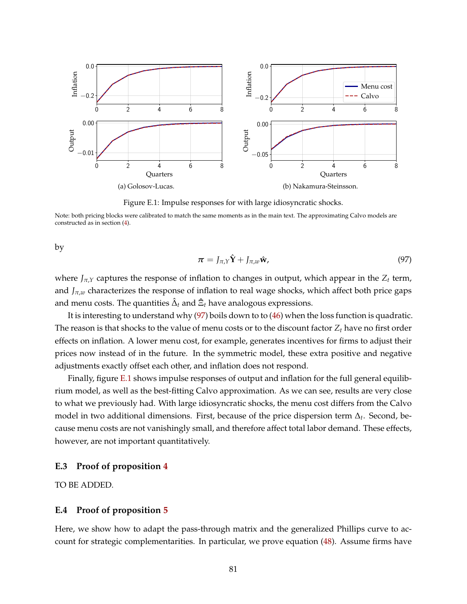<span id="page-80-1"></span>

Figure E.1: Impulse responses for with large idiosyncratic shocks.

Note: both pricing blocks were calibrated to match the same moments as in the main text. The approximating Calvo models are constructed as in section [\(4\)](#page-24-0).

by

<span id="page-80-0"></span>
$$
\boldsymbol{\pi} = J_{\pi,\boldsymbol{\gamma}} \hat{\mathbf{Y}} + J_{\pi,w} \hat{\mathbf{w}}, \tag{97}
$$

where *Jπ*,*<sup>Y</sup>* captures the response of inflation to changes in output, which appear in the *Z<sup>t</sup>* term, and  $J_{\pi,w}$  characterizes the response of inflation to real wage shocks, which affect both price gaps and menu costs. The quantities  $\hat{\Delta}_t$  and  $\hat{\Xi}_t$  have analogous expressions.

It is interesting to understand why [\(97\)](#page-80-0) boils down to to [\(46\)](#page-36-0) when the loss function is quadratic. The reason is that shocks to the value of menu costs or to the discount factor *Z<sup>t</sup>* have no first order effects on inflation. A lower menu cost, for example, generates incentives for firms to adjust their prices now instead of in the future. In the symmetric model, these extra positive and negative adjustments exactly offset each other, and inflation does not respond.

Finally, figure [E.1](#page-80-1) shows impulse responses of output and inflation for the full general equilibrium model, as well as the best-fitting Calvo approximation. As we can see, results are very close to what we previously had. With large idiosyncratic shocks, the menu cost differs from the Calvo model in two additional dimensions. First, because of the price dispersion term ∆*<sup>t</sup>* . Second, because menu costs are not vanishingly small, and therefore affect total labor demand. These effects, however, are not important quantitatively.

## **E.3 Proof of proposition [4](#page-36-1)**

TO BE ADDED.

## **E.4 Proof of proposition [5](#page-37-0)**

Here, we show how to adapt the pass-through matrix and the generalized Phillips curve to account for strategic complementarities. In particular, we prove equation [\(48\)](#page-37-1). Assume firms have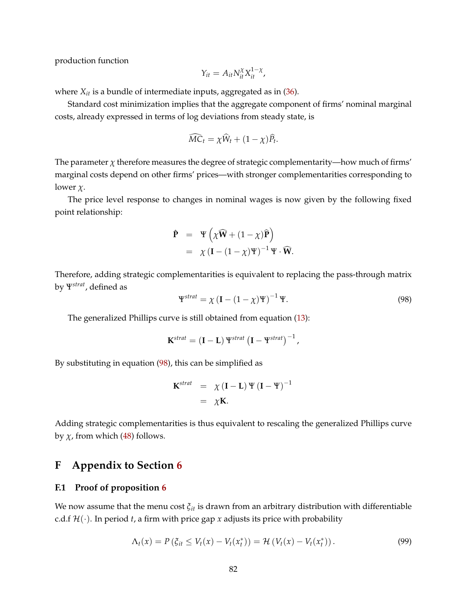production function

$$
Y_{it} = A_{it} N_{it}^{\chi} X_{it}^{1-\chi},
$$

where *Xit* is a bundle of intermediate inputs, aggregated as in [\(36\)](#page-33-0).

Standard cost minimization implies that the aggregate component of firms' nominal marginal costs, already expressed in terms of log deviations from steady state, is

$$
\widehat{MC}_t = \chi \widehat{W}_t + (1 - \chi) \widehat{P}_t.
$$

The parameter  $\chi$  therefore measures the degree of strategic complementarity—how much of firms' marginal costs depend on other firms' prices—with stronger complementarities corresponding to lower *χ*.

The price level response to changes in nominal wages is now given by the following fixed point relationship:

$$
\hat{\mathbf{P}} = \mathbf{\Psi} \left( \chi \widehat{\mathbf{W}} + (1 - \chi) \widehat{\mathbf{P}} \right) \n= \chi \left( \mathbf{I} - (1 - \chi) \mathbf{\Psi} \right)^{-1} \mathbf{\Psi} \cdot \widehat{\mathbf{W}}.
$$

Therefore, adding strategic complementarities is equivalent to replacing the pass-through matrix by Ψ*strat*, defined as

<span id="page-81-0"></span>
$$
\Psi^{strat} = \chi \left( \mathbf{I} - (1 - \chi) \Psi \right)^{-1} \Psi.
$$
\n(98)

The generalized Phillips curve is still obtained from equation [\(13\)](#page-11-0):

$$
\mathbf{K}^{strat} = (\mathbf{I} - \mathbf{L}) \, \Psi^{strat} \left( \mathbf{I} - \Psi^{strat} \right)^{-1},
$$

By substituting in equation [\(98\)](#page-81-0), this can be simplified as

$$
\mathbf{K}^{strat} = \chi (\mathbf{I} - \mathbf{L}) \Psi (\mathbf{I} - \Psi)^{-1}
$$
  
= \chi \mathbf{K}.

Adding strategic complementarities is thus equivalent to rescaling the generalized Phillips curve by  $\chi$ , from which [\(48\)](#page-37-1) follows.

## **F Appendix to Section [6](#page-39-0)**

## <span id="page-81-2"></span>**F.1 Proof of proposition [6](#page-40-0)**

We now assume that the menu cost *ξit* is drawn from an arbitrary distribution with differentiable c.d.f  $\mathcal{H}(\cdot)$ . In period *t*, a firm with price gap *x* adjusts its price with probability

<span id="page-81-1"></span>
$$
\Lambda_t(x) = P\left(\xi_{it} \le V_t(x) - V_t(x_t^*)\right) = \mathcal{H}\left(V_t(x) - V_t(x_t^*)\right). \tag{99}
$$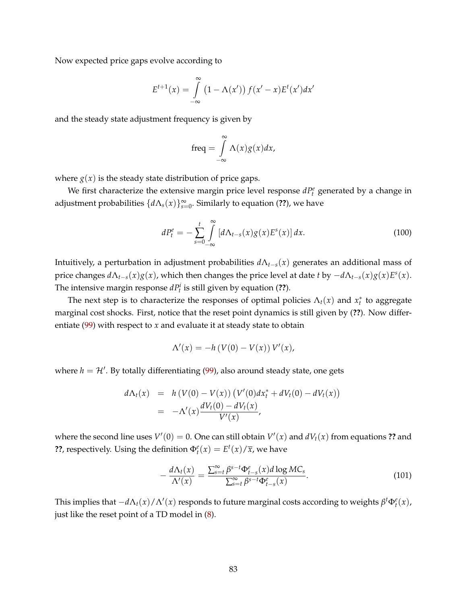Now expected price gaps evolve according to

$$
E^{t+1}(x) = \int_{-\infty}^{\infty} (1 - \Lambda(x')) f(x' - x) E^{t}(x') dx'
$$

and the steady state adjustment frequency is given by

$$
\text{freq} = \int_{-\infty}^{\infty} \Lambda(x) g(x) dx,
$$

where  $g(x)$  is the steady state distribution of price gaps.

We first characterize the extensive margin price level response  $dP_t^e$  generated by a change in adjustment probabilities {*d*Λ*s*(*x*)} ∞ *s*=0 . Similarly to equation (**??**), we have

<span id="page-82-0"></span>
$$
dP_t^e = -\sum_{s=0}^t \int_{-\infty}^{\infty} \left[ d\Lambda_{t-s}(x) g(x) E^s(x) \right] dx.
$$
 (100)

Intuitively, a perturbation in adjustment probabilities *d*Λ*t*−*s*(*x*) generates an additional mass of price changes *d*Λ*t*−*s*(*x*)*g*(*x*), which then changes the price level at date *t* by −*d*Λ*t*−*s*(*x*)*g*(*x*)*E s* (*x*). The intensive margin response  $dP_t^i$  is still given by equation (??).

The next step is to characterize the responses of optimal policies  $\Lambda_t(x)$  and  $x_t^*$  to aggregate marginal cost shocks. First, notice that the reset point dynamics is still given by (**??**). Now differentiate [\(99\)](#page-81-1) with respect to *x* and evaluate it at steady state to obtain

$$
\Lambda'(x) = -h(V(0) - V(x)) V'(x),
$$

where  $h = \mathcal{H}'$ . By totally differentiating [\(99\)](#page-81-1), also around steady state, one gets

$$
d\Lambda_t(x) = h(V(0) - V(x)) (V'(0)dx_t^* + dV_t(0) - dV_t(x))
$$
  
= -\Lambda'(x) \frac{dV\_t(0) - dV\_t(x)}{V'(x)},

where the second line uses  $V'(0) = 0$ . One can still obtain  $V'(x)$  and  $dV_t(x)$  from equations ?? and **??**, respectively. Using the definition  $\Phi_t^e(x) = E^t(x)/\overline{x}$ , we have

$$
-\frac{d\Lambda_t(x)}{\Lambda'(x)} = \frac{\sum_{s=t}^{\infty} \beta^{s-t} \Phi_{t-s}^e(x) d \log MC_s}{\sum_{s=t}^{\infty} \beta^{s-t} \Phi_{t-s}^e(x)}.
$$
(101)

This implies that  $-d\Lambda_t(x)/\Lambda'(x)$  responds to future marginal costs according to weights  $\beta^t \Phi_t^e(x)$ , just like the reset point of a TD model in [\(8\)](#page-9-0).